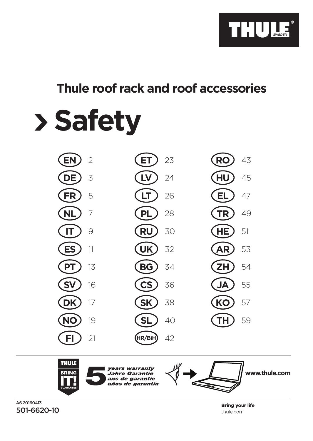

# **Thule roof rack and roof accessories**

# **Safety**



 $A6.20160A13$ 501-6620-10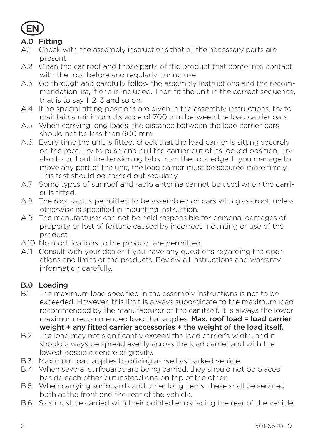

#### A.0 Fitting

- A.1 Check with the assembly instructions that all the necessary parts are present.
- A.2 Clean the car roof and those parts of the product that come into contact with the roof before and regularly during use.
- A.3 Go through and carefully follow the assembly instructions and the recommendation list, if one is included. Then fit the unit in the correct sequence, that is to say 1, 2, 3 and so on.
- A.4 If no special fitting positions are given in the assembly instructions, try to maintain a minimum distance of 700 mm between the load carrier bars.
- A.5 When carrying long loads, the distance between the load carrier bars should not be less than 600 mm.
- A.6 Every time the unit is fitted, check that the load carrier is sitting securely on the roof. Try to push and pull the carrier out of its locked position. Try also to pull out the tensioning tabs from the roof edge. If you manage to move any part of the unit, the load carrier must be secured more firmly. This test should be carried out regularly.
- A.7 Some types of sunroof and radio antenna cannot be used when the carrier is fitted.
- A.8 The roof rack is permitted to be assembled on cars with glass roof, unless otherwise is specified in mounting instruction.
- A.9 The manufacturer can not be held responsible for personal damages of property or lost of fortune caused by incorrect mounting or use of the product.
- A.10 No modifications to the product are permitted.
- A.11 Consult with your dealer if you have any questions regarding the operations and limits of the products. Review all instructions and warranty information carefully.

#### B.0 Loading

- B.1 The maximum load specified in the assembly instructions is not to be exceeded. However, this limit is always subordinate to the maximum load recommended by the manufacturer of the car itself. It is always the lower maximum recommended load that applies. Max. roof load = load carrier weight + any fitted carrier accessories + the weight of the load itself.
- B.2 The load may not significantly exceed the load carrier's width, and it should always be spread evenly across the load carrier and with the lowest possible centre of gravity.
- B.3 Maximum load applies to driving as well as parked vehicle.
- B.4 When several surfboards are being carried, they should not be placed beside each other but instead one on top of the other.
- B.5 When carrying surfboards and other long items, these shall be secured both at the front and the rear of the vehicle.
- B.6 Skis must be carried with their pointed ends facing the rear of the vehicle.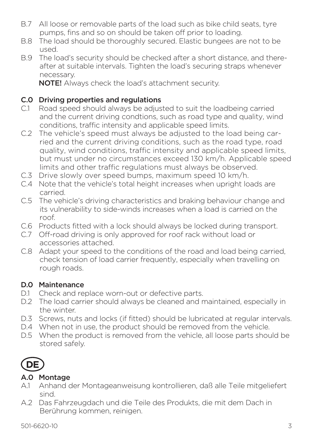- B.7 All loose or removable parts of the load such as bike child seats, tyre pumps, fins and so on should be taken off prior to loading.
- B.8 The load should be thoroughly secured. Elastic bungees are not to be used.
- B.9 The load's security should be checked after a short distance, and thereafter at suitable intervals. Tighten the load's securing straps whenever necessary.

NOTE! Always check the load's attachment security.

# **C.0 Driving properties and regulations**<br>C.1 Road speed should always be adjus

- Road speed should always be adjusted to suit the loadbeing carried and the current driving condtions, such as road type and quality, wind conditions, traffic intensity and applicable speed limits.
- C.2 The vehicle's speed must always be adjusted to the load being carried and the current driving conditions, such as the road type, road quality, wind conditions, traffic intensity and applicable speed limits, but must under no circumstances exceed 130 km/h. Applicable speed limits and other traffic regulations must always be observed.
- C.3 Drive slowly over speed bumps, maximum speed 10 km/h.
- C.4 Note that the vehicle's total height increases when upright loads are carried.
- C.5 The vehicle's driving characteristics and braking behaviour change and its vulnerability to side-winds increases when a load is carried on the roof.
- C.6 Products fitted with a lock should always be locked during transport.
- C.7 Off-road driving is only approved for roof rack without load or accessories attached.
- C.8 Adapt your speed to the conditions of the road and load being carried, check tension of load carrier frequently, especially when travelling on rough roads.

#### D.0 Maintenance

- D.1 Check and replace worn-out or defective parts.
- D.2 The load carrier should always be cleaned and maintained, especially in the winter.
- D.3 Screws, nuts and locks (if fitted) should be lubricated at regular intervals.
- D.4 When not in use, the product should be removed from the vehicle.
- D.5 When the product is removed from the vehicle, all loose parts should be stored safely.



#### A.0 Montage

- A.1 Anhand der Montageanweisung kontrollieren, daß alle Teile mitgeliefert sind.
- A.2 Das Fahrzeugdach und die Teile des Produkts, die mit dem Dach in Berührung kommen, reinigen.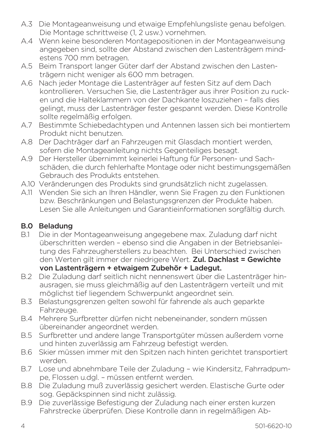- A.3 Die Montageanweisung und etwaige Empfehlungsliste genau befolgen. Die Montage schrittweise (1, 2 usw.) vornehmen.
- A.4 Wenn keine besonderen Montagepositionen in der Montageanweisung angegeben sind, sollte der Abstand zwischen den Lastenträgern mindestens 700 mm betragen.
- A.5 Beim Transport langer Güter darf der Abstand zwischen den Lastenträgern nicht weniger als 600 mm betragen.
- A.6 Nach jeder Montage die Lastenträger auf festen Sitz auf dem Dach kontrollieren. Versuchen Sie, die Lastenträger aus ihrer Position zu rucken und die Halteklammern von der Dachkante loszuziehen – falls dies gelingt, muss der Lastenträger fester gespannt werden. Diese Kontrolle sollte regelmäßig erfolgen.
- A.7 Bestimmte Schiebedachtypen und Antennen lassen sich bei montiertem Produkt nicht benutzen.
- A.8 Der Dachträger darf an Fahrzeugen mit Glasdach montiert werden, sofern die Montageanleitung nichts Gegenteiliges besagt.
- A.9 Der Hersteller übernimmt keinerlei Haftung für Personen- und Sachschäden, die durch fehlerhafte Montage oder nicht bestimungsgemäßen Gebrauch des Produkts entstehen.
- A.10 Veränderungen des Produkts sind grundsätzlich nicht zugelassen.
- A.11 Wenden Sie sich an Ihren Händler, wenn Sie Fragen zu den Funktionen bzw. Beschränkungen und Belastungsgrenzen der Produkte haben. Lesen Sie alle Anleitungen und Garantieinformationen sorgfältig durch.

#### B.0 Beladung

- B.1 Die in der Montageanweisung angegebene max. Zuladung darf nicht überschritten werden – ebenso sind die Angaben in der Betriebsanleitung des Fahrzeugherstellers zu beachten. Bei Unterschied zwischen den Werten gilt immer der niedrigere Wert. Zul. Dachlast = Gewichte von Lastenträgern + etwaigem Zubehör + Ladegut.
- B.2 Die Zuladung darf seitlich nicht nennenswert über die Lastenträger hinausragen, sie muss gleichmäßig auf den Lastenträgern verteilt und mit möglichst tief liegendem Schwerpunkt angeordnet sein.
- B.3 Belastungsgrenzen gelten sowohl für fahrende als auch geparkte Fahrzeuge.
- B.4 Mehrere Surfbretter dürfen nicht nebeneinander, sondern müssen übereinander angeordnet werden.
- B.5 Surfbretter und andere lange Transportgüter müssen außerdem vorne und hinten zuverlässig am Fahrzeug befestigt werden.
- B.6 Skier müssen immer mit den Spitzen nach hinten gerichtet transportiert werden.
- B.7 Lose und abnehmbare Teile der Zuladung wie Kindersitz, Fahrradpumpe, Flossen u.dgl. – müssen entfernt werden.
- B.8 Die Zuladung muß zuverlässig gesichert werden. Elastische Gurte oder sog. Gepäckspinnen sind nicht zulässig.
- B.9 Die zuverlässige Befestigung der Zuladung nach einer ersten kurzen Fahrstrecke überprüfen. Diese Kontrolle dann in regelmäßigen Ab-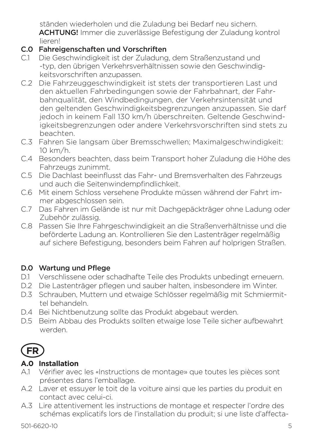ständen wiederholen und die Zuladung bei Bedarf neu sichern. ACHTUNG! Immer die zuverlässige Befestigung der Zuladung kontrol lieren!

#### C.0 Fahreigenschaften und Vorschriften

- C.1 Die Geschwindigkeit ist der Zuladung, dem Straßenzustand und -typ, den übrigen Verkehrsverhältnissen sowie den Geschwindigkeitsvorschriften anzupassen.
- C.2 Die Fahrzeuggeschwindigkeit ist stets der transportieren Last und den aktuellen Fahrbedingungen sowie der Fahrbahnart, der Fahrbahnqualität, den Windbedingungen, der Verkehrsintensität und den geltenden Geschwindigkeitsbegrenzungen anzupassen. Sie darf jedoch in keinem Fall 130 km/h überschreiten. Geltende Geschwindigkeitsbegrenzungen oder andere Verkehrsvorschriften sind stets zu beachten.
- C.3 Fahren Sie langsam über Bremsschwellen; Maximalgeschwindigkeit: 10 km/h.
- C.4 Besonders beachten, dass beim Transport hoher Zuladung die Höhe des Fahrzeugs zunimmt.
- C.5 Die Dachlast beeinflusst das Fahr- und Bremsverhalten des Fahrzeugs und auch die Seitenwindempfindlichkeit.
- C.6 Mit einem Schloss versehene Produkte müssen während der Fahrt immer abgeschlossen sein.
- C.7 Das Fahren im Gelände ist nur mit Dachgepäckträger ohne Ladung oder Zubehör zulässig.
- C.8 Passen Sie Ihre Fahrgeschwindigkeit an die Straßenverhältnisse und die beförderte Ladung an. Kontrollieren Sie den Lastenträger regelmäßig auf sichere Befestigung, besonders beim Fahren auf holprigen Straßen.

#### D.0 Wartung und Pflege

- D.1 Verschlissene oder schadhafte Teile des Produkts unbedingt erneuern.
- D.2 Die Lastenträger pflegen und sauber halten, insbesondere im Winter.
- D.3 Schrauben, Muttern und etwaige Schlösser regelmäßig mit Schmiermittel behandeln.
- D.4 Bei Nichtbenutzung sollte das Produkt abgebaut werden.
- D.5 Beim Abbau des Produkts sollten etwaige lose Teile sicher aufbewahrt werden.



### **A.0 Installation**

- A.1 Vérifier avec les «Instructions de montage» que toutes les pièces sont présentes dans l'emballage.
- A.2 Laver et essuyer le toit de la voiture ainsi que les parties du produit en contact avec celui-ci.
- A.3 Lire attentivement les instructions de montage et respecter l'ordre des schémas explicatifs lors de l'installation du produit; si une liste d'affecta-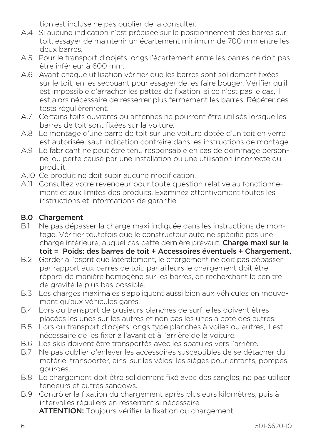tion est incluse ne pas oublier de la consulter.

- A.4 Si aucune indication n'est précisée sur le positionnement des barres sur toit, essayer de maintenir un écartement minimum de 700 mm entre les deux barres.
- A.5 Pour le transport d'objets longs l'écartement entre les barres ne doit pas être inférieur à 600 mm.
- A.6 Avant chaque utilisation vérifier que les barres sont solidement fixées sur le toit, en les secouant pour essayer de les faire bouger. Vérifier qu'il est impossible d'arracher les pattes de fixation; si ce n'est pas le cas, il est alors nécessaire de resserrer plus fermement les barres. Répéter ces tests régulièrement.
- A.7 Certains toits ouvrants ou antennes ne pourront être utilisés lorsque les barres de toit sont fixées sur la voiture.
- A.8 Le montage d'une barre de toit sur une voiture dotée d'un toit en verre est autorisée, sauf indication contraire dans les instructions de montage.
- A.9 Le fabricant ne peut être tenu responsable en cas de dommage personnel ou perte causé par une installation ou une utilisation incorrecte du produit.
- A.10 Ce produit ne doit subir aucune modification.
- A.11 Consultez votre revendeur pour toute question relative au fonctionnement et aux limites des produits. Examinez attentivement toutes les instructions et informations de garantie.

# **B.0 Chargement**<br>B1 Ne pas dépas

- Ne pas dépasser la charge maxi indiquée dans les instructions de montage. Vérifier toutefois que le constructeur auto ne spécifie pas une charge inférieure, auquel cas cette dernière prévaut. Charge maxi sur le toit = Poids: des barres de toit + Accessoires éventuels + Chargement.
- B.2 Garder à l'esprit que latéralement, le chargement ne doit pas dépasser par rapport aux barres de toit; par ailleurs le chargement doit être réparti de manière homogène sur les barres, en recherchant le cen tre de gravité le plus bas possible.
- B.3 Les charges maximales s'appliquent aussi bien aux véhicules en mouvement qu'aux véhicules garés.
- B.4 Lors du transport de plusieurs planches de surf, elles doivent êtres placées les unes sur les autres et non pas les unes à coté des autres.
- B.5 Lors du transport d'objets longs type planches à voiles ou autres, il est nécessaire de les fixer à l'avant et à l'arrière de la voiture.
- B.6 Les skis doivent être transportés avec les spatules vers l'arrière.<br>B.7 De pas oublier d'enlever les accessoires suscentibles de se déta
- B.7 Ne pas oublier d'enlever les accessoires susceptibles de se détacher du matériel transporter, ainsi sur les vélos: les sièges pour enfants, pompes, gourdes, …
- B.8 Le chargement doit être solidement fixé avec des sangles; ne pas utiliser tendeurs et autres sandows.
- B.9 Contrôler la fixation du chargement après plusieurs kilomètres, puis à intervalles réguliers en resserrant si nécessaire. ATTENTION: Toujours vérifier la fixation du chargement.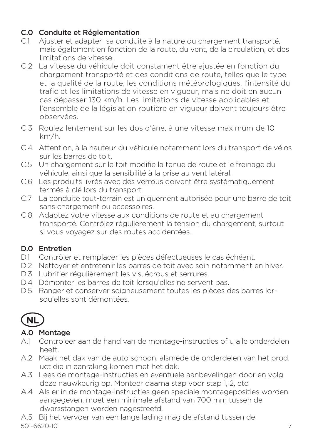#### C.0 Conduite et Réglementation

- C.1 Ajuster et adapter sa conduite à la nature du chargement transporté, mais également en fonction de la route, du vent, de la circulation, et des limitations de vitesse.
- C.2 La vitesse du véhicule doit constament être ajustée en fonction du chargement transporté et des conditions de route, telles que le type et la qualité de la route, les conditions météorologiques, l'intensité du trafic et les limitations de vitesse en vigueur, mais ne doit en aucun cas dépasser 130 km/h. Les limitations de vitesse applicables et l'ensemble de la législation routière en vigueur doivent toujours être observées.
- C.3 Roulez lentement sur les dos d'âne, à une vitesse maximum de 10 km/h.
- C.4 Attention, à la hauteur du véhicule notamment lors du transport de vélos sur les barres de toit.
- C.5 Un chargement sur le toit modifie la tenue de route et le freinage du véhicule, ainsi que la sensibilité à la prise au vent latéral.
- C.6 Les produits livrés avec des verrous doivent être systématiquement fermés à clé lors du transport.
- C.7 La conduite tout-terrain est uniquement autorisée pour une barre de toit sans chargement ou accessoires.
- C.8 Adaptez votre vitesse aux conditions de route et au chargement transporté. Contrôlez régulièrement la tension du chargement, surtout si vous voyagez sur des routes accidentées.

### D.0 Entretien

- D.1 Contrôler et remplacer les pièces défectueuses le cas échéant.
- D.2 Nettoyer et entretenir les barres de toit avec soin notamment en hiver.
- D.3 Lubrifier régulièrement les vis, écrous et serrures.
- D.4 Démonter les barres de toit lorsqu'elles ne servent pas.
- D.5 Ranger et conserver soigneusement toutes les pièces des barres lorsqu'elles sont démontées.

# **NL**

### A.0 Montage

- A.1 Controleer aan de hand van de montage-instructies of u alle onderdelen heeft.
- A.2 Maak het dak van de auto schoon, alsmede de onderdelen van het prod. uct die in aanraking komen met het dak.
- A.3 Lees de montage-instructies en eventuele aanbevelingen door en volg deze nauwkeurig op. Monteer daarna stap voor stap 1, 2, etc.
- A.4 Als er in de montage-instructies geen speciale montageposities worden aangegeven, moet een minimale afstand van 700 mm tussen de dwarsstangen worden nagestreefd.

501-6620-10 7 A.5 Bij het vervoer van een lange lading mag de afstand tussen de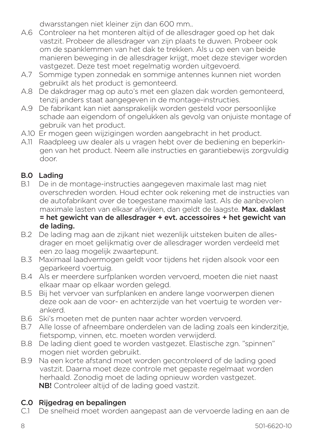dwarsstangen niet kleiner zijn dan 600 mm..

- A.6 Controleer na het monteren altijd of de allesdrager goed op het dak vastzit. Probeer de allesdrager van zijn plaats te duwen. Probeer ook om de spanklemmen van het dak te trekken. Als u op een van beide manieren beweging in de allesdrager krijgt, moet deze steviger worden vastgezet. Deze test moet regelmatig worden uitgevoerd.
- A.7 Sommige typen zonnedak en sommige antennes kunnen niet worden gebruikt als het product is gemonteerd.
- A.8 De dakdrager mag op auto's met een glazen dak worden gemonteerd, tenzij anders staat aangegeven in de montage-instructies.
- A.9 De fabrikant kan niet aansprakelijk worden gesteld voor persoonlijke schade aan eigendom of ongelukken als gevolg van onjuiste montage of gebruik van het product.
- A.10 Er mogen geen wijzigingen worden aangebracht in het product.
- A.11 Raadpleeg uw dealer als u vragen hebt over de bediening en beperkingen van het product. Neem alle instructies en garantiebewijs zorgvuldig door.

#### B.0 Lading

- B.1 De in de montage-instructies aangegeven maximale last mag niet overschreden worden. Houd echter ook rekening met de instructies van de autofabrikant over de toegestane maximale last. Als de aanbevolen maximale lasten van elkaar afwijken, dan geldt de laagste. Max. daklast = het gewicht van de allesdrager + evt. accessoires + het gewicht van de lading.
- B.2 De lading mag aan de zijkant niet wezenlijk uitsteken buiten de allesdrager en moet gelijkmatig over de allesdrager worden verdeeld met een zo laag mogelijk zwaartepunt.
- B.3 Maximaal laadvermogen geldt voor tijdens het rijden alsook voor een geparkeerd voertuig.
- B.4 Als er meerdere surfplanken worden vervoerd, moeten die niet naast elkaar maar op elkaar worden gelegd.
- B.5 Bij het vervoer van surfplanken en andere lange voorwerpen dienen deze ook aan de voor- en achterzijde van het voertuig te worden verankerd.
- B.6 Ski's moeten met de punten naar achter worden vervoerd.
- B.7 Alle losse of afneembare onderdelen van de lading zoals een kinderzitje, fietspomp, vinnen, etc. moeten worden verwijderd.
- B.8 De lading dient goed te worden vastgezet. Elastische zgn. "spinnen" mogen niet worden gebruikt.
- B.9 Na een korte afstand moet worden gecontroleerd of de lading goed vastzit. Daarna moet deze controle met gepaste regelmaat worden herhaald. Zonodig moet de lading opnieuw worden vastgezet. NB! Controleer altijd of de lading goed vastzit.

#### C.0 Rijgedrag en bepalingen

C.1 De snelheid moet worden aangepast aan de vervoerde lading en aan de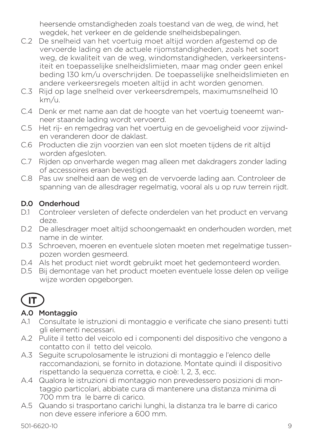heersende omstandigheden zoals toestand van de weg, de wind, het wegdek, het verkeer en de geldende snelheidsbepalingen.

- C.2 De snelheid van het voertuig moet altijd worden afgestemd op de vervoerde lading en de actuele rijomstandigheden, zoals het soort weg, de kwaliteit van de weg, windomstandigheden, verkeersintensiteit en toepasselijke snelheidslimieten, maar mag onder geen enkel beding 130 km/u overschrijden. De toepasselijke snelheidslimieten en andere verkeersregels moeten altijd in acht worden genomen.
- C.3 Rijd op lage snelheid over verkeersdrempels, maximumsnelheid 10 km/u.
- C.4 Denk er met name aan dat de hoogte van het voertuig toeneemt wanneer staande lading wordt vervoerd.
- C.5 Het rij- en remgedrag van het voertuig en de gevoeligheid voor zijwinden veranderen door de daklast.
- C.6 Producten die zijn voorzien van een slot moeten tijdens de rit altijd worden afgesloten.
- C.7 Rijden op onverharde wegen mag alleen met dakdragers zonder lading of accessoires eraan bevestigd.
- C.8 Pas uw snelheid aan de weg en de vervoerde lading aan. Controleer de spanning van de allesdrager regelmatig, vooral als u op ruw terrein rijdt.

#### D.0 Onderhoud

- D.1 Controleer versleten of defecte onderdelen van het product en vervang deze.
- D.2 De allesdrager moet altijd schoongemaakt en onderhouden worden, met name in de winter.
- D.3 Schroeven, moeren en eventuele sloten moeten met regelmatige tussenpozen worden gesmeerd.
- D.4 Als het product niet wordt gebruikt moet het gedemonteerd worden.
- D.5 Bij demontage van het product moeten eventuele losse delen op veilige wijze worden opgeborgen.

# **IT**

### A.0 Montaggio

- A.1 Consultate le istruzioni di montaggio e verificate che siano presenti tutti gli elementi necessari.
- A.2 Pulite il tetto del veicolo ed i componenti del dispositivo che vengono a contatto con il tetto del veicolo.
- A.3 Seguite scrupolosamente le istruzioni di montaggio e l'elenco delle raccomandazioni, se fornito in dotazione. Montate quindi il dispositivo rispettando la sequenza corretta, e cioè: 1, 2, 3, ecc.
- A.4 Qualora le istruzioni di montaggio non prevedessero posizioni di montaggio particolari, abbiate cura di mantenere una distanza minima di 700 mm tra le barre di carico.
- A.5 Quando si trasportano carichi lunghi, la distanza tra le barre di carico non deve essere inferiore a 600 mm.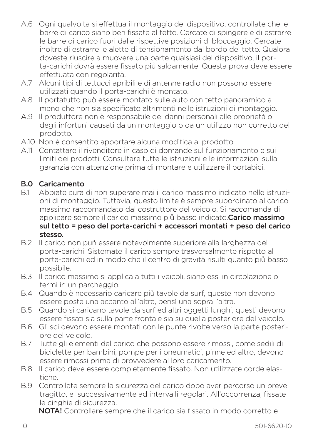- A.6 Ogni qualvolta si effettua il montaggio del dispositivo, controllate che le barre di carico siano ben fissate al tetto. Cercate di spingere e di estrarre le barre di carico fuori dalle rispettive posizioni di bloccaggio. Cercate inoltre di estrarre le alette di tensionamento dal bordo del tetto. Qualora doveste riuscire a muovere una parte qualsiasi del dispositivo, il porta-carichi dovrà essere fissato piů saldamente. Questa prova deve essere effettuata con regolarità.
- A.7 Alcuni tipi di tettucci apribili e di antenne radio non possono essere utilizzati quando il porta-carichi è montato.
- A.8 Il portatutto può essere montato sulle auto con tetto panoramico a meno che non sia specificato altrimenti nelle istruzioni di montaggio.
- A.9 Il produttore non è responsabile dei danni personali alle proprietà o degli infortuni causati da un montaggio o da un utilizzo non corretto del prodotto.
- A.10 Non è consentito apportare alcuna modifica al prodotto.
- A.11 Contattare il rivenditore in caso di domande sul funzionamento e sui limiti dei prodotti. Consultare tutte le istruzioni e le informazioni sulla garanzia con attenzione prima di montare e utilizzare il portabici.

# **B.0 Caricamento**<br>B1 Abbiate cura

- Abbiate cura di non superare mai il carico massimo indicato nelle istruzioni di montaggio. Tuttavia, questo limite è sempre subordinato al carico massimo raccomandato dal costruttore del veicolo. Si raccomanda di applicare sempre il carico massimo più basso indicato.Carico massimo sul tetto = peso del porta-carichi + accessori montati + peso del carico stesso.
- B.2 Il carico non puň essere notevolmente superiore alla larghezza del porta-carichi. Sistemate il carico sempre trasversalmente rispetto al porta-carichi ed in modo che il centro di gravità risulti quanto piů basso possibile.
- B.3 Il carico massimo si applica a tutti i veicoli, siano essi in circolazione o fermi in un parcheggio.
- B.4 Quando è necessario caricare piů tavole da surf, queste non devono essere poste una accanto all'altra, bensì una sopra l'altra.
- B.5 Quando si caricano tavole da surf ed altri oggetti lunghi, questi devono essere fissati sia sulla parte frontale sia su quella posteriore del veicolo.
- B.6 Gli sci devono essere montati con le punte rivolte verso la parte posteriore del veicolo.
- B.7 Tutte gli elementi del carico che possono essere rimossi, come sedili di biciclette per bambini, pompe per i pneumatici, pinne ed altro, devono essere rimossi prima di provvedere al loro caricamento.
- B.8 Il carico deve essere completamente fissato. Non utilizzate corde elastiche.
- B.9 Controllate sempre la sicurezza del carico dopo aver percorso un breve tragitto, e successivamente ad intervalli regolari. All'occorrenza, fissate le cinghie di sicurezza.

NOTA! Controllare sempre che il carico sia fissato in modo corretto e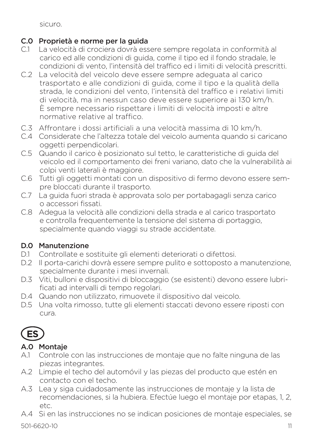sicuro.

### C.0 Proprietà e norme per la guida

- C.1 La velocità di crociera dovrà essere sempre regolata in conformità al carico ed alle condizioni di guida, come il tipo ed il fondo stradale, le condizioni di vento, l'intensità del traffico ed i limiti di velocità prescritti.
- C.2 La velocità del veicolo deve essere sempre adeguata al carico trasportato e alle condizioni di guida, come il tipo e la qualità della strada, le condizioni del vento, l'intensità del traffico e i relativi limiti di velocità, ma in nessun caso deve essere superiore ai 130 km/h. È sempre necessario rispettare i limiti di velocità imposti e altre normative relative al traffico.
- C.3 Affrontare i dossi artificiali a una velocità massima di 10 km/h.
- C.4 Considerate che l'altezza totale del veicolo aumenta quando si caricano oggetti perpendicolari.
- C.5 Quando il carico è posizionato sul tetto, le caratteristiche di guida del veicolo ed il comportamento dei freni variano, dato che la vulnerabilità ai colpi venti laterali è maggiore.
- C.6 Tutti gli oggetti montati con un dispositivo di fermo devono essere sempre bloccati durante il trasporto.
- C.7 La guida fuori strada è approvata solo per portabagagli senza carico o accessori fissati.
- C.8 Adegua la velocità alle condizioni della strada e al carico trasportato e controlla frequentemente la tensione del sistema di portaggio, specialmente quando viaggi su strade accidentate.

# D.0 Manutenzione

- D.1 Controllate e sostituite gli elementi deteriorati o difettosi.
- D.2 Il porta-carichi dovrà essere sempre pulito e sottoposto a manutenzione, specialmente durante i mesi invernali.
- D.3 Viti, bulloni e dispositivi di bloccaggio (se esistenti) devono essere lubrificati ad intervalli di tempo regolari.
- D.4 Quando non utilizzato, rimuovete il dispositivo dal veicolo.
- D.5 Una volta rimosso, tutte gli elementi staccati devono essere riposti con cura.



# A.0 Montaje

- A.1 Controle con las instrucciones de montaje que no falte ninguna de las piezas integrantes.
- A.2 Limpie el techo del automóvil y las piezas del producto que estén en contacto con el techo.
- A.3 Lea y siga cuidadosamente las instrucciones de montaje y la lista de recomendaciones, si la hubiera. Efectúe luego el montaje por etapas, 1, 2, etc.
- A.4 Si en las instrucciones no se indican posiciones de montaje especiales, se

501-6620-10 11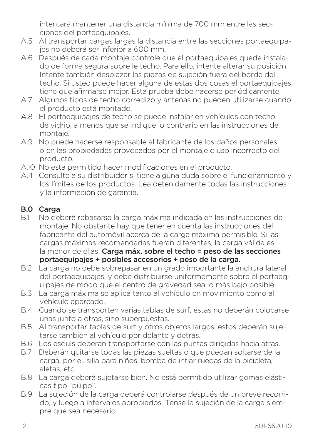intentará mantener una distancia mínima de 700 mm entre las secciones del portaequipajes.

- A.5 Al transportar cargas largas la distancia entre las secciones portaequipajes no deberá ser inferior a 600 mm.
- A.6 Después de cada montaje controle que el portaequipajes quede instalado de forma segura sobre le techo. Para ello, intente alterar su posición. Intente también desplazar las piezas de sujeción fuera del borde del techo. Si usted puede hacer alguna de estas dos cosas el portaequipajes tiene que afirmarse mejor. Esta prueba debe hacerse periódicamente.
- A.7 Algunos tipos de techo corredizo y antenas no pueden utilizarse cuando el producto está montado.
- A.8 El portaequipajes de techo se puede instalar en vehículos con techo de vidrio, a menos que se indique lo contrario en las instrucciones de montaje.
- A.9 No puede hacerse responsable al fabricante de los daños personales o en las propiedades provocados por el montaje o uso incorrecto del producto.
- A.10 No está permitido hacer modificaciones en el producto.
- A.11 Consulte a su distribuidor si tiene alguna duda sobre el funcionamiento y los límites de los productos. Lea detenidamente todas las instrucciones y la información de garantía.

### B.0 Carga

- B.1 No deberá rebasarse la carga máxima indicada en las instrucciones de montaje. No obstante hay que tener en cuenta las instrucciones del fabricante del automóvil acerca de la carga máxima permisible. Si las cargas máximas recomendadas fueran diferentes, la carga válida es la menor de ellas. Carga máx. sobre el techo = peso de las secciones portaequipajes + posibles accesorios + peso de la carga.
- B.2 La carga no debe sobrepasar en un grado importante la anchura lateral del portaequipajes, y debe distribuirse uniformemente sobre el portaequipajes de modo que el centro de gravedad sea lo más bajo posible.
- B.3 La carga máxima se aplica tanto al vehículo en movimiento como al vehículo aparcado.
- B.4 Cuando se transporten varias tablas de surf, éstas no deberán colocarse unas junto a otras, sino superpuestas.
- B.5 Al transportar tablas de surf y otros objetos largos, estos deberán sujetarse también al vehículo por delante y detrás.
- B.6 Los esquís deberán transportarse con las puntas dirigidas hacia atrás.<br>B.7 Deberán quitarse todas las piezas sueltas o que puedan soltarse de la
- Deberán quitarse todas las piezas sueltas o que puedan soltarse de la carga, por ej. silla para niños, bomba de inflar ruedas de la bicicleta, aletas, etc.
- B.8 La carga deberá sujetarse bien. No está permitido utilizar gomas elásticas tipo "pulpo".
- B.9 La sujeción de la carga deberá controlarse después de un breve recorrido, y luego a intervalos apropiados. Tense la sujeción de la carga siempre que sea necesario.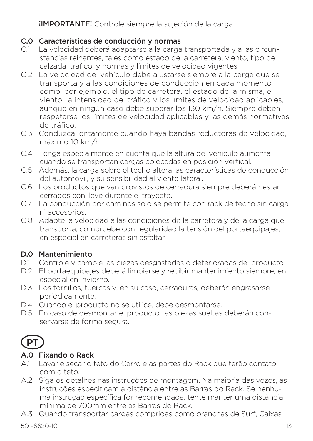**IIMPORTANTE!** Controle siempre la sujeción de la carga.

### C.0 Características de conducción y normas

- C.1 La velocidad deberá adaptarse a la carga transportada y a las circunstancias reinantes, tales como estado de la carretera, viento, tipo de calzada, tráfico, y normas y límites de velocidad vigentes.
- C.2 La velocidad del vehículo debe ajustarse siempre a la carga que se transporta y a las condiciones de conducción en cada momento como, por ejemplo, el tipo de carretera, el estado de la misma, el viento, la intensidad del tráfico y los límites de velocidad aplicables, aunque en ningún caso debe superar los 130 km/h. Siempre deben respetarse los límites de velocidad aplicables y las demás normativas de tráfico.
- C.3 Conduzca lentamente cuando haya bandas reductoras de velocidad, máximo 10 km/h.
- C.4 Tenga especialmente en cuenta que la altura del vehículo aumenta cuando se transportan cargas colocadas en posición vertical.
- C.5 Además, la carga sobre el techo altera las características de conducción del automóvil, y su sensibilidad al viento lateral.
- C.6 Los productos que van provistos de cerradura siempre deberán estar cerrados con llave durante el trayecto.
- C.7 La conducción por caminos solo se permite con rack de techo sin carga ni accesorios.
- C.8 Adapte la velocidad a las condiciones de la carretera y de la carga que transporta, compruebe con regularidad la tensión del portaequipajes, en especial en carreteras sin asfaltar.

### D.0 Mantenimiento

- D.1 Controle y cambie las piezas desgastadas o deterioradas del producto.
- D.2 El portaequipajes deberá limpiarse y recibir mantenimiento siempre, en especial en invierno.
- D.3 Los tornillos, tuercas y, en su caso, cerraduras, deberán engrasarse periódicamente.
- D.4 Cuando el producto no se utilice, debe desmontarse.
- D.5 En caso de desmontar el producto, las piezas sueltas deberán conservarse de forma segura.



#### A.0 Fixando o Rack

- A.1 Lavar e secar o teto do Carro e as partes do Rack que terão contato com o teto.
- A.2 Siga os detalhes nas instruções de montagem. Na maioria das vezes, as instruções especificam a distância entre as Barras do Rack. Se nenhuma instrução específica for recomendada, tente manter uma distância mínima de 700mm entre as Barras do Rack.
- A.3 Quando transportar cargas compridas como pranchas de Surf, Caixas

501-6620-10 13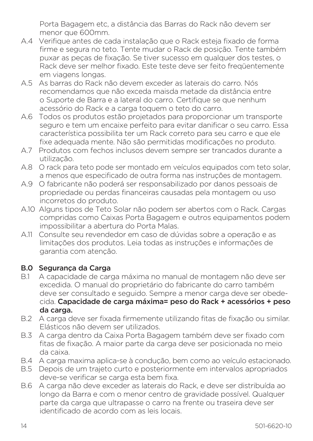Porta Bagagem etc, a distância das Barras do Rack não devem ser menor que 600mm.

- A.4 Verifique antes de cada instalação que o Rack esteja fixado de forma firme e segura no teto. Tente mudar o Rack de posição. Tente também puxar as peças de fixação. Se tiver sucesso em qualquer dos testes, o Rack deve ser melhor fixado. Este teste deve ser feito freqüentemente em viagens longas.
- A.5 As barras do Rack não devem exceder as laterais do carro. Nós recomendamos que não exceda maisda metade da distância entre o Suporte de Barra e a lateral do carro. Certifique se que nenhum acessório do Rack e a carga toquem o teto do carro.
- A.6 Todos os produtos estão projetados para proporcionar um transporte seguro e tem um encaixe perfeito para evitar danificar o seu carro. Essa característica possibilita ter um Rack correto para seu carro e que ele fixe adequada mente. Não são permitidas modificações no produto.
- A.7 Produtos com fechos inclusos devem sempre ser trancados durante a utilização.
- A.8 O rack para teto pode ser montado em veículos equipados com teto solar, a menos que especificado de outra forma nas instruções de montagem.
- A.9 O fabricante não poderá ser responsabilizado por danos pessoais de propriedade ou perdas financeiras causadas pela montagem ou uso incorretos do produto.
- A.10 Alguns tipos de Teto Solar não podem ser abertos com o Rack. Cargas compridas como Caixas Porta Bagagem e outros equipamentos podem impossibilitar a abertura do Porta Malas.
- A.11 Consulte seu revendedor em caso de dúvidas sobre a operação e as limitações dos produtos. Leia todas as instruções e informações de garantia com atenção.

#### B.0 Segurança da Carga

- B.1 A capacidade de carga máxima no manual de montagem não deve ser excedida. O manual do proprietário do fabricante do carro também deve ser consultado e seguido. Sempre a menor carga deve ser obedecida. Capacidade de carga máxima= peso do Rack + acessórios + peso da carga.
- B.2 A carga deve ser fixada firmemente utilizando fitas de fixação ou similar. Elásticos não devem ser utilizados.
- B.3 A carga dentro da Caixa Porta Bagagem também deve ser fixado com fitas de fixação. A maior parte da carga deve ser posicionada no meio da caixa.
- B.4 A carga maxima aplica-se à condução, bem como ao veículo estacionado.
- B.5 Depois de um trajeto curto e posteriormente em intervalos apropriados deve-se verificar se carga esta bem fixa.
- B.6 A carga não deve exceder as laterais do Rack, e deve ser distribuída ao longo da Barra e com o menor centro de gravidade possível. Qualquer parte da carga que ultrapasse o carro na frente ou traseira deve ser identificado de acordo com as leis locais.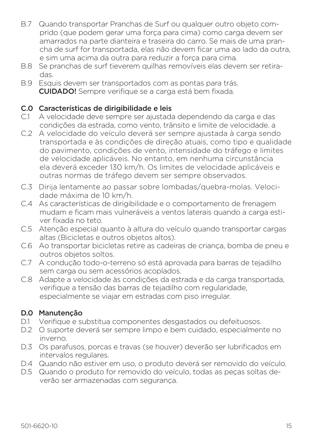- B.7 Quando transportar Pranchas de Surf ou qualquer outro objeto comprido (que podem gerar uma força para cima) como carga devem ser amarrados na parte dianteira e traseira do carro. Se mais de uma prancha de surf for transportada, elas não devem ficar uma ao lado da outra, e sim uma acima da outra para reduzir a força para cima.
- B.8 Se pranchas de surf tieverem quilhas removíveis elas devem ser retiradas.
- B.9 Esquis devem ser transportados com as pontas para trás. CUIDADO! Sempre verifique se a carga está bem fixada.

# C.0 Características de dirigibilidade e leis<br>C1 A velocidade deve sempre ser aiustada

- A velocidade deve sempre ser ajustada dependendo da carga e das condições da estrada, como vento, trânsito e limite de velocidade. a
- C.2 A velocidade do veículo deverá ser sempre ajustada à carga sendo transportada e às condições de direção atuais, como tipo e qualidade do pavimento, condições de vento, intensidade do tráfego e limites de velocidade aplicáveis. No entanto, em nenhuma circunstância ela deverá exceder 130 km/h. Os limites de velocidade aplicáveis e outras normas de tráfego devem ser sempre observados.
- C.3 Dirija lentamente ao passar sobre lombadas/quebra-molas. Velocidade máxima de 10 km/h.
- C.4 As características de dirigibilidade e o comportamento de frenagem mudam e ficam mais vulneráveis a ventos laterais quando a carga estiver fixada no teto.
- C.5 Atenção especial quanto à altura do veículo quando transportar cargas altas (Bicicletas e outros objetos altos).
- C.6 Ao transportar bicicletas retire as cadeiras de criança, bomba de pneu e outros objetos soltos.
- C.7 A condução todo-o-terreno só está aprovada para barras de tejadilho sem carga ou sem acessórios acoplados.
- C.8 Adapte a velocidade às condições da estrada e da carga transportada, verifique a tensão das barras de tejadilho com regularidade, especialmente se viajar em estradas com piso irregular.

#### D.0 Manutenção

- D.1 Verifique e substitua componentes desgastados ou defeituosos.
- D.2 O suporte deverá ser sempre limpo e bem cuidado, especialmente no inverno.
- D.3 Os parafusos, porcas e travas (se houver) deverão ser lubrificados em intervalos regulares.
- D.4 Quando não estiver em uso, o produto deverá ser removido do veículo.
- D.5 Quando o produto for removido do veículo, todas as peças soltas deverão ser armazenadas com segurança.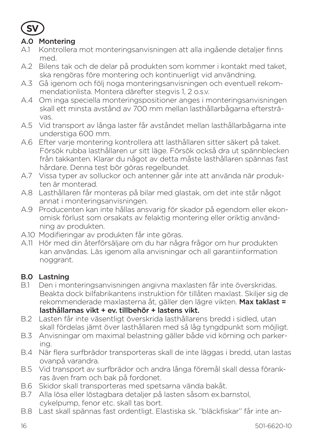

#### A.0 Montering

- A.1 Kontrollera mot monteringsanvisningen att alla ingående detaljer finns med.
- A.2 Bilens tak och de delar på produkten som kommer i kontakt med taket, ska rengöras före montering och kontinuerligt vid användning.
- A.3 Gå igenom och följ noga monteringsanvisningen och eventuell rekommendationlista. Montera därefter stegvis 1, 2 o.s.v.
- A.4 Om inga speciella monteringspositioner anges i monteringsanvisningen skall ett minsta avstånd av 700 mm mellan lasthållarbågarna eftersträvas.
- A.5 Vid transport av långa laster får avståndet mellan lasthållarbågarna inte understiga 600 mm.
- A.6 Efter varje montering kontrollera att lasthållaren sitter säkert på taket. Försök rubba lasthållaren ur sitt läge. Försök också dra ut spännblecken från takkanten. Klarar du något av detta måste lasthållaren spännas fast hårdare. Denna test bör göras regelbundet.
- A.7 Vissa typer av solluckor och antenner går inte att använda när produkten är monterad.
- A.8 Lasthållaren får monteras på bilar med glastak, om det inte står något annat i monteringsanvisningen.
- A.9 Producenten kan inte hållas ansvarig för skador på egendom eller ekonomisk förlust som orsakats av felaktig montering eller oriktig användning av produkten.
- A.10 Modifieringar av produkten får inte göras.
- A.11 Hör med din återförsäljare om du har några frågor om hur produkten kan användas. Läs igenom alla anvisningar och all garantiinformation noggrant.

### B.0 Lastning

- B.1 Den i monteringsanvisningen angivna maxlasten får inte överskridas. Beakta dock bilfabrikantens instruktion för tillåten maxlast. Skiljer sig de rekommenderade maxlasterna åt, gäller den lägre vikten. Max taklast = lasthållarnas vikt + ev. tillbehör + lastens vikt.
- B.2 Lasten får inte väsentligt överskrida lasthållarens bredd i sidled, utan skall fördelas jämt över lasthållaren med så låg tyngdpunkt som möjligt.
- B.3 Anvisningar om maximal belastning gäller både vid körning och parkering.
- B.4 När flera surfbrädor transporteras skall de inte läggas i bredd, utan lastas ovanpå varandra.
- B.5 Vid transport av surfbrädor och andra långa föremål skall dessa förankras även fram och bak på fordonet.
- B.6 Skidor skall transporteras med spetsarna vända bakåt.
- B.7 Alla lösa eller löstagbara detaljer på lasten såsom ex.barnstol, cykelpump, fenor etc. skall tas bort.
- B.8 Last skall spännas fast ordentligt. Elastiska sk. ''bläckfiskar'' får inte an-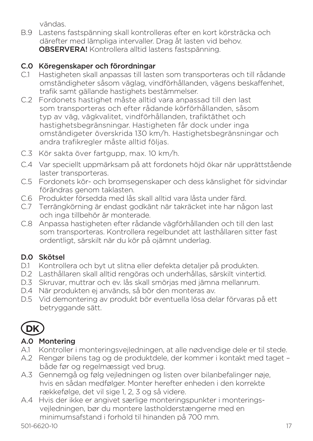vändas.

B.9 Lastens fastspänning skall kontrolleras efter en kort körsträcka och därefter med lämpliga intervaller. Drag åt lasten vid behov. OBSERVERA! Kontrollera alltid lastens fastspänning.

#### C.0 Köregenskaper och förordningar

- C.1 Hastigheten skall anpassas till lasten som transporteras och till rådande omständigheter såsom väglag, vindförhållanden, vägens beskaffenhet, trafik samt gällande hastighets bestämmelser.
- C.2 Fordonets hastighet måste alltid vara anpassad till den last som transporteras och efter rådande körförhållanden, såsom typ av väg, vägkvalitet, vindförhållanden, trafiktäthet och hastighetsbegränsningar. Hastigheten får dock under inga omständigeter överskrida 130 km/h. Hastighetsbegränsningar och andra trafikregler måste alltid följas.
- C.3 Kör sakta över fartgupp, max. 10 km/h.
- C.4 Var speciellt uppmärksam på att fordonets höjd ökar när upprättstående laster transporteras.
- C.5 Fordonets kör- och bromsegenskaper och dess känslighet för sidvindar förändras genom taklasten.
- C.6 Produkter försedda med lås skall alltid vara låsta under färd.
- C.7 Terrängkörning är endast godkänt när takräcket inte har någon last och inga tillbehör är monterade.
- C.8 Anpassa hastigheten efter rådande vägförhållanden och till den last som transporteras. Kontrollera regelbundet att lasthållaren sitter fast ordentligt, särskilt när du kör på ojämnt underlag.

# D.0 Skötsel

- D.1 Kontrollera och byt ut slitna eller defekta detaljer på produkten.
- D.2 Lasthållaren skall alltid rengöras och underhållas, särskilt vintertid.
- D.3 Skruvar, muttrar och ev. lås skall smörjas med jämna mellanrum.
- D.4 När produkten ej används, så bör den monteras av.
- D.5 Vid demontering av produkt bör eventuella lösa delar förvaras på ett betryggande sätt.

# **DK**

### A.0 Montering

- A.1 Kontroller i monteringsvejledningen, at alle nødvendige dele er til stede.
- A.2 Rengør bilens tag og de produktdele, der kommer i kontakt med taget både før og regelmæssigt ved brug.
- A.3 Gennemgå og følg vejledningen og listen over bilanbefalinger nøje, hvis en sådan medfølger. Monter herefter enheden i den korrekte rækkefølge, det vil sige 1, 2, 3 og så videre.
- A.4 Hvis der ikke er angivet særlige monteringspunkter i monteringsvejledningen, bør du montere lastholderstængerne med en minimumsafstand i forhold til hinanden på 700 mm.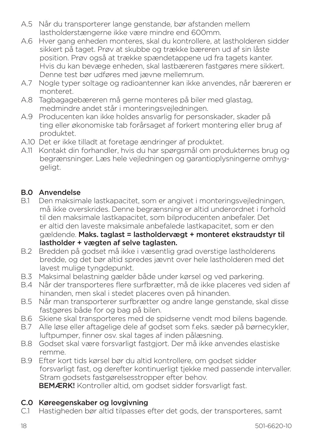- A.5 Når du transporterer lange genstande, bør afstanden mellem lastholderstængerne ikke være mindre end 600mm.
- A.6 Hver gang enheden monteres, skal du kontrollere, at lastholderen sidder sikkert på taget. Prøv at skubbe og trække bæreren ud af sin låste position. Prøv også at trække spændetappene ud fra tagets kanter. Hvis du kan bevæge enheden, skal lastbæreren fastgøres mere sikkert. Denne test bør udføres med jævne mellemrum.
- A.7 Nogle typer soltage og radioantenner kan ikke anvendes, når bæreren er monteret.
- A.8 Tagbagagebæreren må gerne monteres på biler med glastag, medmindre andet står i monteringsvejledningen.
- A.9 Producenten kan ikke holdes ansvarlig for personskader, skader på ting eller økonomiske tab forårsaget af forkert montering eller brug af produktet.
- A.10 Det er ikke tilladt at foretage ændringer af produktet.
- A.11 Kontakt din forhandler, hvis du har spørgsmål om produkternes brug og begrænsninger. Læs hele vejledningen og garantioplysningerne omhyggeligt.

#### B.0 Anvendelse

- B.1 Den maksimale lastkapacitet, som er angivet i monteringsvejledningen, må ikke overskrides. Denne begrænsning er altid underordnet i forhold til den maksimale lastkapacitet, som bilproducenten anbefaler. Det er altid den laveste maksimale anbefalede lastkapacitet, som er den gældende. Maks. taglast = lastholdervægt + monteret ekstraudstyr til lastholder + vægten af selve taglasten.
- B.2 Bredden på godset må ikke i væsentlig grad overstige lastholderens bredde, og det bør altid spredes jævnt over hele lastholderen med det lavest mulige tyngdepunkt.
- B.3 Maksimal belastning gælder både under kørsel og ved parkering.
- B.4 Når der transporteres flere surfbrætter, må de ikke placeres ved siden af hinanden, men skal i stedet placeres oven på hinanden.
- B.5 Når man transporterer surfbrætter og andre lange genstande, skal disse fastgøres både for og bag på bilen.
- B.6 Skiene skal transporteres med de spidserne vendt mod bilens bagende.
- B.7 Alle løse eller aftagelige dele af godset som f.eks. sæder på børnecykler, luftpumper, finner osv. skal tages af inden pålæsning.
- B.8 Godset skal være forsvarligt fastgjort. Der må ikke anvendes elastiske remme.
- B.9 Efter kort tids kørsel bør du altid kontrollere, om godset sidder forsvarligt fast, og derefter kontinuerligt tjekke med passende intervaller. Stram godsets fastgørelsesstropper efter behov.

BEMÆRK! Kontroller altid, om godset sidder forsvarligt fast.

### C.0 Køreegenskaber og lovgivning

C.1 Hastigheden bør altid tilpasses efter det gods, der transporteres, samt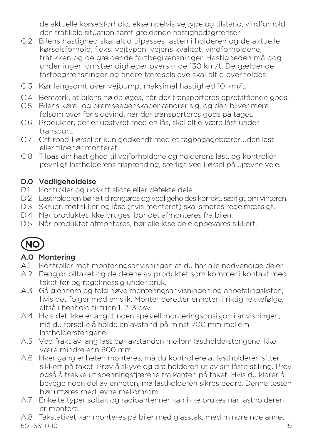de aktuelle kørselsforhold, eksempelvis vejtype og tilstand, vindforhold, den trafikale situation samt gældende hastighedsgrænser.

- C.2 Bilens hastighed skal altid tilpasses lasten i holderen og de aktuelle kørselsforhold, f.eks. vejtypen, vejens kvalitet, vindforholdene, trafikken og de gældende fartbegrænsninger. Hastigheden må dog under ingen omstændigheder overskride 130 km/t. De gældende fartbegrænsninger og andre færdselslove skal altid overholdes.
- C.3 Kør langsomt over vejbump, maksimal hastighed 10 km/t.
- C.4 Bemærk, at bilens højde øges, når der transporteres opretstående gods.
- C.5 Bilens køre- og bremseegenskaber ændrer sig, og den bliver mere følsom over for sidevind, når der transporteres gods på taget.
- C.6 Produkter, der er udstyret med en lås, skal altid være låst under transport.
- C.7 Off-road-kørsel er kun godkendt med et tagbagagebærer uden last eller tilbehør monteret.
- C.8 Tilpas din hastighed til vejforholdene og holderens last, og kontrollér jævnligt lastholderens tilspænding, særligt ved kørsel på ujævne veje.

#### D.0 Vedligeholdelse

- D.1 Kontroller og udskift slidte eller defekte dele.
- D.2 Lastholderen bør altid rengøres og vedligeholdes korrekt, særligt om vinteren.
- D.3 Skruer, møtrikker og låse (hvis monteret) skal smøres regelmæssigt.
- D.4 Når produktet ikke bruges, bør det afmonteres fra bilen.
- D.5 Når produktet afmonteres, bør alle løse dele opbevares sikkert.



#### A.0 Montering

- A.1 Kontroller mot monteringsanvisningen at du har alle nødvendige deler.
- A.2 Rengjør biltaket og de delene av produktet som kommer i kontakt med taket før og regelmessig under bruk.
- A.3 Gå gjennom og følg nøye monteringsanvisningen og anbefalingslisten, hvis det følger med en slik. Monter deretter enheten i riktig rekkefølge, altså i henhold til trinn 1, 2, 3 osv.
- A.4 Hvis det ikke er angitt noen spesiell monteringsposisjon i anvisningen, må du forsøke å holde en avstand på minst 700 mm mellom lastholderstengene.
- A.5 Ved frakt av lang last bør avstanden mellom lastholderstengene ikke være mindre enn 600 mm.
- A.6 Hver gang enheten monteres, må du kontrollere at lastholderen sitter sikkert på taket. Prøv å skyve og dra holderen ut av sin låste stilling. Prøv også å trekke ut spenningsfjærene fra kanten på taket. Hvis du klarer å bevege noen del av enheten, må lastholderen sikres bedre. Denne testen bør utføres med jevne mellomrom.
- A.7 Enkelte typer soltak og radioantenner kan ikke brukes når lastholderen er montert.

501-6620-10 19 A.8 Takstativet kan monteres på biler med glasstak, med mindre noe annet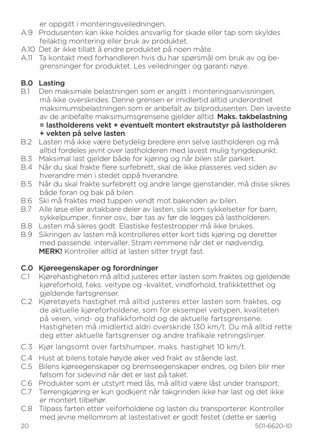er oppgitt i monteringsveiledningen.

- A.9 Produsenten kan ikke holdes ansvarlig for skade eller tap som skyldes feilaktig montering eller bruk av produktet.
- A.10 Det är ikke tillatt å endre produktet på noen måte.
- A.11 Ta kontakt med forhandleren hvis du har spørsmål om bruk av og begrensninger for produktet. Les veiledninger og garanti nøye.

### B.0 Lasting

- B.1 Den maksimale belastningen som er angitt i monteringsanvisningen, må ikke overskrides. Denne grensen er imidlertid alltid underordnet maksimumsbelastningen som er anbefalt av bilprodusenten. Den laveste av de anbefalte maksimumsgrensene gjelder alltid. Maks. takbelastning = lastholderens vekt + eventuelt montert ekstrautstyr på lastholderen + vekten på selve lasten.
- B.2 Lasten må ikke være betydelig bredere enn selve lastholderen og må alltid fordeles jevnt over lastholderen med lavest mulig tyngdepunkt.
- B.3 Maksimal last gjelder både for kjøring og når bilen står parkert.
- B.4 Når du skal frakte flere surfebrett, skal de ikke plasseres ved siden av hverandre men i stedet oppå hverandre.
- B.5 Når du skal frakte surfebrett og andre lange gjenstander, må disse sikres både foran og bak på bilen.
- B.6 Ski må fraktes med tuppen vendt mot bakenden av bilen.
- B.7 Alle løse eller avtakbare deler av lasten, slik som sykkelseter for barn, sykkelpumper, finner osv., bør tas av før de legges på lastholderen.
- B.8 Lasten må sikres godt. Elastiske festestropper må ikke brukes.
- B.9 Sikringen av lasten må kontrolleres etter kort tids kjøring og deretter med passende. intervaller. Stram remmene når det er nødvendig. MERK! Kontroller alltid at lasten sitter trygt fast.

### C.0 Kjøreegenskaper og forordninger

- C.1 Kjørehastigheten må alltid justeres etter lasten som fraktes og gjeldende kjøreforhold, f.eks. veitype og -kvalitet, vindforhold, trafikktetthet og gieldende fartsgrenser.
- C.2 Kjøretøyets hastighet må alltid justeres etter lasten som fraktes, og de aktuelle kjøreforholdene, som for eksempel veitypen, kvaliteten på veien, vind- og trafikkforhold og de aktuelle fartsgrensene. Hastigheten må imidlertid aldri overskride 130 km/t. Du må alltid rette deg etter aktuelle fartsgrenser og andre trafikale retningslinjer.
- C.3 Kjør langsomt over fartshumper, maks. hastighet 10 km/t.
- C.4 Hust at bilens totale høyde øker ved frakt av stående last.
- C.5 Bilens kjøreegenskaper og bremseegenskaper endres, og bilen blir mer følsom for sidevind når det er last på taket.
- C.6 Produkter som er utstyrt med lås, må alltid være låst under transport.
- C.7 Terrengkjøring er kun godkjent når takgrinden ikke har last og det ikke er montert tilbehør.
- C.8 Tilpass farten etter veiforholdene og lasten du transporterer. Kontroller med jevne mellomrom at lastestativet er godt festet (dette er særlig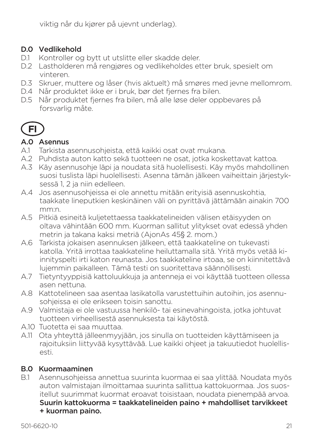viktig når du kjører på ujevnt underlag).

#### D.0 Vedlikehold

- D.1 Kontroller og bytt ut utslitte eller skadde deler.
- D.2 Lastholderen må rengjøres og vedlikeholdes etter bruk, spesielt om vinteren.
- D.3 Skruer, muttere og låser (hvis aktuelt) må smøres med jevne mellomrom.
- D.4 Når produktet ikke er i bruk, bør det fjernes fra bilen.
- D.5 Når produktet fjernes fra bilen, må alle løse deler oppbevares på forsvarlig måte.



#### A.0 Asennus

- A.1 Tarkista asennusohjeista, että kaikki osat ovat mukana.
- A.2 Puhdista auton katto sekä tuotteen ne osat, jotka koskettavat kattoa.
- A.3 Käy asennusohje läpi ja noudata sitä huolellisesti. Käy myös mahdollinen suosi tuslista läpi huolellisesti. Asenna tämän jälkeen vaiheittain järjestyksessä 1, 2 ja niin edelleen.
- A.4 Jos asennusohjeissa ei ole annettu mitään erityisiä asennuskohtia, taakkate lineputkien keskinäinen väli on pyrittävä jättämään ainakin 700 mm:n.
- A.5 Pitkiä esineitä kuljetettaessa taakkatelineiden välisen etäisyyden on oltava vähintään 600 mm. Kuorman sallitut ylitykset ovat edessä yhden metrin ja takana kaksi metriä (AjonAs 45§ 2. mom.)
- A.6 Tarkista jokaisen asennuksen jälkeen, että taakkateline on tukevasti katolla. Yritä irrottaa taakkateline heiluttamalla sitä. Yritä myös vetää kiinnityspelti irti katon reunasta. Jos taakkateline irtoaa, se on kiinnitettävä lujemmin paikalleen. Tämä testi on suoritettava säännöllisesti.
- A.7 Tietyntyyppisiä kattoluukkuja ja antenneja ei voi käyttää tuotteen ollessa asen nettuna.
- A.8 Kattotelineen saa asentaa lasikatolla varustettuihin autoihin, jos asennusohjeissa ei ole erikseen toisin sanottu.
- A.9 Valmistaja ei ole vastuussa henkilö- tai esinevahingoista, jotka johtuvat tuotteen virheellisestä asennuksesta tai käytöstä.
- A.10 Tuotetta ei saa muuttaa.
- A.11 Ota yhteyttä jälleenmyyjään, jos sinulla on tuotteiden käyttämiseen ja rajoituksiin liittyvää kysyttävää. Lue kaikki ohjeet ja takuutiedot huolellisesti.

### B.0 Kuormaaminen

B.1 Asennusohjeissa annettua suurinta kuormaa ei saa ylittää. Noudata myös auton valmistajan ilmoittamaa suurinta sallittua kattokuormaa. Jos suositellut suurimmat kuormat eroavat toisistaan, noudata pienempää arvoa. Suurin kattokuorma = taakkatelineiden paino + mahdolliset tarvikkeet + kuorman paino.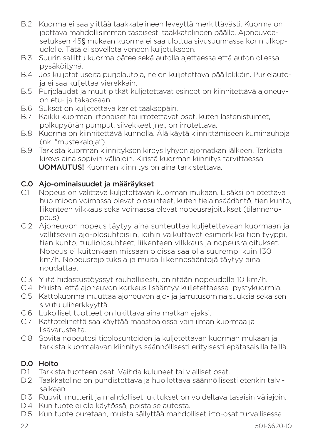- B.2 Kuorma ei saa ylittää taakkatelineen leveyttä merkittävästi. Kuorma on jaettava mahdollisimman tasaisesti taakkatelineen päälle. Ajoneuvoasetuksen 45§ mukaan kuorma ei saa ulottua sivusuunnassa korin ulkopuolelle. Tätä ei sovelleta veneen kuljetukseen.
- B.3 Suurin sallittu kuorma pätee sekä autolla ajettaessa että auton ollessa pysäköitynä.
- B.4 Jos kuljetat useita purjelautoja, ne on kuljetettava päällekkäin. Purjelautoja ei saa kuljettaa vierekkäin.
- B.5 Purjelaudat ja muut pitkät kuljetettavat esineet on kiinnitettävä ajoneuvon etu- ja takaosaan.
- B.6 Sukset on kuljetettava kärjet taaksepäin.
- B.7 Kaikki kuorman irtonaiset tai irrotettavat osat, kuten lastenistuimet, polkupyörän pumput, siivekkeet jne., on irrotettava.
- B.8 Kuorma on kiinnitettävä kunnolla. Älä käytä kiinnittämiseen kuminauhoja (nk. "mustekaloja").
- B.9 Tarkista kuorman kiinnityksen kireys lyhyen ajomatkan jälkeen. Tarkista kireys aina sopivin väliajoin. Kiristä kuorman kiinnitys tarvittaessa UOMAUTUS! Kuorman kiinnitys on aina tarkistettava.

### C.0 Ajo-ominaisuudet ja määräykset

- C.1 Nopeus on valittava kuljetettavan kuorman mukaan. Lisäksi on otettava huo mioon voimassa olevat olosuhteet, kuten tielainsäädäntö, tien kunto, liikenteen vilkkaus sekä voimassa olevat nopeusrajoitukset (tilannenopeus).
- C.2 Ajoneuvon nopeus täytyy aina suhteuttaa kuljetettavaan kuormaan ja vallitseviin ajo-olosuhteisiin, joihin vaikuttavat esimerkiksi tien tyyppi, tien kunto, tuuliolosuhteet, liikenteen vilkkaus ja nopeusrajoitukset. Nopeus ei kuitenkaan missään oloissa saa olla suurempi kuin 130 km/h. Nopeusrajoituksia ja muita liikennesääntöjä täytyy aina noudattaa.
- C.3 Ylitä hidastustöyssyt rauhallisesti, enintään nopeudella 10 km/h.
- C.4 Muista, että ajoneuvon korkeus lisääntyy kuljetettaessa pystykuormia.
- C.5 Kattokuorma muuttaa ajoneuvon ajo- ja jarrutusominaisuuksia sekä sen sivutu uliherkkyyttä.
- C.6 Lukolliset tuotteet on lukittava aina matkan ajaksi.
- C.7 Kattotelinettä saa käyttää maastoajossa vain ilman kuormaa ja lisävarusteita.
- C.8 Sovita nopeutesi tieolosuhteiden ja kuljetettavan kuorman mukaan ja tarkista kuormalavan kiinnitys säännöllisesti erityisesti epätasaisilla teillä.

### D.0 Hoito

- D.1 Tarkista tuotteen osat. Vaihda kuluneet tai vialliset osat.
- D.2 Taakkateline on puhdistettava ja huollettava säännöllisesti etenkin talvisaikaan.
- D.3 Ruuvit, mutterit ja mahdolliset lukitukset on voideltava tasaisin väliajoin.
- D.4 Kun tuote ei ole käytössä, poista se autosta.
- D.5 Kun tuote puretaan, muista säilyttää mahdolliset irto-osat turvallisessa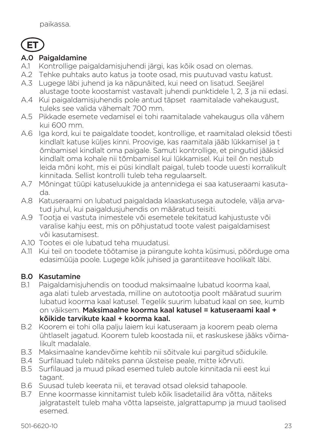

#### A.0 Paigaldamine

- A.1 Kontrollige paigaldamisjuhendi järgi, kas kõik osad on olemas.
- A.2 Tehke puhtaks auto katus ja toote osad, mis puutuvad vastu katust.
- A.3 Lugege läbi juhend ja ka näpunäited, kui need on lisatud. Seejärel alustage toote koostamist vastavalt juhendi punktidele 1, 2, 3 ja nii edasi.
- A.4 Kui paigaldamisjuhendis pole antud täpset raamitalade vahekaugust, tuleks see valida vähemalt 700 mm.
- A.5 Pikkade esemete vedamisel ei tohi raamitalade vahekaugus olla vähem kui 600 mm.
- A.6 Iga kord, kui te paigaldate toodet, kontrollige, et raamitalad oleksid tõesti kindlalt katuse küljes kinni. Proovige, kas raamitala jääb lükkamisel ja t õmbamisel kindlalt oma paigale. Samuti kontrollige, et pingutid jääksid kindlalt oma kohale nii tõmbamisel kui lükkamisel. Kui teil õn nestub leida mõni koht, mis ei püsi kindlalt paigal, tuleb toode uuesti korralikult kinnitada. Sellist kontrolli tuleb teha regulaarselt.
- A.7 Mõningat tüüpi katuseluukide ja antennidega ei saa katuseraami kasutada.
- A.8 Katuseraami on lubatud paigaldada klaaskatusega autodele, välja arvatud juhul, kui paigaldusjuhendis on määratud teisiti.
- A.9 Tootja ei vastuta inimestele või esemetele tekitatud kahjustuste või varalise kahju eest, mis on põhjustatud toote valest paigaldamisest või kasutamisest.
- A.10 Tootes ei ole lubatud teha muudatusi.
- A.11 Kui teil on toodete töötamise ja piirangute kohta küsimusi, pöörduge oma edasimüüja poole. Lugege kõik juhised ja garantiiteave hoolikalt läbi.

### B.0 Kasutamine

- B.1 Paigaldamisjuhendis on toodud maksimaalne lubatud koorma kaal, aga alati tuleb arvestada, milline on autotootia poolt määratud suurim lubatud koorma kaal katusel. Tegelik suurim lubatud kaal on see, kumb on väiksem. Maksimaalne koorma kaal katusel = katuseraami kaal + kõikide tarvikute kaal + koorma kaal.
- B.2 Koorem ei tohi olla palju laiem kui katuseraam ja koorem peab olema ühtlaselt jagatud. Koorem tuleb koostada nii, et raskuskese jääks võimalikult madalale.
- B.3 Maksimaalne kandevõime kehtib nii sõitvale kui pargitud sõidukile.
- B.4 Surfilauad tuleb näiteks panna üksteise peale, mitte kõrvuti.
- B.5 Surfilauad ja muud pikad esemed tuleb autole kinnitada nii eest kui tagant.
- B.6 Suusad tuleb keerata nii, et teravad otsad oleksid tahapoole.
- B.7 Enne koormasse kinnitamist tuleb kõik lisadetailid ära võtta, näiteks jalgratastelt tuleb maha võtta lapseiste, jalgrattapump ja muud taolised esemed.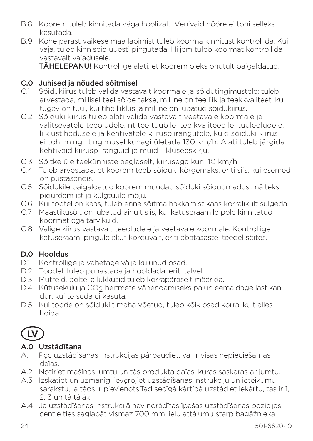- B.8 Koorem tuleb kinnitada väga hoolikalt. Venivaid nööre ei tohi selleks kasutada.
- B.9 Kohe pärast väikese maa läbimist tuleb koorma kinnitust kontrollida. Kui vaja, tuleb kinniseid uuesti pingutada. Hiljem tuleb koormat kontrollida vastavalt vajadusele.

TÄHELEPANU! Kontrollige alati, et koorem oleks ohutult paigaldatud.

# **C.0 Juhised ja nõuded sõitmisel**<br>C1 Sõidukiirus tuleb valida vasta

- C.1 Sõidukiirus tuleb valida vastavalt koormale ja sõidutingimustele: tuleb arvestada, millisel teel sõide takse, milline on tee liik ja teekkvaliteet, kui tugev on tuul, kui tihe liiklus ja milline on lubatud sõidukiirus.
- C.2 Sõiduki kiirus tuleb alati valida vastavalt veetavale koormale ja valitsevatele teeoludele, nt tee tüübile, tee kvaliteedile, tuuleoludele, liiklustihedusele ja kehtivatele kiiruspiirangutele, kuid sõiduki kiirus ei tohi mingil tingimusel kunagi ületada 130 km/h. Alati tuleb järgida kehtivaid kiiruspiiranguid ja muid liikluseeskirju.
- C.3 Sõitke üle teekünniste aeglaselt, kiirusega kuni 10 km/h.
- C.4 Tuleb arvestada, et koorem teeb sõiduki kõrgemaks, eriti siis, kui esemed on püstasendis.
- C.5 Sõidukile paigaldatud koorem muudab sõiduki sõiduomadusi, näiteks pidurdam ist ja külgtuule mõju.
- C.6 Kui tootel on kaas, tuleb enne sõitma hakkamist kaas korralikult sulgeda.
- C.7 Maastikusõit on lubatud ainult siis, kui katuseraamile pole kinnitatud koormat ega tarvikuid.
- C.8 Valige kiirus vastavalt teeoludele ja veetavale koormale. Kontrollige katuseraami pingulolekut korduvalt, eriti ebatasastel teedel sõites.

# D.0 Hooldus

- D.1 Kontrollige ja vahetage välja kulunud osad.
- D.2 Toodet tuleb puhastada ja hooldada, eriti talvel.
- D.3 Mutreid, polte ja lukkusid tuleb korrapäraselt määrida.
- D.4 Kütusekulu ja CO2 heitmete vähendamiseks palun eemaldage lastikandur, kui te seda ei kasuta.
- D.5 Kui toode on sõidukilt maha võetud, tuleb kõik osad korralikult alles hoida.

# **LV**

# A.0 Uzstâdîšana

- A.1 Pçc uzstâdîšanas instrukcijas pârbaudiet, vai ir visas nepieciešamâs daïas.
- A.2 Notîriet mašînas jumtu un tâs produkta daïas, kuras saskaras ar jumtu.
- A.3 Izskatiet un uzmanîgi ievçrojiet uzstâdîšanas instrukciju un ieteikumu sarakstu, ja tâds ir pievienots.Tad secîgâ kârtîbâ uzstâdiet iekârtu, tas ir 1, 2, 3 un tâ tâlâk.
- A.4 Ja uzstâdîšanas instrukcijâ nav norâdîtas îpašas uzstâdîšanas pozîcijas, centie ties saglabât vismaz 700 mm lielu attâlumu starp bagâžnieka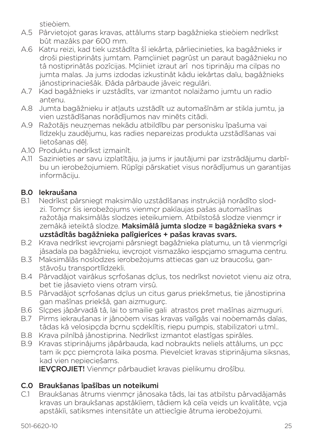stieòiem.

- A.5 Pârvietojot garas kravas, attâlums starp bagâžnieka stieòiem nedrîkst bût mazâks par 600 mm.
- A.6 Katru reizi, kad tiek uzstâdîta šî iekârta, pârliecinieties, ka bagâžnieks ir droši piestiprinâts jumtam. Pamçìiniet pagrûst un paraut bagâžnieku no tâ nostiprinâtâs pozîcijas. Mçìiniet izraut arî nos tiprinâju ma cilpas no jumta malas. Ja jums izdodas izkustinât kâdu iekârtas daïu, bagâžnieks jânostiprinaciešâk. Ðâda pârbaude jâveic regulâri.
- A.7 Kad bagâžnieks ir uzstâdîts, var izmantot nolaižamo jumtu un radio antenu.
- A.8 Jumta bagāžnieku ir atļauts uzstādīt uz automašīnām ar stikla jumtu, ja vien uzstādīšanas norādījumos nav minēts citādi.
- A.9 Ražotājs neuzņemas nekādu atbildību par personisku īpašuma vai līdzekļu zaudējumu, kas radies nepareizas produkta uzstādīšanas vai lietošanas dēļ.
- A.10 Produktu nedrîkst izmainît.
- A.11 Sazinieties ar savu izplatītāju, ja jums ir jautājumi par izstrādājumu darbību un ierobežojumiem. Rūpīgi pārskatiet visus norādījumus un garantijas informāciju.

### B.0 Iekraušana

- B.1 Nedrîkst pârsniegt maksimâlo uzstâdîšanas instrukcijâ norâdîto slodzi. Tomçr šis ierobežojums vienmçr pakïaujas pašas automašînas ražotâja maksimâlâs slodzes ieteikumiem. Atbilstošâ slodze vienmçr ir zemâkâ ieteiktâ slodze. Maksimâlâ jumta slodze = bagâžnieka svars + uzstâdîtâs bagâžnieka palîgierîces + pašas kravas svars.
- B.2 Krava nedrîkst ievçrojami pârsniegt bagâžnieka platumu, un tâ vienmçrîgi jâsadala pa bagâžnieku, ievçrojot vismazâko iespçjamo smaguma centru.
- B.3 Maksimālās noslodzes ierobežojums attiecas gan uz braucošu, ganstāvošu transportlīdzekli.
- B.4 Pârvadâjot vairâkus sçrfošanas dçïus, tos nedrîkst novietot vienu aiz otra, bet tie jâsavieto viens otram virsû.
- B.5 Pârvadâjot sçrfošanas dçïus un citus garus priekšmetus, tie jânostiprina gan mašînas priekšâ, gan aizmugurç.
- B.6 Slçpes jâpârvadâ tâ, lai to smailie gali atrastos pret mašînas aizmuguri.
- B.7 Pirms iekraušanas ir jânoòem visas kravas vaïîgâs vai noòemamâs daïas, tâdas kâ velosipçda bçrnu sçdeklîtis, riepu pumpis, stabilizatori u.tml..
- B.8 Krava pilnîbâ jânostiprina. Nedrîkst izmantot elastîgas spirâles.
- B.9 Kravas stiprinâjums jâpârbauda, kad nobraukts neliels attâlums, un pçc tam ik pçc piemçrota laika posma. Pievelciet kravas stiprinâjuma siksnas, kad vien nepieciešams.

**IEVCROJIET!** Vienmer pârbaudiet kravas pielikumu drošîbu.

### C.0 Braukšanas îpašîbas un noteikumi

C.1 Braukšanas âtrums vienmçr jânosaka tâds, lai tas atbilstu pârvadâjamâs kravas un braukšanas apstâkïiem, tâdiem kâ ceïa veids un kvalitâte, vçja apstâkïi, satiksmes intensitâte un attiecîgie âtruma ierobežojumi.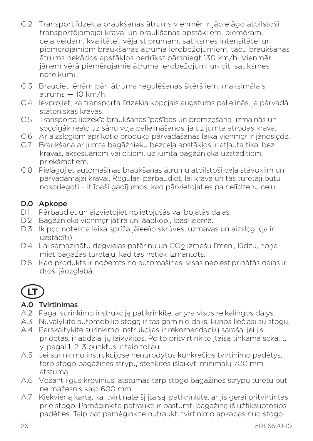- C.2 Transportlīdzekļa braukšanas ātrums vienmēr ir jāpielāgo atbilstoši transportējamajai kravai un braukšanas apstākļiem, piemēram, ceļa veidam, kvalitātei, vēja stiprumam, satiksmes intensitātei un piemērojamiem braukšanas ātruma ierobežojumiem, taču braukšanas ātrums nekādos apstākļos nedrīkst pārsniegt 130 km/h. Vienmēr jāņem vērā piemērojamie ātruma ierobežojumi un citi satiksmes noteikumi.
- C.3 Brauciet lēnām pāri ātruma regulēšanas šķēršļiem, maksimālais ātrums — 10 km/h.
- C.4 Ievçrojiet, ka transporta lîdzekïa kopçjais augstums palielinâs, ja pârvadâ stateniskas kravas.
- C.5 Transporta lîdzekïa braukšanas îpašîbas un bremzçšana izmainâs un spccîgâk reaìc uz sânu vcia palielinâšanos, ja uz jumta atrodas krava.
- C.6 Ar aizslcgiem aprîkotie produkti pârvadâšanas laikâ vienmer ir jânosledz.
- C.7 Braukšana ar jumta bagāžnieku bezceļa apstākļos ir atļauta tikai bez kravas, aksesuāriem vai citiem, uz jumta bagāžnieka uzstādītiem, priekšmetiem.
- C.8 Pielāgojiet automašīnas braukšanas ātrumu atbilstoši ceļa stāvoklim un pārvadāmajai kravai. Regulāri pārbaudiet, lai krava un tās turētāji būtu nospriegoti – it īpaši gadījumos, kad pārvietojaties pa nelīdzenu ceļu.

#### D.0 Apkope

- D.1 Pârbaudiet un aizvietojiet nolietojušâs vai bojâtâs daïas.
- D.2 Bagâžnieks vienmçr jâtîra un jâapkopj, îpaši ziemâ.
- D.3 Ik pçc noteikta laika sprîža jâieeïïo skrûves, uzmavas un aizslçgi (ja ir uzstâdîti).
- D.4 Lai samazinātu degvielas patērinu un CO2 izmešu līmeni, lūdzu, nonemiet bagāžas turētāju, kad tas netiek izmantots.
- D.5 Kad produkts ir noòemts no automašînas, visas nepiestiprinâtâs daïas ir droši jâuzglabâ.

# **LT**

# A.0 Tvirtinimas

- A.2 Pagal surinkimo instrukciją patikrinkite, ar yra visos reikalingos dalys.
- A.3 Nuvalykite automobilio stogą ir tas gaminio dalis, kurios liečiasi su stogu. A.4 Perskaitykite surinkimo instrukcijas ir rekomendacijų sąrašą, jei jis
- pridėtas, ir atidžiai jų laikykitės. Po to pritvirtinkite įtaisą tinkama seka, t. y. pagal 1, 2, 3 punktus ir taip toliau.
- A.5 Jei surinkimo instrukcijose nenurodytos konkrečios tvirtinimo padėtys, tarp stogo bagažinės strypų stenkitės išlaikyti minimalų 700 mm atstumą.
- A.6 Vežant ilgus krovinius, atstumas tarp stogo bagažinės strypų turėtų būti ne mažesnis kaip 600 mm.
- A.7 Kiekvieną kartą, kai tvirtinate šį įtaisą, patikrinkite, ar jis gerai pritvirtintas prie stogo. Pamėginkite patraukti ir pastumti bagažinę iš užfiksuotosios padėties. Taip pat pamėginkite nutraukti tvirtinimo apkabas nuo stogo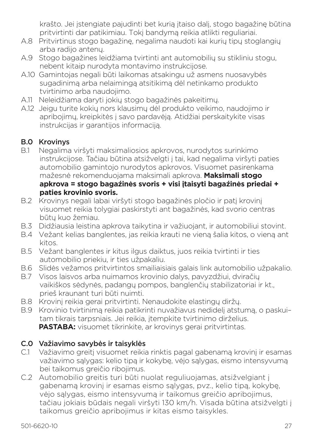krašto. Jei įstengiate pajudinti bet kurią įtaiso dalį, stogo bagažinę būtina pritvirtinti dar patikimiau. Tokį bandymą reikia atlikti reguliariai.

- A.8 Pritvirtinus stogo bagažinę, negalima naudoti kai kurių tipų stoglangių arba radijo antenų.
- A.9 Stogo bagažines leidžiama tvirtinti ant automobilių su stikliniu stogu, nebent kitaip nurodyta montavimo instrukcijose.
- A.10 Gamintojas negali būti laikomas atsakingu už asmens nuosavybės sugadinimą arba nelaimingą atsitikimą dėl netinkamo produkto tvirtinimo arba naudojimo.
- A.11 Neleidžiama daryti jokių stogo bagažinės pakeitimų.
- A.12 Jeigu turite kokių nors klausimų dėl produkto veikimo, naudojimo ir apribojimų, kreipkitės į savo pardavėją. Atidžiai perskaitykite visas instrukcijas ir garantijos informaciją.

### B.0 Krovinys

- B.1 Negalima viršyti maksimaliosios apkrovos, nurodytos surinkimo instrukcijose. Tačiau būtina atsižvelgti į tai, kad negalima viršyti paties automobilio gamintojo nurodytos apkrovos. Visuomet pasirenkama mažesnė rekomenduojama maksimali apkrova. **Maksimali stogo apkrova = stogo bagažinės svoris + visi įtaisyti bagažinės priedai + paties krovinio svoris.**
- B.2 Krovinys negali labai viršyti stogo bagažinės pločio ir patį krovinį visuomet reikia tolygiai paskirstyti ant bagažinės, kad svorio centras būtų kuo žemiau.
- B.3 Didžiausia leistina apkrova taikytina ir važiuojant, ir automobiliui stovint.
- B.4 Vežant kelias banglentes, jas reikia krauti ne vieną šalia kitos, o vieną ant kitos.
- B.5 Vežant banglentes ir kitus ilgus daiktus, juos reikia tvirtinti ir ties automobilio priekiu, ir ties užpakaliu.
- B.6 Slidės vežamos pritvirtintos smailiaisiais galais link automobilio užpakalio.
- B.7 Visos laisvos arba nuimamos krovinio dalys, pavyzdžiui, dviračių vaikiškos sėdynės, padangų pompos, banglenčių stabilizatoriai ir kt., prieš kraunant turi būti nuimti.
- B.8 Krovinį reikia gerai pritvirtinti. Nenaudokite elastingų diržų.
- B.9 Krovinio tvirtinimą reikia patikrinti nuvažiavus nedidelį atstumą, o paskui– tam tikrais tarpsniais. Jei reikia, įtempkite tvirtinimo dirželius. **PASTABA:** visuomet tikrinkite, ar krovinys gerai pritvirtintas.

### C.0 Važiavimo savybės ir taisyklės

- C.1 Važiavimo greitį visuomet reikia rinktis pagal gabenamą krovinį ir esamas važiavimo sąlygas: kelio tipą ir kokybę, vėjo sąlygas, eismo intensyvumą bei taikomus greičio ribojimus.
- C.2 Automobilio greitis turi būti nuolat reguliuojamas, atsižvelgiant į gabenamą krovinį ir esamas eismo sąlygas, pvz., kelio tipą, kokybę, vėjo sąlygas, eismo intensyvumą ir taikomus greičio apribojimus, tačiau jokiais būdais negali viršyti 130 km/h. Visada būtina atsižvelgti į taikomus greičio apribojimus ir kitas eismo taisykles.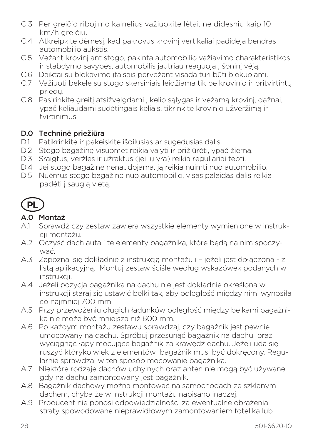- C.3 Per greičio ribojimo kalnelius važiuokite lėtai, ne didesniu kaip 10 km/h greičiu.
- C.4 Atkreipkite dėmesį, kad pakrovus krovinį vertikaliai padidėja bendras automobilio aukštis.
- C.5 Vežant krovinį ant stogo, pakinta automobilio važiavimo charakteristikos ir stabdymo savybės, automobilis jautriau reaguoja į šoninį vėją.
- C.6 Daiktai su blokavimo įtaisais pervežant visada turi būti blokuojami.
- C.7 Važiuoti bekele su stogo skersiniais leidžiama tik be krovinio ir pritvirtintų priedų.
- C.8 Pasirinkite greitį atsižvelgdami į kelio sąlygas ir vežamą krovinį, dažnai, ypač keliaudami sudėtingais keliais, tikrinkite krovinio užveržimą ir tvirtinimus.

#### D.0 Techninė priežiūra

- D.1 Patikrinkite ir pakeiskite išdilusias ar sugedusias dalis.
- D.2 Stogo bagažinę visuomet reikia valyti ir prižiūrėti, ypač žiemą.
- D.3 Sraigtus, veržles ir užraktus (jei jų yra) reikia reguliariai tepti.
- D.4 Jei stogo bagažinė nenaudojama, ją reikia nuimti nuo automobilio.
- D.5 Nuėmus stogo bagažinę nuo automobilio, visas palaidas dalis reikia padėti į saugią vietą.



#### A.0 Montaż

- A.1 Sprawdź czy zestaw zawiera wszystkie elementy wymienione w instrukcii montażu.
- A.2 Oczyść dach auta i te elementy bagażnika, które będą na nim spoczywać.
- A.3 Zapoznaj się dokładnie z instrukcją montażu i jeżeli jest dołączona z listą aplikacyjną. Montuj zestaw ściśle według wskazówek podanych w instrukcji.
- A.4 Jeżeli pozycja bagażnika na dachu nie jest dokładnie określona w instrukcji staraj się ustawić belki tak, aby odległość między nimi wynosiła co najmniej 700 mm.
- A.5 Przy przewożeniu długich ładunków odległość między belkami bagażnika nie może być mniejsza niż 600 mm.
- A.6 Po każdym montażu zestawu sprawdzaj, czy bagażnik jest pewnie umocowany na dachu. Spróbuj przesunąć bagażnik na dachu oraz wyciągnąć łapy mocujące bagażnik za krawędź dachu. Jeżeli uda się ruszyć którykolwiek z elementów bagażnik musi być dokręcony. Regularnie sprawdzaj w ten sposób mocowanie bagażnika.
- A.7 Niektóre rodzaje dachów uchylnych oraz anten nie mogą być używane, gdy na dachu zamontowany jest bagażnik.
- A.8 Bagażnik dachowy można montować na samochodach ze szklanym dachem, chyba że w instrukcji montażu napisano inaczej.
- A.9 Producent nie ponosi odpowiedzialności za ewentualne obrażenia i straty spowodowane nieprawidłowym zamontowaniem fotelika lub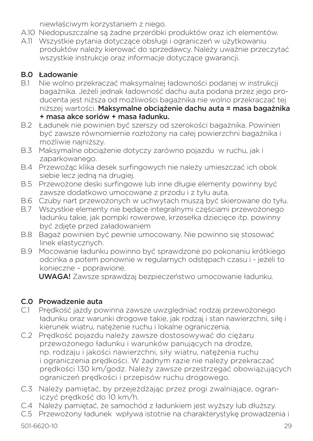niewłaściwym korzystaniem z niego.

- A.10 Niedopuszczalne są żadne przeróbki produktów oraz ich elementów.
- A.11 Wszystkie pytania dotyczące obsługi i ograniczeń w użytkowaniu produktów należy kierować do sprzedawcy. Należy uważnie przeczytać wszystkie instrukcje oraz informacje dotyczące gwarancji.

# **B.0 Ładowanie**<br>B1 Nie wolno r

- B.1 Nie wolno przekraczać maksymalnej ładowności podanej w instrukcji bagażnika. Jeżeli jednak ładowność dachu auta podana przez jego producenta jest niższa od możliwości bagażnika nie wolno przekraczać tej niższej wartości. Maksymalne obciążenie dachu auta = masa bagażnika + masa akce soriów + masa ładunku.
- B.2 Ładunek nie powinien być szerszy od szerokości bagażnika. Powinien być zawsze równomiernie rozłożony na całej powierzchni bagażnika i możliwie najniższy.
- B.3 Maksymalne obciążenie dotyczy zarówno pojazdu w ruchu, jak i zaparkowanego.
- B.4 Przewożąc klika desek surfingowych nie należy umieszczać ich obok siebie lecz jedną na drugiej.
- B.5 Przewożone deski surfingowe lub inne długie elementy powinny być zawsze dodatkowo umocowane z przodu i z tyłu auta.
- B.6 Czuby nart przewożonych w uchwytach muszą być skierowane do tyłu.
- B.7 Wszystkie elementy nie będące integralnymi częściami przewożonego ładunku takie, jak pompki rowerowe, krzesełka dziecięce itp. powinny być zdjęte przed załadowaniem
- B.8 Bagaż powinien być pewnie umocowany. Nie powinno się stosować linek elastycznych.
- B.9 Mocowanie ładunku powinno być sprawdzone po pokonaniu krótkiego odcinka a potem ponownie w regularnych odstępach czasu i - jeżeli to konieczne – poprawione.

UWAGA! Zawsze sprawdzaj bezpieczeństwo umocowanie ładunku.

# C.0 Prowadzenie auta

- C.1 Prędkość jazdy powinna zawsze uwzględniać rodzaj przewożonego ładunku oraz warunki drogowe takie, jak rodzaj i stan nawierzchni, siłę i kierunek wiatru, natężenie ruchu i lokalne ograniczenia.
- C.2 Prędkość pojazdu należy zawsze dostosowywać do ciężaru przewożonego ładunku i warunków panujących na drodze, np. rodzaju i jakości nawierzchni, siły wiatru, natężenia ruchu i ograniczenia prędkości. W żadnym razie nie należy przekraczać prędkości 130 km/godz. Należy zawsze przestrzegać obowiązujących ograniczeń prędkości i przepisów ruchu drogowego.
- C.3 Należy pamiętać, by przejeżdżając przez progi zwalniające, ograniczyć prędkość do 10 km/h.
- C.4 Należy pamiętać, że samochód z ładunkiem jest wyższy lub dłuższy.
- C.5 Przewożony ładunek wpływa istotnie na charakterystykę prowadzenia i

501-6620-10 29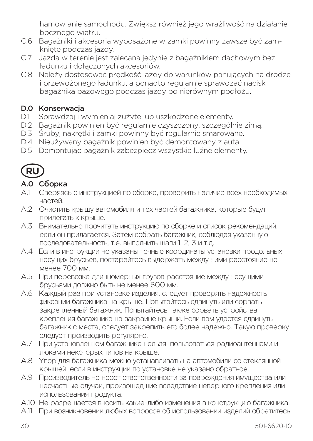hamow anie samochodu. Zwiększ również jego wrażliwość na działanie bocznego wiatru.

- C.6 Bagażniki i akcesoria wyposażone w zamki powinny zawsze być zamknięte podczas jazdy.
- C.7 Jazda w terenie jest zalecana jedynie z bagażnikiem dachowym bez ładunku i dołączonych akcesoriów.
- C.8 Należy dostosować prędkość jazdy do warunków panujących na drodze i przewożonego ładunku, a ponadto regularnie sprawdzać nacisk bagażnika bazowego podczas jazdy po nierównym podłożu.

#### D.0 Konserwacja

- D.1 Sprawdzaj i wymieniaj zużyte lub uszkodzone elementy.
- D.2 Bagażnik powinien być regularnie czyszczony, szczególnie zimą.
- D.3 Śruby, nakrętki i zamki powinny być regularnie smarowane.
- D.4 Nieużywany bagażnik powinien być demontowany z auta.
- D.5 Demontując bagażnik zabezpiecz wszystkie luźne elementy.



### A.0 Сборка

- A.1 Сверяясь с инструкцией по сборке, проверить наличие всех необходимых частей.
- A.2 Очистить крышу автомобиля и тех частей багажника, которые будут прилегать к крыше.
- A.3 Внимательно прочитать инструкцию по сборке и список рекомендаций, если он прилагается. Затем собрать багажник, соблюдая указанную последовательность, т.е. выполнить шаги 1, 2, 3 и т.д.
- A.4 Если в инструкции не указаны точные координаты установки продольных несущих брусьев, постарайтесь выдержать между ними расстояние не менее 700 мм.
- A.5 При перевозке длинномерных грузов расстояние между несущими брусьями должно быть не менее 600 мм.
- A.6 Каждый раз при установке изделия, следует проверять надежность фиксации багажника на крыше. Попытайтесь сдвинуть или сорвать закрепленный багажник. Попытайтесь также сорвать устройства крепления багажника на закраине крыши. Если вам удастся сдвинуть багажник с места, следует закрепить его более надежно. Такую проверку следует производить регулярно.
- A.7 При установленном багажнике нельзя пользоваться радиоантеннами и люками некоторых типов на крыше.
- A.8 Упор для багажника можно устанавливать на автомобили со стеклянной крышей, если в инструкции по установке не указано обратное.
- A.9 Производитель не несет ответственности за повреждения имущества или несчастные случаи, произошедшие вследствие неверного крепления или использования продукта.
- A.10 Не разрешается вносить какие-либо изменения в конструкцию багажника.
- A.11 При возникновении любых вопросов об использовании изделий обратитесь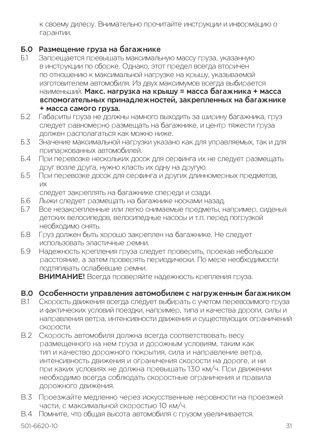к своему дилеру. Внимательно прочитайте инструкции и информацию о гарантии.

#### Б.0 Размещение груза на багажнике

- Б.1 Запрещается превышать максимальную массу груза, указанную в инструкции по сборке. Однако, этот предел всегда вторичен по отношению к максимальной нагрузке на крышу, указываемой изготовителем автомобиля. Из двух максимумов всегда выбирается наименьший. Макс. нагрузка на крышу = масса багажника + масса вспомогательных принадлежностей, закрепленных на багажнике + масса самого груза.
- Б.2 Габариты груза не должны намного выходить за ширину багажника, груз следует равномерно размещать на багажнике, и центр тяжести груза должен располагаться как можно ниже.
- Б.3 Значение максимальной нагрузки указано как для управляемых, так и для припаркованных автомобилей.
- Б.4 При перевозке нескольких досок для серфинга их не следует размещать друг возле друга, нужно класть их одну на другую.
- Б.5 При перевозке досок для серфинга и других длинномерных предметов, их

следует закреплять на багажнике спереди и сзади.

- Б.6 Лыжи следует размещать на багажнике носками назад.
- Все незакрепленные или легко снимаемые предметы, например, сиденья детских велосипедов, велосипедные насосы и т.п. перед погрузкой необходимо снять.
- Б.8 Груз должен быть хорошо закреплен на багажнике. Не следует использовать эластичные ремни.
- Б.9 Надежность крепления груза следует проверить, проехав небольшое расстояние, а затем проверять периодически. По мере необходимости подтягивать ослабевшие ремни.

ВНИМАНИЕ! Всегда проверяйте надежность крепления груза.

### В.0 Особенности управления автомобилем с нагруженным багажником

- В.1 Скорость движения всегда следует выбирать с учетом перевозимого груза и фактических условий поездки, например, типа и качества дороги, силы и направления ветра, интенсивности движения и существующих ограничений скорости.
- В.2 Скорость автомобиля должна всегда соответствовать весу размещенного на нем груза и дорожным условиям, таким как тип и качество дорожного покрытия, сила и направление ветра, интенсивность движения и ограничения скорости на дороге, и ни при каких условиях не должна превышать 130 км/ч. При движении необходимо всегда соблюдать скоростные ограничения и правила дорожного движения.
- В.3 Проезжайте медленно через искусственные неровности на проезжей части, с максимальной скоростью 10 км/ч.
- В.4 Помните, что общая высота автомобиля с грузом увеличивается.

501-6620-10 31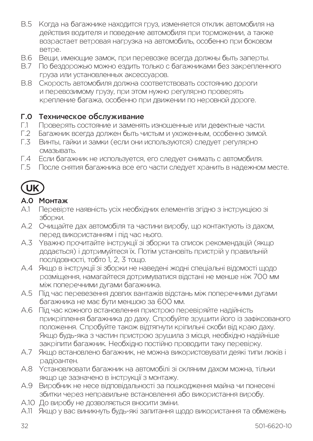- В.5 Когда на багажнике находится груз, изменяется отклик автомобиля на действия водителя и поведение автомобиля при торможении, а также возрастает ветровая нагрузка на автомобиль, особенно при боковом ветре.
- В.6 Вещи, имеющие замок, при перевозке всегда должны быть заперты.
- В.7 По бездорожью можно ездить только с багажниками без закрепленного груза или установленных аксессуаров.
- В.8 Скорость автомобиля должна соответствовать состоянию дороги и перевозимому грузу, при этом нужно регулярно проверять крепление багажа, особенно при движении по неровной дороге.

# **Г.0 Техническое обслуживание**<br>Г1 Проверять состояние и заменят

- Г.1 Проверять состояние и заменять изношенные или дефектные части.
- Багажник всегда должен быть чистым и ухоженным, особенно зимой.
- Г.3 Винты, гайки и замки (если они используются) следует регулярно смазывать.
- Г.4 Если багажник не используется, его следует снимать с автомобиля.
- Г.5 После снятия багажника все его части следует хранить в надежном месте.

# **UK**

#### A.0 Монтаж

- A.1 Перевірте наявність усіх необхідних елементів згідно з інструкцією зі зборки.
- A.2 Очищайте дах автомобіля та частини виробу, що контактують із дахом, перед використанням і під час нього.
- A.3 Уважно прочитайте інструкції зі зборки та список рекомендацій (якщо додається) і дотримуйтеся їх. Потім установіть пристрій у правильній послідовності, тобто 1, 2, 3 тощо.
- A.4 Якщо в інструкції зі зборки не наведені жодні спеціальні відомості щодо розміщення, намагайтеся дотримуватися відстані не менше ніж 700 мм між поперечними дугами багажника.
- A.5 Під час перевезення довгих вантажів відстань між поперечними дугами багажника не має бути меншою за 600 мм.
- A.6 Під час кожного встановлення пристрою перевіряйте надійність прикріплення багажника до даху. Спробуйте зрушити його із зафіксованого положення. Спробуйте також відтягнути кріпильні скоби від краю даху. Якщо будь-яка з частин пристрою зрушила з місця, необхідно надійніше закріпити багажник. Необхідно постійно проводити таку перевірку.
- A.7 Якщо встановлено багажник, не можна використовувати деякі типи люків і радіоантен.
- A.8 Установлювати багажник на автомобілі зі скляним дахом можна, тільки якщо це зазначено в інструкції з монтажу.
- A.9 Виробник не несе відповідальності за пошкодження майна чи понесені збитки через неправильне встановлення або використання виробу.
- A.10 До виробу не дозволяється вносити зміни.
- A.11 Якщо у вас виникнуть будь-які запитання щодо використання та обмежень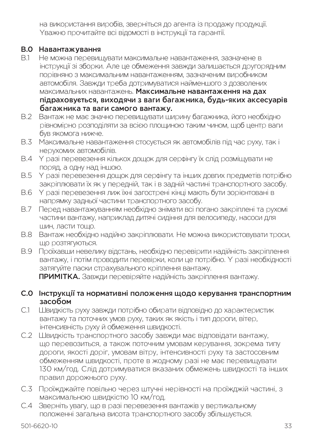на використання виробів, зверніться до агента із продажу продукції. Уважно прочитайте всі відомості в інструкції та гарантії.

#### B.0 Навантажування

- B.1 Не можна перевищувати максимальне навантаження, зазначене в інструкції зі зборки. Але це обмеження завжди залишається другорядним порівняно з максимальним навантаженням, зазначеним виробником автомобіля. Завжди треба дотримуватися найменшого з дозволених максимальних навантажень. Максимальне навантаження на дах підраховується, виходячи з ваги багажника, будь-яких аксесуарів багажника та ваги самого вантажу.
- B.2 Вантаж не має значно перевищувати ширину багажника, його необхідно рівномірно розподіляти за всією площиною таким чином, щоб центр ваги був якомога нижче.
- B.3 Максимальне навантаження стосується як автомобілів під час руху, так і нерухомих автомобілів.
- B.4 У разі перевезення кількох дощок для серфінгу їх слід розміщувати не поряд, а одну над іншою.
- B.5 У разі перевезення дощок для серфінгу та інших довгих предметів потрібно закріплювати їх як у передній, так і в задній частині транспортного засобу.
- B.6 У разі перевезення лиж їхні загострені кінці мають бути зорієнтовані в напрямку задньої частини транспортного засобу.
- B.7 Перед навантажуванням необхідно знімати всі погано закріплені та рухомі частини вантажу, наприклад дитячі сидіння для велосипеду, насоси для шин, ласти тощо.
- B.8 Вантаж необхідно надійно закріплювати. Не можна використовувати троси, що розтягуються.
- B.9 Проїхавши невелику відстань, необхідно перевірити надійність закріплення вантажу, і потім проводити перевірки, коли це потрібно. У разі необхідності затягуйте паски страхувального кріплення вантажу. ПРИМІТКА. Завжди перевіряйте надійність закріплення вантажу.

C.0 Інструкції та нормативні положення щодо керування транспортним засобом

- C.1 Швидкість руху завжди потрібно обирати відповідно до характеристик вантажу та поточних умов руху, таких як якість і тип дороги, вітер, інтенсивність руху й обмеження швидкості.
- C.2 Швидкість транспортного засобу завжди має відповідати вантажу, що перевозиться, а також поточним умовам керування, зокрема типу дороги, якості доріг, умовам вітру, інтенсивності руху та застосовним обмеженням швидкості, проте в жодному разі не має перевищувати 130 км/год. Слід дотримуватися вказаних обмежень швидкості та інших правил дорожнього руху.
- C.3 Проїжджайте повільно через штучні нерівності на проїжджій частині, з максимальною швидкістю 10 км/год.
- C.4 Зверніть увагу, що в разі перевезення вантажів у вертикальному положенні загальна висота транспортного засобу збільшується.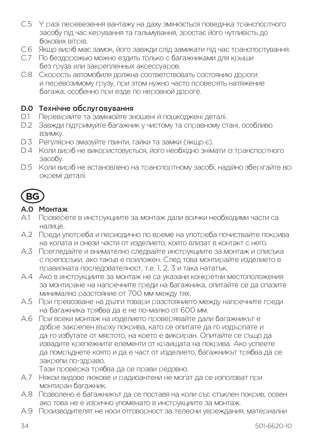- C.5 У разі перевезення вантажу на даху змінюється поведінка транспортного засобу під час керування та гальмування, зростає його чутливість до бокових вітрів.
- C.6 Якщо виріб має замок, його завжди слід замикати під час транспортування.
- C.7 По бездорожью можно ездить только с багажниками для крыши без груза или закрепленных аксессуаров.
- C.8 Скорость автомобиля должна соответствовать состоянию дороги и перевозимому грузу, при этом нужно часто проверять натяжение багажа, особенно при езде по неровной дороге.

#### D.0 Технічне обслуговування

- D.1 Перевіряйте та замінюйте зношені й пошкоджені деталі.
- D.2 Завжди підтримуйте багажник у чистому та справному стані, особливо взимку.
- D.3 Регулярно змазуйте гвинти, гайки та замки (якщо є).
- D.4 Коли виріб не використовується, його необхідно знімати із транспортного засобу.
- D.5 Коли виріб не встановлено на транспортному засобі, надійно зберігайте всі окремі деталі.



#### A.0 Монтаж

- A.1 Проверете в инструкциите за монтаж дали всички необходими части са налице.
- A.2 Преди употреба и периодично по време на употреба почиствайте покрива на колата и онези части от изделието, които влизат в контакт с него.
- A.3 Прегледайте и внимателно следвайте инструкциите за монтаж и списъка с препоръки, ако такъв е приложен. След това монтирайте изделието в правилната последователност, т.е. 1, 2, 3 и така нататък.
- A.4 Ако в инструкциите за монтаж не са указани конкретни местоположения за монтиране на напречните греди на багажника, опитайте се да спазите минимално разстояние от 700 мм между тях.
- A.5 При превозване на дълги товари разстоянието между напречните греди на багажника трябва да е не по-малко от 600 мм.
- A.6 При всеки монтаж на изделието проверявайте дали багажникът е добре закрепен върху покрива, като се опитате да го издърпате и да го избутате от мястото, на което е фиксиран. Опитайте се също да извадите крепежните елементи от краищата на покрива. Ако успеете да помръднете която и да е част от изделието, багажникът трябва да се закрепи по-здраво.
	- Тази проверка трябва да се прави редовно.
- A.7 Някои видове люкове и радиоантени не могат да се използват при монтиран багажник.
- A.8 Позволено е багажникът да се поставя на коли със стъклен покрив, освен ако това не е изрично упоменато в инструкциите за монтаж.
- A.9 Производителят не носи отговорност за телесни увреждания, материални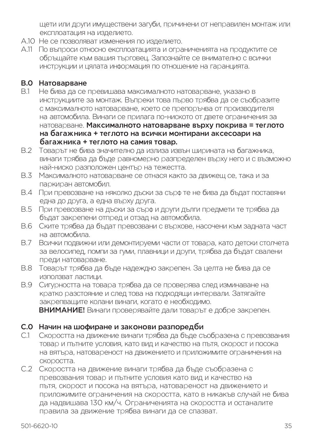щети или други имуществени загуби, причинени от неправилен монтаж или експлоатация на изделието.

- A.10 Не се позволяват изменения по изделието.
- A.11 По въпроси относно експлоатацията и ограниченията на продуктите се обръщайте към вашия търговец. Запознайте се внимателно с всички инструкции и цялата информация по отношение на гаранцията.

# **B.0 Натоварване**<br>В 1 Не бива па се

- B.1 Не бива да се превишава максималното натоварване, указано в инструкциите за монтаж. Въпреки това първо трябва да се съобразите с максималното натоварване, което се препоръчва от производителя на автомобила. Винаги се прилага по-ниското от двете ограничения за натоварване. Максималното натоварване върху покрива = теглото на багажника + теглото на всички монтирани аксесоари на багажника + теглото на самия товар.
- B.2 Товарът не бива значително да излиза извън ширината на багажника, винаги трябва да бъде равномерно разпределен върху него и с възможно най-ниско разположен център на тежестта.
- B.3 Максималното натоварване се отнася както за движещ се, така и за паркиран автомобил.
- B.4 При превозване на няколко дъски за сърф те не бива да бъдат поставяни една до друга, а една върху друга.
- B.5 При превозване на дъски за сърф и други дълги предмети те трябва да бъдат закрепени отпред и отзад на автомобила.
- B.6 Ските трябва да бъдат превозвани с върхове, насочени към задната част на автомобила.
- B.7 Всички подвижни или демонтируеми части от товара, като детски столчета за велосипед, помпи за гуми, плавници и други, трябва да бъдат свалени преди натоварване.
- B.8 Товарът трябва да бъде надеждно закрепен. За целта не бива да се използват ластици.

B.9 Сигурността на товара трябва да се проверява след изминаване на кратко разстояние и след това на подходящи интервали. Затягайте закрепващите колани винаги, когато е необходимо.

ВНИМАНИЕ! Винаги проверявайте дали товарът е добре закрепен.

#### C.0 Начин на шофиране и законови разпоредби

- C.1 Скоростта на движение винаги трябва да бъде съобразена с превозвания товар и пътните условия, като вид и качество на пътя, скорост и посока на вятъра, натовареност на движението и приложимите ограничения на скоростта.
- C.2 Скоростта на движение винаги трябва да бъде съобразена с превозвания товар и пътните условия като вид и качество на пътя, скорост и посока на вятъра, натовареност на движението и приложимите ограничения на скоростта, като в никакъв случай не бива да надвишава 130 км/ч. Ограниченията на скоростта и останалите правила за движение трябва винаги да се спазват.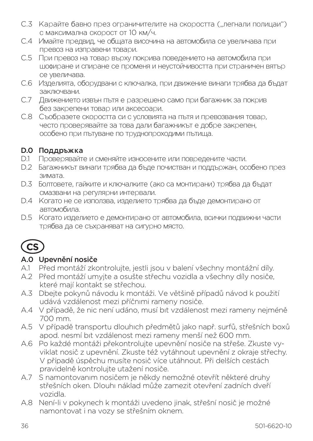- С.3 Карайте бавно през ограничителите на скоростта ("легнали полицаи") с максимална скорост от 10 км/ч.
- C.4 Имайте предвид, че общата височина на автомобила се увеличава при превоз на изправени товари.
- C.5 При превоз на товар върху покрива поведението на автомобила при шофиране и спиране се променя и неустойчивостта при страничен вятър се увеличава.
- C.6 Изделията, оборудвани с ключалка, при движение винаги трябва да бъдат заключвани.
- C.7 Движението извън пътя е разрешено само при багажник за покрив без закрепени товар или аксесоари.
- C.8 Съобразете скоростта си с условията на пътя и превозвания товар, често проверявайте за това дали багажникът е добре закрепен, особено при пътуване по труднопроходими пътища.

#### D.0 Поддръжка

- D.1 Проверявайте и сменяйте износените или повредените части.
- D.2 Багажникът винаги трябва да бъде почистван и поддържан, особено през зимата.
- D.3 Болтовете, гайките и ключалките (ако са монтирани) трябва да бъдат смазвани на регулярни интервали.
- D.4 Когато не се използва, изделието трябва да бъде демонтирано от автомобила.
- D.5 Когато изделието е демонтирано от автомобила, всички подвижни части трябва да се съхраняват на сигурно място.



### A.0 Upevnění nosiče

- A.1 Před montáží zkontrolujte, jestli jsou v balení všechny montážní díly.
- A.2 Před montáží umyjte a osušte střechu vozidla a všechny díly nosiče, které mají kontakt se střechou.
- A.3 Dbejte pokynů návodu k montáži. Ve většině případů návod k použití udává vzdálenost mezi příčnımi rameny nosiče.
- A.4 V případě, že nic není udáno, musí bıt vzdálenost mezi rameny nejméně 700 mm.
- A.5 V případě transportu dlouhıch předmětů jako např. surfů, střešních boxů apod. nesmí bıt vzdálenost mezi rameny menší než 600 mm.
- A.6 Po každé montáži překontrolujte upevnění nosiče na střeše. Zkuste vyviklat nosič z upevnění. Zkuste též vytáhnout upevnění z okraje střechy. V případě úspěchu musíte nosič více utáhnout. Při delších cestách pravidelně kontrolujte utažení nosiče.
- A.7 S namontovanım nosičem je někdy nemožné otevřít některé druhy střešních oken. Dlouhı náklad může zamezit otevření zadních dveří vozidla.
- A.8 Není-li v pokynech k montáži uvedeno jinak, střešní nosič je možné namontovat i na vozy se střešním oknem.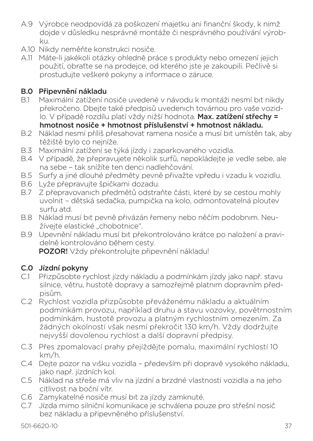- A.9 Výrobce neodpovídá za poškození majetku ani finanční škody, k nimž dojde v důsledku nesprávné montáže či nesprávného používání výrobku.
- A.10 Nikdy neměňte konstrukci nosiče.
- A.11 Máte-li jakékoli otázky ohledně práce s produkty nebo omezení jejich použití, obraťte se na prodejce, od kterého jste je zakoupili. Pečlivě si prostudujte veškeré pokyny a informace o záruce.

### B.0 Připevnění nákladu

- B.1 Maximální zatížení nosiče uvedené v návodu k montáži nesmí bıt nikdy překročeno. Dbejte také předpisů uvedenıch továrnou pro vaše vozidlo. V případě rozdílu platí vždy nižší hodnota. Max. zatížení střechy = hmotnost nosiče + hmotnost příslušenství + hmotnost nákladu.
- B.2 Náklad nesmí příliš přesahovat ramena nosiče a musí bıt umístěn tak, aby těžiště bylo co nejníže.
- B.3 Maximální zatížení se týká jízdy i zaparkovaného vozidla.
- B.4 V případě, že přepravujete několik surfů, nepokládejte je vedle sebe, ale na sebe – tak snížíte ten denci nadlehčování.
- B.5 Surfy a jiné dlouhé předměty pevně přivažte vpředu i vzadu k vozidlu.
- B.6 Lyže přepravujte špičkami dozadu.
- B.7 Z přepravovanıch předmětů odstraňte části, které by se cestou mohly uvolnit – dětská sedačka, pumpička na kolo, odmontovatelná ploutev surfu atd.
- B.8 Náklad musí bıt pevně přivázán řemeny nebo něčím podobnım. Neužíveite elastické "chobotnice".
- B.9 Upevnění nákladu musí bıt překontrolováno krátce po naložení a pravidelně kontrolováno během cesty. POZOR! Vždy překontrolujte připevnění nákladu!

#### C.0 Jízdní pokyny

- C.1 Přizpůsobte rychlost jízdy nákladu a podmínkám jízdy jako např. stavu silnice, větru, hustotě dopravy a samozřejmě platnım dopravním předpisům.
- C.2 Rychlost vozidla přizpůsobte převáženému nákladu a aktuálním podmínkám provozu, například druhu a stavu vozovky, povětrnostním podmínkám, hustotě provozu a platným rychlostním omezením. Za žádných okolností však nesmí překročit 130 km/h. Vždy dodržujte nejvyšší dovolenou rychlost a další dopravní předpisy.
- C.3 Přes zpomalovací prahy přejíždějte pomalu, maximální rychlostí 10 km/h.
- C.4 Dejte pozor na vıšku vozidla především při dopravě vysokého nákladu, jako např. jízdních kol.
- C.5 Náklad na střeše má vliv na jízdní a brzdné vlastnosti vozidla a na jeho citlivost na boční vítr.
- C.6 Zamykatelné nosiče musí bıt za jízdy zamknuté.
- C.7 Jízda mimo silniční komunikace je schválena pouze pro střešní nosič bez nákladu a připevněného příslušenství.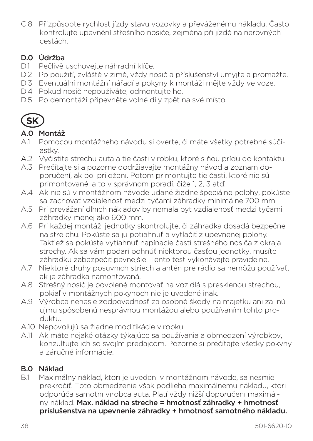C.8 Přizpůsobte rychlost jízdy stavu vozovky a převáženému nákladu. Často kontrolujte upevnění střešního nosiče, zejména při jízdě na nerovných cestách.

### D.0 Údržba

- D.1 Pečlivě uschovejte náhradní klíče.
- D.2 Po použití, zvláště v zimě, vždy nosič a příslušenství umyjte a promažte.
- D.3 Eventuální montážní nářadí a pokyny k montáži mějte vždy ve voze.
- D.4 Pokud nosič nepoužíváte, odmontujte ho.
- D.5 Po demontáži připevněte volné díly zpět na své místo.



### A.0 Montáž

- A.1 Pomocou montážneho návodu si overte, či máte všetky potrebné súčiastky.
- A.2 Vyčistite strechu auta a tie časti vırobku, ktoré s ňou prídu do kontaktu.
- A.3 Prečítajte si a pozorne dodržiavajte montážny návod a zoznam doporučení, ak bol priloženı. Potom primontujte tie časti, ktoré nie sú primontované, a to v správnom poradí, čiže 1, 2, 3 atď.
- A.4 Ak nie sú v montážnom návode udané žiadne špeciálne polohy, pokúste sa zachovať vzdialenosť medzi tyčami záhradky minimálne 700 mm.
- A.5 Pri prevážaní dlhıch nákladov by nemala byť vzdialenosť medzi tyčami záhradky menej ako 600 mm.
- A.6 Pri každej montáži jednotky skontrolujte, či záhradka dosadá bezpečne na stre chu. Pokúste sa ju potiahnuť a vytlačiť z upevnenej polohy. Taktiež sa pokúste vytiahnuť napínacie časti strešného nosiča z okraja strechy. Ak sa vám podarí pohnúť niektorou časťou jednotky, musíte záhradku zabezpečiť pevnejšie. Tento test vykonávajte pravidelne.
- A.7 Niektoré druhy posuvnıch striech a antén pre rádio sa nemôžu používať, ak je záhradka namontovaná.
- A.8 Strešný nosič je povolené montovať na vozidlá s presklenou strechou, pokiaľ v montážnych pokynoch nie je uvedené inak.
- A.9 Výrobca nenesie zodpovednosť za osobné škody na majetku ani za inú ujmu spôsobenú nesprávnou montážou alebo používaním tohto produktu.
- A.10 Nepovoľujú sa žiadne modifikácie vırobku.
- A.11 Ak máte nejaké otázky týkajúce sa používania a obmedzení výrobkov, konzultujte ich so svojím predajcom. Pozorne si prečítajte všetky pokyny a záručné informácie.

#### B.0 Náklad

B.1 Maximálny náklad, ktorı je uvedenı v montážnom návode, sa nesmie prekročiť. Toto obmedzenie však podlieha maximálnemu nákladu, ktorı odporúča samotnı vırobca auta. Platí vždy nižší doporučenı maximálny náklad. Max. náklad na streche = hmotnosť záhradky + hmotnosť príslušenstva na upevnenie záhradky + hmotnosť samotného nákladu.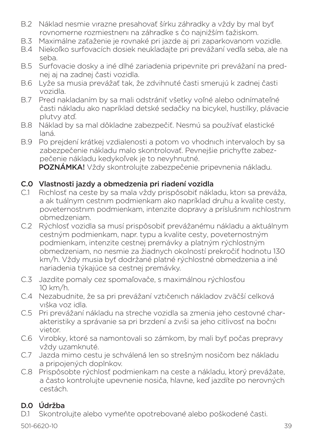- B.2 Náklad nesmie vırazne presahovať šírku záhradky a vždy by mal byť rovnomerne rozmiestnenı na záhradke s čo najnižším ťažiskom.
- B.3 Maximálne zaťaženie je rovnaké pri jazde aj pri zaparkovanom vozidle.
- B.4 Niekoľko surfovacích dosiek neukladajte pri prevážaní vedľa seba, ale na seba.
- B.5 Surfovacie dosky a iné dlhé zariadenia pripevnite pri prevážaní na prednej aj na zadnej časti vozidla.
- B.6 Lyže sa musia prevážať tak, že zdvihnuté časti smerujú k zadnej časti vozidla.
- B.7 Pred nakladaním by sa mali odstrániť všetky voľné alebo odnímateľné časti nákladu ako napríklad detské sedačky na bicykel, hustilky, plávacie plutvy atď.
- B.8 Náklad by sa mal dôkladne zabezpečiť. Nesmú sa používať elastické laná.
- B.9 Po prejdení krátkej vzdialenosti a potom vo vhodnıch intervaloch by sa zabezpečenie nákladu malo skontrolovať. Pevnejšie prichyťte zabezpečenie nákladu kedykoľvek je to nevyhnutné.

POZNÁMKA! Vždy skontrolujte zabezpečenie pripevnenia nákladu.

#### C.0 Vlastnosti jazdy a obmedzenia pri riadení vozidla

- C.1 Rıchlosť na ceste by sa mala vždy prispôsobiť nákladu, ktorı sa preváža, a ak tuálnym cestnım podmienkam ako napríklad druhu a kvalite cesty, poveternostnım podmienkam, intenzite dopravy a príslušnım rıchlostnım obmedzeniam.
- C.2 Rýchlosť vozidla sa musí prispôsobiť prevážanému nákladu a aktuálnym cestným podmienkam, napr. typu a kvalite cesty, poveternostným podmienkam, intenzite cestnej premávky a platným rýchlostným obmedzeniam, no nesmie za žiadnych okolností prekročiť hodnotu 130 km/h. Vždy musia byť dodržané platné rýchlostné obmedzenia a iné nariadenia týkajúce sa cestnej premávky.
- C.3 Jazdite pomaly cez spomaľovače, s maximálnou rýchlosťou 10 km/h.
- C.4 Nezabudnite, že sa pri prevážaní vztıčenıch nákladov zväčší celková vıška voz idla.
- C.5 Pri prevážaní nákladu na streche vozidla sa zmenia jeho cestovné charakteristiky a správanie sa pri brzdení a zvıši sa jeho citlivosť na bočnı vietor.
- C.6 Vırobky, ktoré sa namontovali so zámkom, by mali byť počas prepravy vždy uzamknuté.
- C.7 Jazda mimo cestu je schválená len so strešným nosičom bez nákladu a pripojených doplnkov.
- C.8 Prispôsobte rýchlosť podmienkam na ceste a nákladu, ktorý prevážate, a často kontrolujte upevnenie nosiča, hlavne, keď jazdíte po nerovných cestách.

### D.0 Údržba

D.1 Skontrolujte alebo vymeňte opotrebované alebo poškodené časti.

501-6620-10 39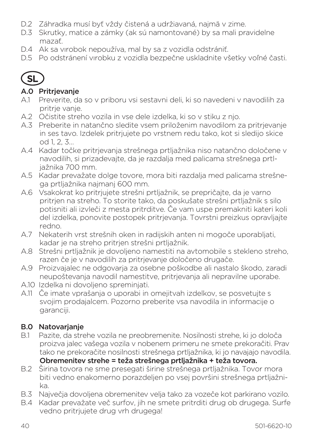- D.2 Záhradka musí byť vždy čistená a udržiavaná, najmä v zime.
- D.3 Skrutky, matice a zámky (ak sú namontované) by sa mali pravidelne mazať.
- D.4 Ak sa vırobok nepoužíva, mal by sa z vozidla odstrániť.
- D.5 Po odstránení vırobku z vozidla bezpečne uskladnite všetky voľné časti.



#### A.0 Pritrjevanje

- A.1 Preverite, da so v priboru vsi sestavni deli, ki so navedeni v navodilih za pritrie vanie.
- A.2 Očistite streho vozila in vse dele izdelka, ki so v stiku z njo.
- A.3 Preberite in natančno sledite vsem priloženim navodilom za pritrjevanje in ses tavo. Izdelek pritrjujete po vrstnem redu tako, kot si sledijo skice od 1, 2, 3
- A.4 Kadar točke pritrjevanja strešnega prtljažnika niso natančno določene v navodilih, si prizadevajte, da je razdalja med palicama strešnega prtljažnika 700 mm.
- A.5 Kadar prevažate dolge tovore, mora biti razdalja med palicama strešnega prtljažnika najmanj 600 mm.
- A.6 Vsakokrat ko pritrjujete strešni prtljažnik, se prepričajte, da je varno pritrjen na streho. To storite tako, da poskušate strešni prtljažnik s silo potisniti ali izvleči z mesta pritrditve. Če vam uspe premakniti kateri koli del izdelka, ponovite postopek pritrjevanja. Tovrstni preizkus opravljajte redno.
- A.7 Nekaterih vrst strešnih oken in radijskih anten ni mogoče uporabljati, kadar je na streho pritrjen strešni prtljažnik.
- A.8 Strešni prtljažnik je dovoljeno namestiti na avtomobile s stekleno streho, razen če je v navodilih za pritrjevanje določeno drugače.
- A.9 Proizvajalec ne odgovarja za osebne poškodbe ali nastalo škodo, zaradi neupoštevanja navodil namestitve, pritrjevanja ali nepravilne uporabe.
- A.10 Izdelka ni dovoljeno spreminjati.
- A.11 Če imate vprašanja o uporabi in omejitvah izdelkov, se posvetujte s svojim prodajalcem. Pozorno preberite vsa navodila in informacije o garanciji.

# **B.0 Natovarjanje**<br>B1 Pazite da stre

- B.1 Pazite, da strehe vozila ne preobremenite. Nosilnosti strehe, ki jo določa proizva jalec vašega vozila v nobenem primeru ne smete prekoračiti. Prav tako ne prekoračite nosilnosti strešnega prtljažnika, ki jo navajajo navodila. Obremenitev strehe = teža strešnega prtljažnika + teža tovora.
- B.2 Širina tovora ne sme presegati širine strešnega prtljažnika. Tovor mora biti vedno enakomerno porazdeljen po vsej površini strešnega prtljažnika.
- B.3 Največja dovoljena obremenitev velja tako za vozeče kot parkirano vozilo.
- B.4 Kadar prevažate več surfov, jih ne smete pritrditi drug ob drugega. Surfe vedno pritriujete drug vrh drugega!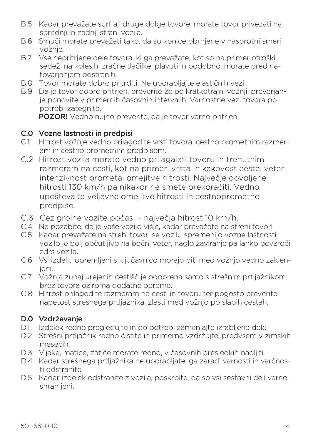- B.5 Kadar prevažate surf ali druge dolge tovore, morate tovor privezati na sprednji in zadnji strani vozila.
- B.6 Smuči morate prevažati tako, da so konice obrnjene v nasprotni smeri vožnje.
- B.7 Vse nepritrjene dele tovora, ki ga prevažate, kot so na primer otroški sedeži na kolesih, zračne tlačilke, plavuti in podobno, morate pred natovarjanjem odstraniti.
- B.8 Tovor morate dobro pritrditi. Ne uporabljajte elastičnih vezi.
- B.9 Da je tovor dobro pritrjen, preverite že po kratkotrajni vožnji, preverjanje ponovite v primernih časovnih intervalih. Varnostne vezi tovora po potrebi zategnite.

POZOR! Vedno nujno preverite, da je tovor varno pritrjen.

#### C.0 Vozne lastnosti in predpisi

- C.1 Hitrost vožnje vedno prilagodite vrsti tovora, cestno prometnim razmeram in cestno prometnim predpisom.
- C.2 Hitrost vozila morate vedno prilagajati tovoru in trenutnim razmeram na cesti, kot na primer: vrsta in kakovost ceste, veter, intenzivnost prometa, omejitve hitrosti. Največje dovoljene hitrosti 130 km/h pa nikakor ne smete prekoračiti. Vedno upoštevajte veljavne omejitve hitrosti in cestnoprometne predpise.
- C.3 Čez grbine vozite počasi največja hitrost 10 km/h.
- C.4 Ne pozabite, da je vaše vozilo višje, kadar prevažate na strehi tovor!
- C.5 Kadar prevažate na strehi tovor, se vozilu spremenijo vozne lastnosti, vozilo je bolj občutljivo na bočni veter, naglo zaviranje pa lahko povzroči zdrs vozila.
- C.6 Vsi izdelki opremljeni s ključavnico morajo biti med vožnjo vedno zaklenjeni.
- C.7 Vožnja zunaj urejenih cestišč je odobrena samo s strešnim prtljažnikom brez tovora oziroma dodatne opreme.
- C.8 Hitrost prilagodite razmeram na cesti in tovoru ter pogosto preverite napetost strešnega prtljažnika, zlasti med vožnjo po slabih cestah.

#### D.0 Vzdrževanje

- D.1 Izdelek redno pregledujte in po potrebi zamenjajte izrabljene dele.
- D.2 Strešni prtljažnik redno čistite in primerno vzdržujte, predvsem v zimskih mesecih.
- D.3 Vijake, matice, zatiče morate redno, v časovnih presledkih naoljiti.
- D.4 Kadar strešnega prtliažnika ne uporabliate, ga zaradi varnosti in varčnosti odstranite.
- D.5 Kadar izdelek odstranite z vozila, poskrbite, da so vsi sestavni deli varno shran ieni.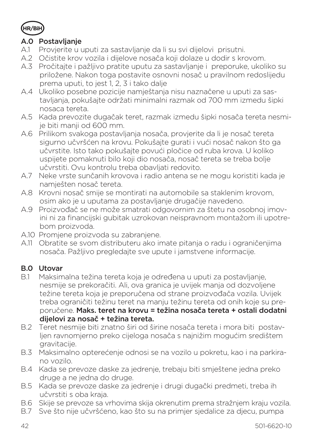

#### A.0 Postavljanje

- A.1 Provjerite u uputi za sastavljanje da li su svi dijelovi prisutni.
- A.2 Očistite krov vozila i dijelove nosača koji dolaze u dodir s krovom.
- A.3 Pročitajte i pažljivo pratite uputu za sastavljanje i preporuke, ukoliko su priložene. Nakon toga postavite osnovni nosač u pravilnom redoslijedu prema uputi, to jest 1, 2, 3 i tako dalje
- A.4 Ukoliko posebne pozicije namještanja nisu naznačene u uputi za sastavljanja, pokušajte održati minimalni razmak od 700 mm izmedu šipki nosaca tereta.
- A.5 Kada prevozite dugačak teret, razmak izmedu šipki nosača tereta nesmije biti manji od 600 mm.
- A.6 Prilikom svakoga postavljanja nosača, provjerite da li je nosač tereta sigurno učvršćen na krovu. Pokušajte gurati i vući nosač nakon što ga učvrstite. Isto tako pokušajte povući pločice od ruba krova. U koliko uspijete pomaknuti bilo koji dio nosača, nosač tereta se treba bolje učvrstiti. Ovu kontrolu treba obavljati redovito.
- A.7 Neke vrste sunčanih krovova i radio antena se ne mogu koristiti kada je namješten nosač tereta.
- A.8 Krovni nosač smije se montirati na automobile sa staklenim krovom, osim ako je u uputama za postavljanje drugačije navedeno.
- A.9 Proizvođač se ne može smatrati odgovornim za štetu na osobnoj imovini ni za financijski gubitak uzrokovan neispravnom montažom ili upotrebom proizvoda.
- A.10 Promjene proizvoda su zabranjene.
- A.11 Obratite se svom distributeru ako imate pitanja o radu i ograničenjima nosača. Pažljivo pregledajte sve upute i jamstvene informacije.

#### B.0 Utovar

- B.1 Maksimalna težina tereta koja je određena u uputi za postavljanje, nesmije se prekoračiti. Ali, ova granica je uvijek manja od dozvoljene težine tereta koja je preporučena od strane proizvođača vozila. Uvijek treba ograničiti težinu teret na manju težinu tereta od onih koje su preporučene. Maks. teret na krovu = težina nosača tereta + ostali dodatni dijelovi za nosač + težina tereta.
- B.2 Teret nesmije biti znatno širi od širine nosača tereta i mora biti postavljen ravnomjerno preko cijeloga nosača s najnižim mogućim središtem gravitacije.
- B.3 Maksimalno opterećenje odnosi se na vozilo u pokretu, kao i na parkirano vozilo.
- B.4 Kada se prevoze daske za jedrenje, trebaju biti smještene jedna preko druge a ne jedna do druge.
- B.5 Kada se prevoze daske za jedrenje i drugi dugački predmeti, treba ih učvrstiti s oba kraja.
- B.6 Skije se prevoze sa vrhovima skija okrenutim prema stražnjem kraju vozila.
- B.7 Sve što nije učvršćeno, kao što su na primjer sjedalice za djecu, pumpa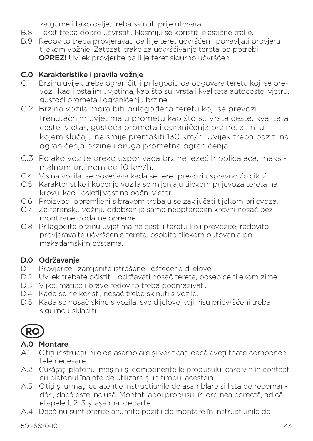za gume i tako dalje, treba skinuti prije utovara.

- B.8 Teret treba dobro učvrstiti. Nesmiju se koristiti elastične trake.
- B.9 Redovito treba provjeravati da li je teret učvršćen i ponavljati provjeru tijekom vožnje. Zatezati trake za učvršćivanje tereta po potrebi. OPREZ! Uvijek provjerite da li je teret sigurno učvršćen.

# C.0 Karakteristike i pravila vožnje

- C.1 Brzinu uvijek treba ograničiti i prilagoditi da odgovara teretu koji se prevozi kao i ostalim uvjetima, kao što su, vrsta i kvaliteta autoceste, vjetru, gustoći prometa i ograničenju brzine.
- C.2 Brzina vozila mora biti prilagođena teretu koji se prevozi i trenutačnim uvjetima u prometu kao što su vrsta ceste, kvaliteta ceste, vjetar, gustoća prometa i ograničenja brzine, ali ni u kojem slučaju ne smije premašiti 130 km/h. Uvijek treba paziti na ograničenja brzine i druga prometna ograničenja.
- C.3 Polako vozite preko usporivača brzine ležećih policajaca, maksimalnom brzinom od 10 km/h.
- C.4 Visina vozila se povećava kada se teret prevozi uspravno /bicikli/.
- C.5 Karakteristike i kočenje vozila se mijenjaju tijekom prijevoza tereta na krovu, kao i osjetljivost na bočni vjetar.
- C.6 Proizvodi opremljeni s bravom trebaju se zaključati tijekom prijevoza.
- C.7 Za terensku vožnju odobren je samo neopterećen krovni nosač bez montirane dodatne opreme.
- C.8 Prilagodite brzinu uvjetima na cesti i teretu koji prevozite, redovito provjeravajte učvršćenje tereta, osobito tijekom putovanja po makadamskim cestama.

# D.0 Održavanje

- D.1 Provjerite i zamjenite istrošene i oštećene dijelove.
- D.2 Uvijek trebate očistiti i održavati nosač tereta, posebice tijekom zime.
- D.3 Vijke, matice i brave redovito treba podmazivati.
- D.4 Kada se ne koristi, nosač treba skinuti s vozila.
- D.5 Kada se nosač skine s vozila, sve dijelove koji nisu pričvršćeni treba sigurno uskladiti.



# A.0 Montare

- A.1 Citiți instrucțiunile de asamblare și verificați dacă aveți toate componentele necesare.
- A.2 Curătati plafonul mașinii și componente le produsului care vin în contact cu plafonul înainte de utilizare și în timpul acesteia.
- A.3 Citiți și urmați cu atenție instrucțiunile de asamblare și lista de recomandări, dacă este inclusă. Montați apoi produsul în ordinea corectă, adică etapele 1, 2, 3 și așa mai departe.
- A.4 Dacă nu sunt oferite anumite poziții de montare în instrucțiunile de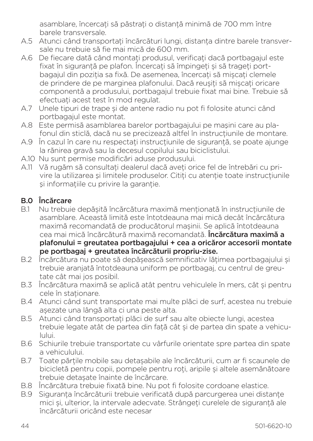asamblare, încercati să păstrati o distanță minimă de 700 mm între barele transversale.

- A.5 Atunci când transportați încărcături lungi, distanța dintre barele transversale nu trebuie să fie mai mică de 600 mm.
- A.6 De fiecare dată când montați produsul, verificați dacă portbagajul este fixat în siguranță pe plafon. Încercați să împingeți și să trageți portbagajul din poziția sa fixă. De asemenea, încercați să mișcați clemele de prindere de pe marginea plafonului. Dacă reușiți să mișcați oricare componentă a produsului, portbagajul trebuie fixat mai bine. Trebuie să efectuati acest test în mod regulat.
- A.7 Unele tipuri de trape și de antene radio nu pot fi folosite atunci când portbagajul este montat.
- A.8 Este permisă asamblarea barelor portbagajului pe maşini care au plafonul din sticlă, dacă nu se precizează altfel în instrucțiunile de montare.
- A.9 În cazul în care nu respectați instrucțiunile de siguranță, se poate ajunge la rănirea gravă sau la decesul copilului sau biciclistului.
- A.10 Nu sunt permise modificări aduse produsului.
- A.11 Vă rugăm să consultați dealerul dacă aveți orice fel de întrebări cu privire la utilizarea și limitele produselor. Citiți cu atenție toate instrucțiunile si informatiile cu privire la garantie.

### B.0 Încărcare

- B.1 Nu trebuie depășită încărcătura maximă mentionată în instrucțiunile de asamblare. Această limită este întotdeauna mai mică decât încărcătura maximă recomandată de producătorul mașinii. Se aplică întotdeauna cea mai mică încărcătură maximă recomandată. Încărcătura maximă a plafonului = greutatea portbagajului + cea a oricăror accesorii montate pe portbagaj + greutatea încărcăturii propriu-zise.
- B.2 Încărcătura nu poate să depășească semnificativ lățimea portbagajului și trebuie aranjată întotdeauna uniform pe portbagaj, cu centrul de greutate cât mai jos posibil.
- B.3 Încărcătura maximă se aplică atât pentru vehiculele în mers, cât și pentru cele în stationare.
- B.4 Atunci când sunt transportate mai multe plăci de surf, acestea nu trebuie așezate una lângă alta ci una peste alta.
- B.5 Atunci când transportati plăci de surf sau alte obiecte lungi, acestea trebuie legate atât de partea din fată cât și de partea din spate a vehiculului.
- B.6 Schiurile trebuie transportate cu vârfurile orientate spre partea din spate a vehiculului.
- B.7 Toate părțile mobile sau detașabile ale încărcăturii, cum ar fi scaunele de bicicletă pentru copii, pompele pentru roți, aripile și altele asemănătoare trebuie detașate înainte de încărcare.
- B.8 Încărcătura trebuie fixată bine. Nu pot fi folosite cordoane elastice.
- B.9 Siguranța încărcăturii trebuie verificată după parcurgerea unei distanțe mici și, ulterior, la intervale adecvate. Strângeți curelele de siguranță ale încărcăturii oricând este necesar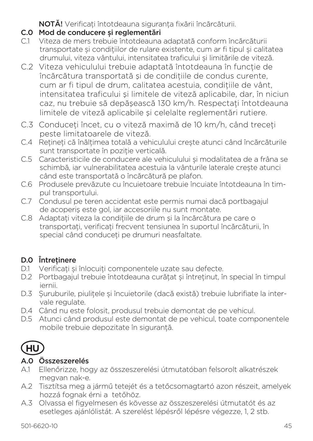NOTĂ! Verificati întotdeauna siguranta fixării încărcăturii.

- C.0 Mod de conducere și reglementări
- C.1 Viteza de mers trebuie întotdeauna adaptată conform încărcăturii transportate și condițiilor de rulare existente, cum ar fi tipul și calitatea drumului, viteza vântului, intensitatea traficului și limitările de viteză.
- C.2 Viteza vehiculului trebuie adaptată întotdeauna în funcție de încărcătura transportată și de condițiile de condus curente. cum ar fi tipul de drum, calitatea acestuia, conditiile de vânt, intensitatea traficului şi limitele de viteză aplicabile, dar, în niciun caz, nu trebuie să depăsească 130 km/h. Respectați întotdeauna limitele de viteză aplicabile şi celelalte reglementări rutiere.
- C.3 Conduceti încet, cu o viteză maximă de 10 km/h, când treceți peste limitatoarele de viteză.
- C.4 Retineți că înălțimea totală a vehiculului crește atunci când încărcăturile sunt transportate în poziție verticală.
- C.5 Caracteristicile de conducere ale vehiculului și modalitatea de a frâna se schimbă, iar vulnerabilitatea acestuia la vânturile laterale crește atunci când este transportată o încărcătură pe plafon.
- C.6 Produsele prevăzute cu încuietoare trebuie încuiate întotdeauna în timpul transportului.
- C.7 Condusul pe teren accidentat este permis numai dacă portbagajul de acoperiş este gol, iar accesoriile nu sunt montate.
- C.8 Adaptați viteza la condițiile de drum și la încărcătura pe care o transportați, verificați frecvent tensiunea în suportul încărcăturii, în special când conduceti pe drumuri neasfaltate.

# D.0 Întretinere

- D.1 Verificați și înlocuiți componentele uzate sau defecte.
- D.2 Portbagajul trebuie întotdeauna curăţat și întreţinut, în special în timpul iernii.
- D.3 Suruburile, piulitele și încuietorile (dacă există) trebuie lubrifiate la intervale regulate.
- D.4 Când nu este folosit, produsul trebuie demontat de pe vehicul.
- D.5 Atunci când produsul este demontat de pe vehicul, toate componentele mobile trebuie depozitate în siguranţă.



# A.0 Összeszerelés

- A.1 Ellenőrizze, hogy az összeszerelési útmutatóban felsorolt alkatrészek megvan nak-e.
- A.2 Tisztítsa meg a jármű tetejét és a tetőcsomagtartó azon részeit, amelyek hozzá fognak érni a tetőhöz.
- A.3 Olvassa el figyelmesen és kövesse az összeszerelési útmutatót és az esetleges ajánlólistát. A szerelést lépésről lépésre végezze, 1, 2 stb.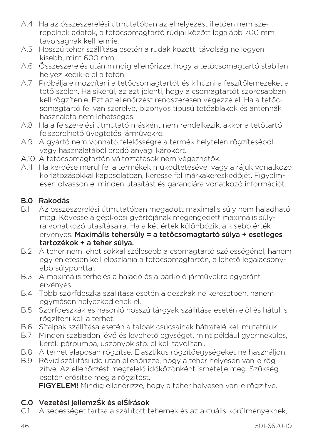- A.4 Ha az összeszerelési útmutatóban az elhelyezést illetően nem szerepelnek adatok, a tetőcsomagtartó rúdjai között legalább 700 mm távolságnak kell lennie.
- A.5 Hosszú teher szállítása esetén a rudak közötti távolság ne legyen kisebb, mint 600 mm.
- A.6 Összeszerelés után mindig ellenőrizze, hogy a tetőcsomagtartó stabilan helyez kedik-e el a tetőn.
- A.7 Próbálja elmozdítani a tetőcsomagtartót és kihúzni a feszítőlemezeket a tető szélén. Ha sikerül, az azt jelenti, hogy a csomagtartót szorosabban kell rögzítenie. Ezt az ellenőrzést rendszeresen végezze el. Ha a tetőcsomagtartó fel van szerelve, bizonyos típusú tetőablakok és antennák használata nem lehetséges.
- A.8 Ha a felszerelési útmutató másként nem rendelkezik, akkor a tetőtartó felszerelhető üvegtetős járművekre.
- A.9 A gyártó nem vonható felelősségre a termék helytelen rögzítéséből vagy használatából eredő anyagi károkért.
- A.10 A tetőcsomagtartón változtatások nem végezhetők.
- A.11 Ha kérdése merül fel a termékek működtetésével vagy a rájuk vonatkozó korlátozásokkal kapcsolatban, keresse fel márkakereskedőjét. Figyelmesen olvasson el minden utasítást és garanciára vonatkozó információt.

### B.0 Rakodás

- B.1 Az összeszerelési útmutatóban megadott maximális súly nem haladható meg. Kövesse a gépkocsi gyártójának megengedett maximális súlyra vonatkozó utasításaira. Ha a két érték különbözik, a kisebb érték érvényes. Maximális tehersúly = a tetőcsomagtartó súlya + esetleges tartozékok + a teher súlya.
- B.2 A teher nem lehet sokkal szélesebb a csomagtartó szélességénél, hanem egy enletesen kell eloszlania a tetőcsomagtartón, a lehető legalacsonyabb súlyponttal.
- B.3 A maximális terhelés a haladó és a parkoló járművekre egyaránt érvényes.
- B.4 Több szörfdeszka szállítása esetén a deszkák ne keresztben, hanem egymáson helyezkedjenek el.
- B.5 Szörfdeszkák és hasonló hosszú tárgyak szállítása esetén elöl és hátul is rögzíteni kell a terhet.
- B.6 Sítalpak szállítása esetén a talpak csúcsainak hátrafelé kell mutatniuk.
- B.7 Minden szabadon lévő és levehető egységet, mint például gyermekülés, kerék párpumpa, uszonyok stb. el kell távolítani.
- B.8 A terhet alaposan rögzítse. Elasztikus rögzítőegységeket ne használjon.
- B.9 Rövid szállítási idő után ellenőrizze, hogy a teher helyesen van-e rögzítve. Az ellenőrzést megfelelő időközönként ismételje meg. Szükség esetén erősítse meg a rögzítést.

FIGYELEM! Mindig ellenőrizze, hogy a teher helyesen van-e rögzítve.

# C.0 Vezetési jellemzŚk és elŚírások

C.1 A sebességet tartsa a szállított tehernek és az aktuális körülményeknek,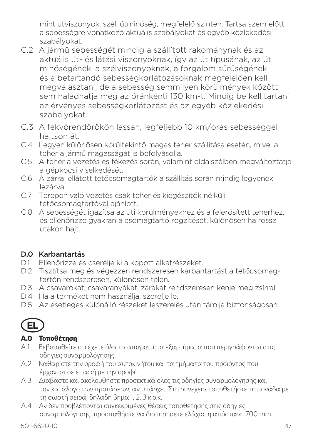mint útviszonyok, szél, útminőség, megfelelő szinten. Tartsa szem előtt a sebességre vonatkozó aktuális szabályokat és egyéb közlekedési szabályokat.

- C.2 A jármű sebességét mindig a szállított rakománynak és az aktuális út- és látási viszonyoknak, így az út típusának, az út minőségének, a szélviszonyoknak, a forgalom sűrűségének és a betartandó sebességkorlátozásoknak megfelelően kell megválasztani, de a sebesség semmilyen körülmények között sem haladhatja meg az óránkénti 130 km-t. Mindig be kell tartani az érvényes sebességkorlátozást és az egyéb közlekedési szabályokat.
- C.3 A fekvőrendőrökön lassan, legfeljebb 10 km/órás sebességgel hajtson át.
- C.4 Legyen különösen körültekintő magas teher szállítása esetén, mivel a teher a jármű magasságát is befolyásolja.
- C.5 A teher a vezetés és fékezés során, valamint oldalszélben megváltoztatja a gépkocsi viselkedését.
- C.6 A zárral ellátott tetőcsomagtartók a szállítás során mindig legyenek lezárva.
- C.7 Terepen való vezetés csak teher és kiegészítők nélküli tetőcsomagtartóval ajánlott.
- C.8 A sebességét igazítsa az úti körülményekhez és a felerősített teherhez, és ellenőrizze gyakran a csomagtartó rögzítését, különösen ha rossz utakon hajt.

# D.0 Karbantartás

- D.1 Ellenőrizze és cserélje ki a kopott alkatrészeket.
- D.2 Tisztítsa meg és végezzen rendszeresen karbantartást a tetőcsomagtartón rendszeresen, különösen télen.
- D.3 A csavarokat, csavaranyákat, zárakat rendszeresen kenje meg zsírral.
- D.4 Ha a terméket nem használja, szerelje le.
- D.5 Az esetleges különálló részeket leszerelés után tárolja biztonságosan.



### **A.0 Τοποθέτηση**

- Α.1 Βεβαιωθείτε ότι έχετε όλα τα απαραίτητα εξαρτήματα που περιγράφονται στις οδηγίες συναρμολόγησης.
- Α.2 Καθαρίστε την οροφή του αυτοκινήτου και τα τμήματα του προϊόντος που έρχονται σε επαφή με την οροφή.
- Α 3 Διαβάστε και ακολουθήστε προσεκτικά όλες τις οδηγίες συναρμολόγησης και τον κατάλογο των προτάσεων, αν υπάρχει. Στη συνέχεια τοποθετήστε τη μονάδα με τη σωστή σειρά, δηλαδή βήμα 1, 2, 3 κ.ο.κ.
- Α.4 Αν δεν προβλέπονται συγκεκριμένες θέσεις τοποθέτησης στις οδηγίες συναρμολόγησης, προσπαθήστε να διατηρήσετε ελάχιστη απόσταση 700 mm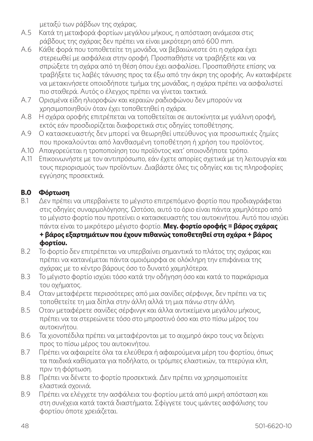μεταξύ των ράβδων της σχάρας.

- Α.5 Κατά τη μεταφορά φορτίων μεγάλου μήκους, η απόσταση ανάμεσα στις ράβδους της σχάρας δεν πρέπει να είναι μικρότερη από 600 mm.
- Α.6 Κάθε φορά που τοποθετείτε τη μονάδα, να βεβαιώνεστε ότι η σχάρα έχει στερεωθεί με ασφάλεια στην οροφή. Προσπαθήστε να τραβήξετε και να σπρώξετε τη σχάρα από τη θέση όπου έχει ασφαλίσει. Προσπαθήστε επίσης να τραβήξετε τις λαβές τάνυσης προς τα έξω από την άκρη της οροφής. Αν καταφέρετε να μετακινήσετε οποιοδήποτε τμήμα της μονάδας, η σχάρα πρέπει να ασφαλιστεί πιο σταθερά. Αυτός ο έλεγχος πρέπει να γίνεται τακτικά.
- Α.7 Ορισμένα είδη ηλιοροφών και κεραιών ραδιοφώνου δεν μπορούν να χρησιμοποιηθούν όταν έχει τοποθετηθεί η σχάρα.
- Α.8 Η σχάρα οροφής επιτρέπεται να τοποθετείται σε αυτοκίνητα με γυάλινη οροφή, εκτός εάν προσδιορίζεται διαφορετικά στις οδηγίες τοποθέτησης.
- Α.9 Ο κατασκευαστής δεν μπορεί να θεωρηθεί υπεύθυνος για προσωπικές ζημίες που προκαλούνται από λανθασμένη τοποθέτηση ή χρήση του προϊόντος.
- Α.10 Απαγορεύεται η τροποποίηση του προϊόντος κατ' οποιονδήποτε τρόπο.
- Α.11 Επικοινωνήστε με τον αντιπρόσωπο, εάν έχετε απορίες σχετικά με τη λειτουργία και τους περιορισμούς των προϊόντων. Διαβάστε όλες τις οδηγίες και τις πληροφορίες εγγύησης προσεκτικά.

#### **B.0 Φόρτωση**

- Β.1 Δεν πρέπει να υπερβαίνετε το μέγιστο επιτρεπόμενο φορτίο που προδιαγράφεται στις οδηγίες συναρμολόγησης. Ωστόσο, αυτό το όριο είναι πάντα χαμηλότερο από το μέγιστο φορτίο που προτείνει ο κατασκευαστής του αυτοκινήτου. Αυτό που ισχύει πάντα είναι το μικρότερο μέγιστο φορτίο. **Μεγ. φορτίο οροφής = βάρος σχάρας + βάρος εξαρτημάτων που έχουν πιθανώς τοποθετηθεί στη σχάρα + βάρος φορτίου.**
- Β.2 Το φορτίο δεν επιτρέπεται να υπερβαίνει σημαντικά το πλάτος της σχάρας και πρέπει να κατανέμεται πάντα ομοιόμορφα σε ολόκληρη την επιφάνεια της σχάρας με το κέντρο βάρους όσο το δυνατό χαμηλότερα.
- Β.3 Το μέγιστο φορτίο ισχύει τόσο κατά την οδήγηση όσο και κατά το παρκάρισμα του οχήματος.
- Β.4 Οταν μεταφέρετε περισσότερες από μια σανίδες σέρφινγκ, δεν πρέπει να τις τοποθετείτε τη μια δίπλα στην άλλη αλλά τη μια πάνω στην άλλη.
- Β.5 Οταν μεταφέρετε σανίδες σέρφινγκ και άλλα αντικείμενα μεγάλου μήκους, πρέπει να τα στερεώνετε τόσο στο μπροστινό όσο και στο πίσω μέρος του αυτοκινήτου.
- Β.6 Τα χιονοπέδιλα πρέπει να μεταφέρονται με το αιχμηρό άκρο τους να δείχνει προς το πίσω μέρος του αυτοκινήτου.
- Β.7 Πρέπει να αφαιρείτε όλα τα ελεύθερα ή αφαιρούμενα μέρη του φορτίου, όπως τα παιδικά καθίσματα για ποδήλατο, οι τρόμπες ελαστικών, τα πτερύγια κλπ, πριν τη φόρτωση.
- Β.8 Πρέπει να δένετε το φορτίο προσεκτικά. Δεν πρέπει να χρησιμοποιείτε ελαστικά σχοινιά.
- Β.9 Πρέπει να ελέγχετε την ασφάλεια του φορτίου μετά από μικρή απόσταση και στη συνέχεια κατά τακτά διαστήματα. Σφίγγετε τους ιμάντες ασφάλισης του φορτίου όποτε χρειάζεται.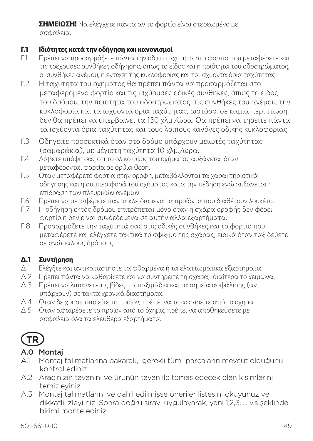**ΣΗΜΕΙΩΣΗ!** Να ελέγχετε πάντα αν το φορτίο είναι στερεωμένο με ασφάλεια.

# **Γ.1 Ιδιότητες κατά την οδήγηση και κανονισμοί**

- Γ.1 Πρέπει να προσαρμόζετε πάντα την οδική ταχύτητα στο φορτίο που μεταφέρετε και τις τρέχουσες συνθήκες οδήγησης, όπως το είδος και η ποιότητα του οδοστρώματος, οι συνθήκες ανέμου, η ένταση της κυκλοφορίας και τα ισχύοντα όρια ταχύτητας.
- Γ.2 Η ταχύτητα του οχήματος θα πρέπει πάντα να προσαρμόζεται στο μεταφερόμενο φορτίο και τις ισχύουσες οδικές συνθήκες, όπως το είδος του δρόμου, την ποιότητα του οδοστρώματος, τις συνθήκες του ανέμου, την κυκλοφορία και τα ισχύοντα όρια ταχύτητας, ωστόσο, σε καμία περίπτωση, δεν θα πρέπει να υπερβαίνει τα 130 χλμ./ώρα. Θα πρέπει να τηρείτε πάντα τα ισχύοντα όρια ταχύτητας και τους λοιπούς κανόνες οδικής κυκλοφορίας.
- Γ.3 Οδηγείτε προσεκτικά όταν στο δρόμο υπάρχουν μειωτές ταχύτητας (σαμαράκια), με μέγιστη ταχύτητα 10 χλμ./ώρα.
- Γ.4 Λάβετε υπόψη σας ότι το ολικό ύψος του οχήματος αυξάνεται όταν μεταφέρονται φορτία σε όρθια θέση.
- Γ.5 Οταν μεταφέρετε φορτία στην οροφή, μεταβάλλονται τα χαρακτηριστικά οδήγησης και η συμπεριφορά του οχήματος κατά την πέδηση ενώ αυξάνεται η επίδραση των πλευρικών ανέμων.
- Γ.6 Πρέπει να μεταφέρετε πάντα κλειδωμένα τα προϊόντα που διαθέτουν λουκέτο.
- Γ.7 Η οδήγηση εκτός δρόμου επιτρέπεται μόνο όταν η σχάρα οροφής δεν φέρει φορτίο ή δεν είναι συνδεδεμένα σε αυτήν άλλα εξαρτήματα.
- Γ.8 Προσαρμόζετε την ταχύτητά σας στις οδικές συνθήκες και το φορτίο που μεταφέρετε και ελέγχετε τακτικά το σφίξιμο της σχάρας, ειδικά όταν ταξιδεύετε σε ανώμαλους δρόμους.

# **Δ.1 Συντήρηση**

- Δ.1 Ελέγξτε και αντικαταστήστε τα φθαρμένα ή τα ελαττωματικά εξαρτήματα.
- Δ.2 Πρέπει πάντα να καθαρίζετε και να συντηρείτε τη σχάρα, ιδιαίτερα το χειμώνα.
- Δ.3 Πρέπει να λιπαίνετε τις βίδες, τα παξιμάδια και τα σημεία ασφάλισης (αν υπάρχουν) σε τακτά χρονικά διαστήματα.
- Δ.4 Οταν δε χρησιμοποιείτε το προϊόν, πρέπει να το αφαιρείτε από το όχημα.
- Δ.5 Οταν αφαιρέσετε το προϊόν από το όχημα, πρέπει να αποθηκεύσετε με ασφάλεια όλα τα ελεύθερα εξαρτήματα.



### A.0 Montaj

- A.1 Montaj talimatlarına bakarak, gerekli tüm parçaların mevcut olduğunu kontrol ediniz.
- A.2 Aracınızın tavanını ve ürünün tavan ile temas edecek olan kısımlarını temizleyiniz.
- A.3 Montaj talimatlarını ve dahil edilmişse öneriler listesini okuyunuz ve dikkatli izleyi niz. Sonra doğru sırayı uygulayarak, yani 1,2,3..... v.s şeklinde birimi monte ediniz.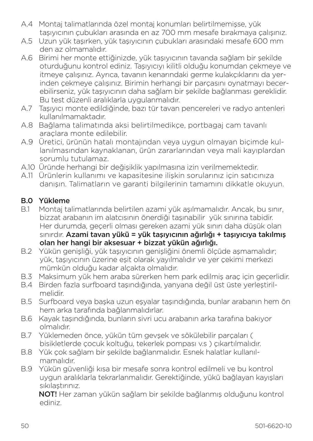- A.4 Montaj talimatlarında özel montaj konumları belirtilmemişse, yük taşıyıcının çubukları arasında en az 700 mm mesafe bırakmaya çalışınız.
- A.5 Uzun yük taşırken, yük taşıyıcının çubukları arasındaki mesafe 600 mm den az olmamalıdır.
- A.6 Birimi her monte ettiğinizde, yük taşıyıcının tavanda sağlam bir şekilde oturduğunu kontrol ediniz. Taşıyıcıyı kilitli olduğu konumdan çekmeye ve itmeye çalışınız. Ayrıca, tavanın kenarındaki germe kulakçıklarını da yerinden çekmeye çalışınız. Birimin herhangi bir parçasını oynatmayı becerebilirseniz, yük taşıyıcının daha sağlam bir şekilde bağlanması gereklidir. Bu test düzenli aralıklarla uygulanmalıdır.
- A.7 Taşıyıcı monte edildiğinde, bazı tür tavan pencereleri ve radyo antenleri kullanılmamaktadır.
- A.8 Bağlama talimatında aksi belirtilmedikçe, portbagaj cam tavanlı araçlara monte edilebilir.
- A.9 Üretici, ürünün hatalı montajından veya uygun olmayan biçimde kullanılmasından kaynaklanan, ürün zararlarından veya mali kayıplardan sorumlu tutulamaz.
- A.10 Üründe herhangi bir değişiklik yapılmasına izin verilmemektedir.
- A.11 Ürünlerin kullanımı ve kapasitesine ilişkin sorularınız için satıcınıza danışın. Talimatların ve garanti bilgilerinin tamamını dikkatle okuyun.

# **B.0 Yükleme**<br>B1 Montai ta

- B.1 Montaj talimatlarında belirtilen azami yük aşılmamalıdır. Ancak, bu sınır, bizzat arabanın im alatcısının önerdiği taşınabilir yük sınırına tabidir. Her durumda, geçerli olması gereken azami yük sınırı daha düşük olan sınırdır. Azami tavan yükü = yük taşıyıcının ağırlığı + taşıyıcıya takılmış olan her hangi bir aksesuar + bizzat yükün ağırlığı.
- B.2 Yükün genişliği, yük taşıyıcının genişliğini önemli ölçüde aşmamalıdır; yük, taşıyıcının üzerine eşit olarak yayılmalıdır ve yer çekimi merkezi mümkün olduğu kadar alçakta olmalıdır.
- B.3 Maksimum yük hem araba sürerken hem park edilmiş araç için geçerlidir.
- B.4 Birden fazla surfboard taşındığında, yanyana değil üst üste yerleştirilmelidir.
- B.5 Surfboard veya başka uzun eşyalar taşındığında, bunlar arabanın hem ön hem arka tarafında bağlanmalıdırlar.
- B.6 Kayak taşındığında, bunların sivri ucu arabanın arka tarafına bakıyor olmalıdır.
- B.7 Yüklemeden önce, yükün tüm gevşek ve sökülebilir parçaları ( bisikletlerde çocuk koltuğu, tekerlek pompası v.s ) çıkartılmalıdır.
- B.8 Yük çok sağlam bir şekilde bağlanmalıdır. Esnek halatlar kullanılmamalıdır.
- B.9 Yükün güvenliği kısa bir mesafe sonra kontrol edilmeli ve bu kontrol uygun aralıklarla tekrarlanmalıdır. Gerektiğinde, yükü bağlayan kayışları sıkılaştırınız.

NOT! Her zaman yükün sağlam bir şekilde bağlanmış olduğunu kontrol ediniz.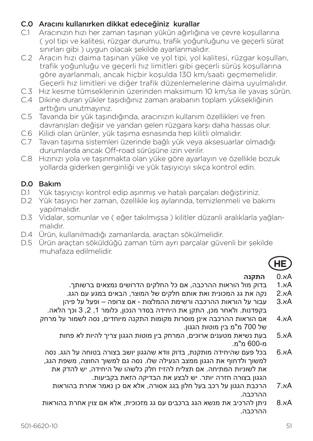#### C.0 Aracını kullanırken dikkat edeceğiniz kurallar

- C.1 Aracınızın hızı her zaman taşınan yükün ağırlığına ve çevre koşullarına ( yol tipi ve kalitesi, rüzgar durumu, trafik yoğunluğunu ve geçerli sürat sınırları gibi ) uygun olacak şekilde ayarlanmalıdır.
- C.2 Aracın hızı daima taşınan yüke ve yol tipi, yol kalitesi, rüzgar koşulları, trafik yoğunluğu ve geçerli hız limitleri gibi geçerli sürüş koşullarına göre ayarlanmalı, ancak hiçbir koşulda 130 km/saati geçmemelidir. Geçerli hız limitleri ve diğer trafik düzenlemelerine daima uyulmalıdır.
- C.3 Hız kesme tümseklerinin üzerinden maksimum 10 km/sa ile yavaş sürün.
- C.4 Dikine duran yükler taşıdığınız zaman arabanın toplam yüksekliğinin arttığını unutmayınız.
- C.5 Tavanda bir yük taşındığında, aracınızın kullanım özellikleri ve fren davranışları değişir ve yandan gelen rüzgara karşı daha hassas olur.
- C.6 Kilidi olan ürünler, yük taşıma esnasında hep kilitli olmalıdır.
- C.7 Tavan taşıma sistemleri üzerinde bağlı yük veya aksesuarlar olmadığı durumlarda ancak Off-road sürüşüne izin verilir.
- C.8 Hızınızı yola ve taşınmakta olan yüke göre ayarlayın ve özellikle bozuk yollarda giderken gerginliği ve yük taşıyıcıyı sıkça kontrol edin.

# **D.0 Bakım**<br>D1 Yük tas

- D.1 Yük taşıyıcıyı kontrol edip aşınmış ve hatalı parçaları değiştiriniz.
- D.2 Yük taşıyıcı her zaman, özellikle kış aylarında, temizlenmeli ve bakımı yapılmalıdır.
- D.3 Vidalar, somunlar ve ( eğer takılmışsa ) kilitler düzanli aralıklarla yağlanmalıdır.
- D.4 Ürün, kullanılmadığı zamanlarda, araçtan sökülmelidir.
- D.5 Ürün araçtan söküldüğü zaman tüm ayrı parçalar güvenli bir şekilde muhafaza edilmelidir.



# Aא0. **התקנה**

- Aא1. בדוק מול הוראות ההרכבה, אם כל החלקים הדרושים נמצאים ברשותך.
- Aא2. נקה את גג המכונית ואת אותם חלקים של המוצר, הבאים במגע עם הגג.
- Aא3. עבור על הוראות ההרכבה ורשימת ההמלצות אם צרופה ופעל על פיהן בקפדנות. ולאחר מכן, התקן את היחידה בסדר הנכון, כלומר 1, 2, 3 וכך הלאה.
- Aא4. אם הוראות ההרכבה אינן מוסרות מקומות התקנה מיוחדים, נסה לשמור על מרחק של 700 מ"מ בין מוטות הגגון.
	- Aא5. בעת נשיאת מטענים ארוכים, המרחק בין מוטות הגגון צריך להיות לא פחות n"n 600-n
	- Aא6. בכל פעם שהיחידה מותקנת, בדוק וודא שהגגון יושב בצורה בטוחה על הגג. נסה למשוך ולדחוף את הגגון ממצב הנעילה שלו. נסה גם למשוך החוצה, משפת הגג, את לשוניות המתיחה. אם תצליח להזיז חלק כלשהו של היחידה, יש להדק את הגגון בצורה חזרה יותר. יש לבצע את הבדיקה הזאת בקביעות.
		- Aא7. הרכבת הגגון על רכב בעל חלון בגג אסורה, אלא אם כן נאמר אחרת בהוראות ההרכבה.
- Aא8. ניתן להרכיב את מנשא הגג ברכבים עם גג מזכוכית, אלא אם צוין אחרת בהוראות ההרכבה.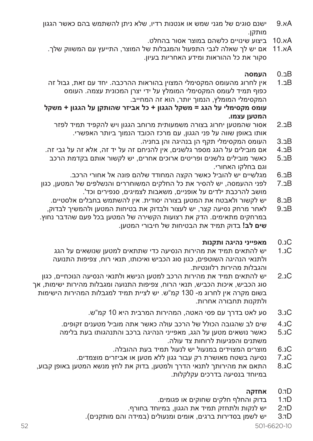- Aא9. ישנם סוגים של מגני שמש או אנטנות רדיו, שלא ניתן להשתמש בהם כאשר הגגון מותקן.
	- Aא10. ביצוע שינויים כלשהם במוצר אסור בהחלט.
	- Aא11. אם יש לך שאלה לגבי התפעול והמגבלות של המוצר, התייעץ עם המשווק שלך. סקור את כל ההוראות ומידע האחריות בעיון.

# Bב0. **העמסה**

- Bב1. אין לחרוג מהעומס המקסימלי המצוין בהוראות ההרכבה. יחד עם זאת, גבול זה כפוף תמיד לעומס המקסימלי המומלץ על ידי יצרן המכונית עצמה. העומס המקסימלי המומלץ, הנמוך יותר, הוא זה המחייב.  **עומס מקסימלי על הגג = משקל הגגון + כל אביזר שהותקן על הגגון + משקל**
	- **המטען עצמו.**<br>2.ב.2 אסור שהמטעו Bב2. אסור שהמטען יחרוג בצורה משמעותית מרוחב הגגון ויש להקפיד תמיד לפזר אותו באופן שווה על פני הגגון, עם מרכז הכובד הנמוך ביותר האפשרי.
		- Bב3. העומס המקסימלי תקף הן בנהיגה והן בחניה.
- Bב4. אם מובילים על הגג מספר גלשנים, אין להניחם זה על יד זה, אלא זה על גבי זה.
	- Bב5. כאשר מובילים גלשנים ופריטים ארוכים אחרים, יש לקשור אותם בקדמת הרכב וגם בחלקו האחורי.
		- Bב6. מגלשיים יש להוביל כאשר הקצה המחודד שלהם פונה אל אחורי הרכב.
- Bב7. לפני ההעמסה, יש להסיר את כל החלקים המשוחררים והנשלפים של המטען, כגון מושב להרכבת ילדים על אופניים, משאבות לצמיגים, סנפירים וכד'.
	- Bב8. יש לקשור ולאבטח את המטען בצורה יסודית. אין להשתמש בחבלים אלסטיים.
- Bב9. לאחר מרחק נסיעה קצר, יש לעצור ולבדוק את בטיחות המטען ולהמשיך לבדוק, במרחקים מתאימים. הדק את רצועות הקשירה של המטען בכל פעם שהדבר נחוץ.  **שים לב!** בדוק תמיד את הבטיחות של חיבורי המטען.

# Cג0. **מאפייני נהיגה ותקנות**

- Cג1. יש להתאים תמיד את מהירות הנסיעה כדי שתתאים למטען שנושאים על הגג ולתנאי הנהיגה השוטפים, כגון סוג הכביש ואיכותו, תנאי רוח, צפיפות התנועה והגבלות מהירות רלוונטיות.
- Cג2. יש להתאים תמיד את מהירות הרכב למטען הנישא ולתנאי הנסיעה הנוכחיים, כגון סוג הכביש, איכות הכביש, תנאי הרוח, צפיפות התנועה ומגבלות מהירות ישימות, אך בשום מקרה אין לחרוג מ- 130 קמ"ש. יש לציית תמיד למגבלות המהירות הישימות ולתקנות תחבורה אחרות.
	- Cג3. סע לאט בדרך עם פסי האטה, המהירות המרבית היא 10 קמ"ש.
	- Cג4. שים לב שהגובה הכולל של הרכב עולה כאשר אתה מוביל מטענים זקופים.
	- .<br>כאשר נושאים מטעו על הגג, מאפייני הנהיגה ברכב והתנהגותו בעת בלימה משתנים והפגיעות לרוחות צד עולה.
		- Cג6. מוצרים המצוידים במנעול יש לנעול תמיד בעת ההובלה.
		- סג.7 נסיעה בשטח מאושרת רק עבור גגון ללא מטען או אביזרים מוצמדים.<br>סג 8 התאח את מהירותר לתנאי הדרר ולמנועו. רדוק את לחץ מנושא המנוע
	- Cג8. התאם את מהירותך לתנאי הדרך ולמטען, בדוק את לחץ מנשא המטען באופן קבוע, במיוחד בנסיעה בדרכים עקלקלות.

# Dד0. **אחזקה**

- Dד1. בדוק והחלף חלקים שחוקים או פגומים.
- Dד2. יש לנקות ולתחזק תמיד את הגגון, במיוחד בחורף.
- Dד3. יש לשמן בסדירות ברגים, אומים ומנעולים )במידה והם מותקנים(.

52 501-6620-10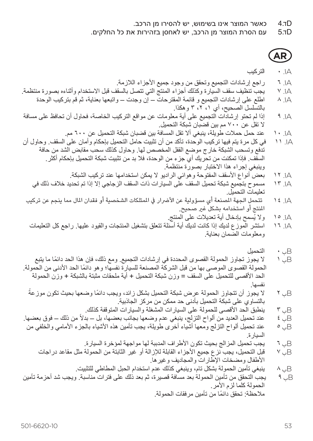- Dד4. כאשר המוצר אינו בשימוש, יש להסירו מן הרכב.
- עם הסרת המוצר מן הרכב, יש לאחסן בזהירות את כל החלקים.

**AR**

#### Aأ. 0 التركيب

- A, ٦ راجع إرشادات التجميع وتحقق من وجود جميع الأجزاء اللازمة.<br>A, ٧ بحت تنظيف سقف السيار ة و كذلك أجزاء المنتج التي تتصل بالسقف
- Aأ. 7 يجب تنظيف سقف السيارة وكذلك أجزاء المنتج التي تتصل بالسقف قبل االستخدام وأثناءه بصورة منتظمة. Aأ. 8 اطلع على إرشادات التجميع و قائمة المقترحات – إن وجدت – واتبعها بعناية، ثم قم بتركيب الوحدة
	- بالتسلسل الصحيح، أي ،1 ،2 3 وهكذا.
- Aأ. 9 إذا لم تحتو إرشادات التجميع على أية معلومات عن مواقع التركيب الخاصة، فحاول أن تحافظ على مسافة ال تقل عن 700 مم بين قضبان شبكة التحميل.
- Aأ. 10 عند حمل حمالت طويلة، ينبغي أال تقل المسافة بين قضبان شبكة التحميل عن 600 مم. Aأ. 11 في كل مرة يتم فيها تركيب الوحدة، تأكد من أن تثبيت حامل التحميل بإحكام وأمان على السقف. وحاول أن
	- تدفع وتسحب الشبكة خارج موضع القفل المخصص لها. وحاول كذلك سحب مقابض الشد من حافة السقف. فإذا تمكنت من تحريك أي جزء من الوحدة، فال بد من تثبيت شبكة التحميل بإحكام أكثر. وينبغي إجراء هذا االختبار بصورة منتظمة.
		- A, 17 بعض أنواع الأسقف المفتوحة وهوائي الراديو لا يمكن استخدامها عند تركيب الشبكة.<br>A, 17 مسموح بتجميع شبكة تحميل السقف على السيار ات ذات السقف الزجاجي إلا إذا تم تحديد
		- مسموح بتجميع شبكة تحميل السقف على السيارات ذات السقف الزجاجي إلا إذا تم تحديد خلاف ذلك في تعليمات التحميل.
	- Aأ. 14 تتحمل الجهة املصنعة أي مسؤولية عن األرضار يف املمتلكات الشخصية أو فقدان املال مما ينجم عن تركيب المنتج أو استخدامه بشكل غير صحيح.<br>16. ١٥ و لا يُسمح بادخال أبهّ تعديلات على الم
		- Aأ. 15 ُ وال يسمح بإدخال أية تعديالت على المنتج.
		- استشر الموزع لديك إذا كانت لديك أية أسئلة تتعلق بتشغيل المنتجات والقيود عليها. راجع كل التعليمات ومعلومات الضمان بعناية.
			- Bب 0 التحميل
- لا يجوز تجاوز الحمولة القصوى المحددة في إرشادات التجميع. ومع ذلك، فإن هذا الحد دائمًا ما يتبع ً الحمولة القصوى الموصى بها من قبل الشركة المصنعة للسيارة نفسها؛ وهو دائما الحد األدنى من الحمولة. الحد األقصى للتحميل على السقف = وزن شبكة التحميل + أية ملحقات مثبتة بالشبكة + وزن الحمولة
	- نفسها.<br>Bب ٢ لا يجوز أن تتجاوز الحمولة عرض شبكة التحميل بشكل زائد، ويجب دائمًا وضعها بحيث تكون موزعةً بالتساوي على شبكة التحميل بأدنى حد ممكن من مركز الجاذبية.
- Bب ٣ ينطبق الْحد الأقصى للحمولة على السيار ات المشغلة والسيارات المتوقفة كذلك.<br>B. عند تحميل العديد من ألو اح التز لج، ينيغي عدم و ضعها بجانب بعضها، بل بد ً من ذلك – فوق بعضها. Bب 4 عند تحميل العديد من ألواح التزلج، ينبغي عدم وضعها بجانب بعضها، بل – بدال
- Bب 5 عند تحميل ألواح التزلج ومعها أشياء أخرى طويلة، يجب تأمين هذه األشياء بالجزء األمامي والخلفي من السيارة.
	- Bب 6 يجب تحميل المزالج بحيث تكون األطراف المدببة لها مواجهة لمؤخرة السيارة.
	- قبل التحميل، يجب نزع جميع الأجزاء القابلة للإزالة أو غير الثابتة من الحمولة مثل مقاعد در اجات األطفال ومضخات اإلطارات والمجاديف وغيرها.
		- Bب 8 ينبغي تأمين الحمولة بشكل تام، وينبغي كذلك عدم استخدام الحبل المطاطي للتثبيت.
- يجب التحقق من تأمين الحمولة بعد مسافة قصيرة، ثم بعد ذلك على فترات مناسبة. ويجب شد أحزمة تأمين الحمولة كلما لزم األمر. ً مالحظة: تحقق دائما من تأمين مرفقات الحمولة.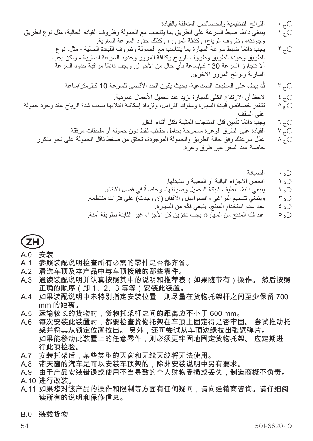Cج 0 اللوائح التنظيمية والخصائص المتعلقة بالقيادة Cج 1 ً ينبغي دائما ضبط السرعة على الطريق بما يتناسب مع الحمولة وظروف القيادة الحالية، مثل نوع الطريق وجودته، وظروف الرياح، وكثافة المرور، وكذلك حدود السرعة السارية. Cج 2 ً يجب دائما ضبط سرعة السيارة بما يتناسب مع الحمولة وظروف القيادة الحالية - مثل، نوع الطريق وجودة الطريق وظروف الرياح وكثافة المرور وحدود السرعة السارية - ولكن يجب أال تتجاوز السرعة 130 ً كم/ساعة بأي حال من األحوال. ويجب دائما مراقبة حدود السرعة السارية ولوائح المرور األخرى. ُد ببطء على المطبات الصناعية، بحيث يكون الحد األقصى للسرعة 10 كيلومتر/ساعة. Cج 3 ق Cج 4 الحظ أن االرتفاع الكلي للسيارة يزيد عند تحميل األحمال عمودية. Cج 5 تتغير خصائص قيادة السيارة وسلوك الفرامل، وتزداد إمكانية انقالبها بسبب شدة الرياح عند وجود حمولة على السقف. Cج 6 ً يجب دائما تأمين قفل المنتجات المثبتة بقفل أثناء النقل. Cج 7 القيادة على الطرق الوعرة مسموحة بحامل حقائب فقط دون حمولة أو ملحقات مرفقة. Cج 8 ِّعدل سرعتك وفق حالة الطريق والحمولة الموجودة، تحقق من ضغط ناقل الحمولة على نحو متكرر خاصة عند السفر عبر طرق وعرة.

$$
\Box_c \leftarrow \hbox{Im} \psi
$$

- Dد 1 افحص األجزاء البالية أو المعيبة واستبدلها.
- ً في فصل الشتاء. Dد 2 ً ينبغي دائما تنظيف شبكة التحميل وصيانتها، وخاصة
- ل5 ° وينبغي تشحيم البراغي والصواميل والأقفال (إن وجدت) على فترات منتظمة.<br>Dد ٤ عند عدم استخدام المنتج، بنبغي فكه من السيار ة.
	- Dد 4 ّ عند عدم استخدام المنتج، ينبغي فكه من السيارة.
- عند فك المنتج من السيار ة، يجب تخزين كل الأجز اء غير الثابتة بطريقة آمنة.

# **ZH**

#### A.0 安装

- A.1 参照装配说明检查所有必需的零件是否都齐备。
- A.2 清洗车顶及本产品中与车顶接触的那些零件。
- A.3 通读装配说明并认真按照其中的说明和推荐表(如果随带有)操作。 然后按照 正确的顺序(即 1、2、3 等等)安装此装置。
- A.4 如果装配说明中未特别指定安装位置,则尽量在货物托架杆之间至少保留 700 mm 的距离。
- A.5 运输较长的货物时,货物托架杆之间的距离应不小于 600 mm。
- A.6 每次安装此装置时,都要检查货物托架在车顶上固定得是否牢固。 尝试推动托 架并将其从锁定位置拉出。 另外,还可尝试从车顶边缘拉出张紧弹片。 如果能移动此装置上的任意零件,则必须更牢固地固定货物托架。 应定期进 行此项检验。
- A.7 安装托架后,某些类型的天窗和无线天线将无法使用。
- A.8 带天窗的汽车是可以安装车顶架的,除非安装说明中另有要求。
- A.9 由于产品安装错误或使用不当导致的个人财物受损或丢失,制造商概不负责。 A.10 进行改装。
- A.11 如果您对该产品的操作和限制等方面有任何疑问,请向经销商咨询。请仔细阅 读所有的说明和保修信息。
- B.0 装载货物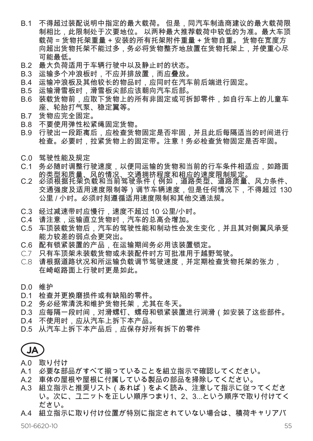- B.1 不得超过装配说明中指定的最大载荷。 但是,同汽车制造商建议的最大载荷限 制相比,此限制处于次要地位。 以两种最大推荐载荷中较低的为准。最大车顶 载荷 = 货物托架重量 + 安装的所有托架附件重量 + 货物自重。 货物在宽度方 向超出货物托架不能过多,务必将货物整齐地放置在货物托架上,并使重心尽 可能最低。
- B.2 最大负荷适用于车辆行驶中以及静止时的状态。
- B.3 运输多个冲浪板时,不应并排放置,而应叠放。
- B.4 运输冲浪板及其他较长的物品时,应同时在汽车前后端进行固定。
- B.5 运输滑雪板时,滑雪板尖部应该朝向汽车后部。
- B.6 装载货物前,应取下货物上的所有非固定或可拆卸零件,如自行车上的儿童车 座、轮胎打气泵、稳定翼等。
- B.7 货物应完全固定。
- B.8 不要使用弹性松紧绳固定货物。
- B.9 行驶出一段距离后,应检查货物固定是否牢固,并且此后每隔适当的时间进行 检查。必要时,拉紧货物上的固定带。注意!务必检查货物固定是否牢固。
- C.0 驾驶性能及规定
- C.1 务必随时调整行驶速度,以便同运输的货物和当前的行车条件相适应,如路面<br> 的类型和质量、风的情况、交通拥挤程度和相应的速度限制规定。
- C.2 必须根据托架负载和当前驾驶条件(例如,道路类型、道路质量、风力条件、 交通强度及适用速度限制等)调节车辆速度,但是任何情况下,不得超过 130 公里 / 小时。必须时刻遵循适用速度限制和其他交通法规。
- C.3 经过减速带时应慢行,速度不超过 10 公里/小时。
- C.4 请注意,运输直立货物时,汽车的总高会增加。
- C.5 车顶装载货物后,汽车的驾驶性能和制动性会发生变化,并且其对侧翼风承受 能力较差的弱点会更突出。
- C.6 配有锁紧装置的产品,在运输期间务必用该装置锁定。
- C.7 只有车顶架未装载货物或未装配件时方可批准用于越野驾驶。
- C.8 请根据道路状况和所运输负载调节驾驶速度,并定期检查货物托架的张力, 在崎岖路面上行驶时更是如此。
- D.0 维护
- D.1 检查并更换磨损件或有缺陷的零件。
- D.2 务必经常清洗和维护货物托架,尤其在冬天。
- D.3 应每隔一段时间,对滑螺钉、螺母和锁紧装置进行润滑(如安装了这些部件。
- D.4 不使用时,应从汽车上拆下本产品。
- D.5 从汽车上拆下本产品后,应保存好所有拆下的零件

**JA**

A0 取り付け

- A.1 必要な部品がすべて揃っていることを組立指示で確認してください。
- A.2 車体の屋根や屋根に付属している製品の部品を掃除してください。
- A.3 組立指示と推奨リスト(あれば)をよく読み、注意して指示に従ってくださ い。次に、ユニットを正しい順序つまり1、2、3...という順序で取り付けてく ださい。
- A.4 組立指示に取り付け位置が特別に指定されていない場合は、積荷キャリアバ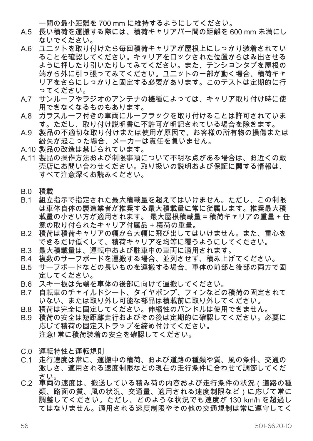ー間の最小距離を 700 mm に維持するようにしてください。

- A.5 長い積荷を運搬する際には、積荷キャリアバー間の距離を 600 mm 未満にし ないでください。
- A.6 ユニットを取り付けたら毎回積荷キャリアが屋根上にしっかり装着されてい ることを確認してください。キャリアをロックされた位置からはみ出させる ように押したり引いたりしてみてください。また、テンションタブを屋根の 端から外に引っ張ってみてください。ユニットの一部が動く場合、積荷キャ リアをさらにしっかりと固定する必要があります。このテストは定期的に行 ってください。
- A.7 サンルーフやラジオのアンテナの機種によっては、キャリア取り付け時に使 用できなくなるものもあります。
- A.8 ガラスルーフ付きの車両にルーフラックを取り付けることは許可されていま す。ただし、取り付け説明書に不許可が明記されている場合を除きます。
- A.9 製品の不適切な取り付けまたは使用が原因で、お客様の所有物の損傷または 紛失が起こった場合、メーカーは責任を負いません。
- A.10 製品の改造は禁じられています。
- A.11 製品の操作方法および制限事項について不明な点がある場合は、お近くの販 売店にお問い合わせください。取り扱いの説明および保証に関する情報は、 すべて注意深くお読みください。
- B.0 積載
- B.1 組立指示で指定された最大積載量を超えてはいけません。ただし、この制限 は車体自体の製造者が推奨する最大積載量に常に従属します。推奨最大積 載量の小さい方が適用されます。 最大屋根積載量 = 積荷キャリアの重量 + 任 意の取り付られたキャリア付属品 + 積荷の重量。
- B.2 積荷は積荷キャリアの幅から大幅に飛び出してはいけません。また、重心を できるだけ低くして、積荷キャリアを均等に覆うようにしてください。
- B.3 最大積載量は、運転中および駐車中の車両に適用されます。
- B.4 複数のサーフボードを運搬する場合、並列させず、積み上げてください。
- B.5 サーフボードなどの長いものを運搬する場合、車体の前部と後部の両方で固 定してください。
- B.6 スキー板は先端を車体の後部に向けて運搬してください。<br>B7 自転車のチャイルドシート、タイヤポンプ、フィンなどの
- 自転車のチャイルドシート、タイヤポンプ、フィンなどの積荷の固定されて いない、または取り外し可能な部品は積載前に取り外してください。
- B.8 積荷は完全に固定してください。伸縮性のバンドルは使用できません。
- B.9 積荷の安全は短距離走行およびその後は定期的に確認してください。必要に 応じて積荷の固定ストラップを締め付けてください。 注意! 常に積荷装着の安全を確認してください。
- C.0 運転特性と運転規則
- C.1 走行速度は常に、運搬中の積荷、および道路の種類や質、風の条件、交通の 激しさ、適用される速度制限などの現在の走行条件に合わせて調節してくだ さい。 C.2 車両の速度は、搬送している積み荷の内容および走行条件の状況(道路の種
- 類、路面の質、風の状況、交通量、適用される速度制限など)に応じて常に 調整してください。ただし、どのような状況でも速度が 130 km/h を超過し てはなりません。適用される速度制限やその他の交通規制は常に遵守してく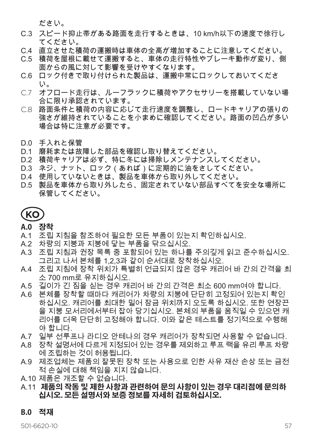ださい。

- C.3 スピード抑止帯がある路面を走行するときは、10 km/h以下の速度で徐行し てください。
- C.4 直立させた積荷の運搬時は車体の全高が増加することに注意してください。
- C.5 積荷を屋根に載せて運搬すると、車体の走行特性やブレーキ動作が変り、側 面からの風に対して影響を受けやすくなります。
- C.6 ロック付きで取り付けられた製品は、運搬中常にロックしておいてくださ い。
- C.7 オフロード走行は、ルーフラックに積荷やアクセサリーを搭載していない場 合に限り承認されています。
- C.8 路面条件と積荷の内容に応じて走行速度を調整し、ロードキャリアの張りの 強さが維持されていることを小まめに確認してください。路面の凹凸が多い 場合は特に注意が必要です。
- D.0 手入れと保管
- D.1 磨耗または故障した部品を確認し取り替えてください。
- D.2 積荷キャリアは必ず、特に冬には掃除しメンテナンスしてください。
- D.3 ネジ、ナット、ロック (あれば)に定期的に油をさしてください。
- D.4 使用していないときは、製品を車体から取り外してください。
- D.5 製品を車体から取り外したら、固定されていない部品すべてを安全な場所に 保管してください。

**KO**

**A.0 장착**

- A.1 조립 지침을 참조하여 필요한 모든 부품이 있는지 확인하십시오.
- A.2 차량의 지붕과 지붕에 닿는 부품을 닦으십시오.
- A.3 조립 지침과 권장 목록 중 포함되어 있는 하나를 주의깊게 읽고 준수하십시오. 그리고 나서 본체를 1,2,3과 같이 순서대로 장착하십시오.
- A.4 조립 지침에 장착 위치가 특별히 언급되지 않은 경우 캐리어 바 간의 간격을 최 소 700 mm로 유지하십시오.
- A.5 길이가 긴 짐을 싣는 경우 캐리어 바 간의 간격은 최소 600 mm여야 합니다.
- A.6 본체를 장착할 때마다 캐리어가 차량의 지붕에 단단히 고정되어 있는지 확인 하십시오. 캐리어를 최대한 밀어 잠금 위치까지 오도록 하십시오. 또한 연장끈 을 지붕 모서리에서부터 잡아 당기십시오. 본체의 부품을 움직일 수 있으면 캐 리어를 더욱 단단히 고정해야 합니다. 이와 같은 테스트를 정기적으로 수행해 야 합니다.
- A.7 일부 선루프나 라디오 안테나의 경우 캐리어가 장착되면 사용할 수 없습니다.
- A.8 장착 설명서에 다르게 지정되어 있는 경우를 제외하고 루프 랙을 유리 루프 차량 에 조립하는 것이 허용됩니다.
- A.9 제조업체는 제품의 잘못된 장착 또는 사용으로 인한 사유 재산 손상 또는 금전 적 손실에 대해 책임을 지지 않습니다.
- A.10 제품은 개조할 수 없습니다.
- A.11 **제품의 작동 및 제한 사항과 관련하여 문의 사항이 있는 경우 대리점에 문의하 십시오. 모든 설명서와 보증 정보를 자세히 검토하십시오.**

#### **B.0 적재**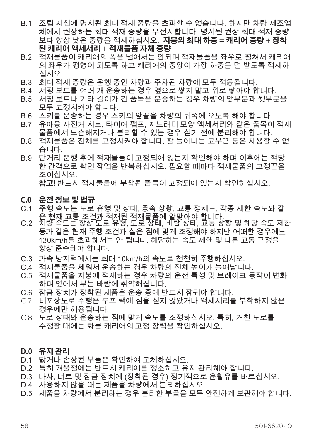- B.1 조립 지침에 명시된 최대 적재 중량을 초과할 수 없습니다. 하지만 차량 제조업 체에서 권장하는 최대 적재 중량을 우선시합니다. 명시된 권장 최대 적재 중량 보다 항상 낮은 중량을 적재하십시오. **지붕의 최대 하중 = 캐리어 중량 + 장착 된 캐리어 액세서리 + 적재물품 자체 중량**
- B.2 적재물품이 캐리어의 폭을 넘어서는 안되며 적재물품을 좌우로 펼쳐서 캐리어 의 좌우가 평형이 되도록 하고 캐리어의 중앙이 가장 하중을 덜 받도록 적재하 십시오.
- B.3 최대 적재 중량은 운행 중인 차량과 주차된 차량에 모두 적용됩니다.
- B.4 서핑 보드를 여러 개 운송하는 경우 옆으로 쌓지 말고 위로 쌓아야 합니다.
- B.5 서핑 보드나 기타 길이가 긴 품목을 운송하는 경우 차량의 앞부분과 뒷부분을 모두 고정시켜야 합니다.
- B.6 스키를 운송하는 경우 스키의 앞끝을 차량의 뒤쪽에 오도록 해야 합니다.
- B.7 유아용 자전거 시트, 타이어 펌프, 지느러미 모양 액세서리와 같은 품목이 적재 물품에서 느슨해지거나 분리할 수 있는 경우 싣기 전에 분리해야 합니다.
- B.8 적재물품은 전체를 고정시켜야 합니다. 잘 늘어나는 고무끈 등은 사용할 수 없 습니다.
- B.9 단거리 운행 후에 적재물품이 고정되어 있는지 확인해야 하며 이후에는 적당 한 간격으로 확인 작업을 반복하십시오. 필요할 때마다 적재물품의 고정끈을 조이십시오. **참고!** 반드시 적재물품에 부착된 품목이 고정되어 있는지 확인하십시오.

#### **C.0 운전 정보 및 법규**

- C.1 주행 속도는 도로 유형 및 상태, 풍속 상황, 교통 정체도, 각종 제한 속도와 같 <sup>은</sup> 현재 교통 조건과 적재된 적재물품에 알맞아야 합니다. C.2 차량 속도는 항상 도로 유형, 도로 상태, 바람 상태, 교통 상황 <sup>및</sup> 해당 속도 제한
- 등과 같은 현재 주행 조건과 실은 짐에 맞게 조정해야 하지만 어떠한 경우에도 130km/h를 초과해서는 안 됩니다. 해당하는 속도 제한 및 다른 교통 규정을 항상 준수해야 합니다.
- C.3 과속 방지턱에서는 최대 10km/h의 속도로 천천히 주행하십시오.
- C.4 적재물품을 세워서 운송하는 경우 차량의 전체 높이가 늘어납니다.
- C.5 적재물품을 지붕에 적재하는 경우 차량의 운전 특성 및 브레이크 동작이 변화 하며 옆에서 부는 바람에 취약해집니다.
- C.6 잠금 장치가 장착된 제품은 운송 중에 반드시 잠궈야 합니다.<br>C.7 비포장도로 주행은 루프 랙에 짐을 싣지 않았거나 액세서리를
- C.7 비포장도로 주행은 루프 랙에 짐을 싣지 않았거나 액세서리를 부착하지 않은 경우에만 허용됩니다.
- C.8 도로 상태와 운송하는 짐에 맞게 속도를 조정하십시오. 특히, 거친 도로를 주행할 때에는 화물 캐리어의 고정 장력을 확인하십시오.

#### **D.0 유지 관리**

- D.1 닳거나 손상된 부품은 확인하여 교체하십시오.
- D.2 특히 겨울철에는 반드시 캐리어를 청소하고 유지 관리해야 합니다.
- D.3 나사, 너트 및 잠금 장치에 (장착된 경우) 정기적으로 윤활유를 바르십시오.
- D.4 사용하지 않을 때는 제품을 차량에서 분리하십시오.
- D.5 제품을 차량에서 분리하는 경우 분리한 부품을 모두 안전하게 보관해야 합니다.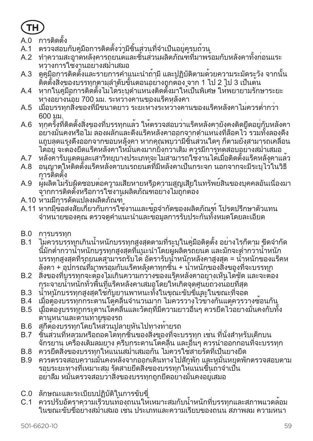

- A.0 การติดตั้ง
- A.1 ตรวจสอบกับคู่มือการติดตั้งว่ามีชิ้นส่วนที่จำ เป็นอยู่ครบถ้วน
- A.2 ทำ ความสะอาดหลังคารถยนต์และชิ้นส่วนผลิตภัณฑ์ที่มาพร้อมกับหลังคาทั้งก่อนแระ หว่างการใช้งานอย่างสม่ำ เสมอ
- A.3 ดูคู่มือการติดตั้งและรายการคำ แนะนำ ถ้ามีและปฏิบัติตามด้วยความระมัดระวัง จากนั้น ติดตั้งสิ่งของบรรทุกตามลำ ดับขั้นตอนอย่างถูกต้อง จาก 1 ไป 2 ไป 3 เป็นต้น
- A.4 หากในคู่มือการติดตั้งไม่ได้ระบุตำ แหน่งติดตั้งมาให้เป็นพิเศษ ให้พยายามรักษาระยะ ห่างอย่างน้อย 700 มม. ระหว่างคานของแร็คหลังคา
- A.5 เมื่อบรรทุกสิ่งของที่มีขนาดยาว ระยะห่างระหว่างคานของแร็คหลังคาไม่ควรต่ำ กว่า 600 มม.
- A.6 ทุกครั้งที่ติดตั้งสิ่งของที่บรรทุกแล้ว ให้ตรวจสอบว่าแร็คหลังคายังคงติดยึดอยู่กับหลังคา ้อย่างมั่นคงหรือไม่ ลองผลักและดึงแร็คหลังคาออกจากตำแหน่งที่ล็อคไว้ รวมทั้งลองดึง แถบลดแรงตึงออกจากขอบหลังคา หากคุณพบว่ามีชิ้นส่วนใดๆ ก็ตามยังสามารถเคลื่อน ได้อยู่ จะต้องยึดแร็คหลังคาให้มั่นคงมากยิ่งกว่าเดิม ควรมีการทดสอบอย่างสม่ำ เสมอ
- A.7 หลังคารับแดดและเสาวิทยุบางประเภทจะไม่สามารถใช้งานได้เมื่อติดตั้งแร็คหลังคาแล้ว
- A.8 อนุญาตให้ติดตั้งแร็คหลังคาบนรถยนต์ที่มีหลังคาเป็นกระจก นอกจากจะมีระบุไว้ในวิธี การติดตั้ง
- A.9 ผู้ผลิตไม่รับผิดชอบต่อความเสียหายหรือความสูญเสียในทรัพย์สินของบุคคลอันเนื่องมา จากการติดตั้งหรือการใช้งานผลิตภัณฑ์อย่างไม่ถูกต้อง
- A.10 ห้ามมีการดัดแปลงผลิตภัณฑ์
- A.11 หากมีข้อสงสัยเกี่ยวกับการใช้งานและข้อจำ กัดของผลิตภัณฑ์โปรดปรึกษาตัวแทน จำ หน่ายของคุณ ตรวจดูคำ แนะนำ และข้อมูลการรับประกันทั้งหมดโดยละเอียด
- B.0 การบรรทุก<br>B.1 ไม่ควรบรร
- ี่ไม่ควรบรรทุกเกินน้ำหนักบรรทุกสูงสุดตามที่ระบุในคู่มือติดตั้ง อย่างไรก็ตาม ขีดจำกัด ้นี้มักต่ำกว่าน้ำหนักบรรทุกสูงสุดที่แนะนำโดยผู้ผลิตรถยนต์ และมักจะต่ำกว่าน้ำหนัก บรรทุกสูงสุดที่รถยนต์สามารถรับได้อัตรารับน้ำ หนักหลังคาสูงสุด = น้ำ หนักของแร็คห ลังคา + อุปกรณ์ที่มาพร้อมกับแร็คหลังคาทุกชิ้น + น้ำ หนักของสิ่งของที่จะบรรทุก
- B.2 สิ่งของที่บรรทุกจะต้องไม่เกินความกว้างของแร็คหลังคาอย่างเห็นได้ชัด และจะต้อง กระจายน้ำ หนักทั่วพื้นที่แร็คหลังคาเสมอโดยให้เกิดจุดศูนย์ถ่วงน้อยที่สุด
- B.3 น้ำหนักบรรทุกสูงสุดใช้กับยานพาหนะทั้งในขณะขับขี่และในขณะที่จอด<br>B.4 เมื่อต้องบรรทุกกระดานโตคลื่นจำนวนมาก ไม่ควรวางไว้ข้างกันแต่ควรว
- B.4 เมื่อต้องบรรทุกกระดานโต้คลื่นจำนวนมาก ไม่ควรวางไว้ข้างกันแต่ควรวางซ้อนกัน<br>B.5 เมื่อต้องบรรทุกกระดานโต้คลื่นและวัตกที่มีความยาวอื่นๆ ควรยึดไว้อย่างมั่นคงกับทั้
- B.5 เมื่อต้องบรรทุกกระดานโต้คลื่นและวัตถุที่มีความยาวอื่นๆ ควรยึดไว้อย่างมั่นคงกับทั้ง ด้านหน้าและด้านท้ายของรถ
- B.6 สกีต้องบรรทุกโดยให้ส่วนปลายหันไปทางท้ายรถ
- B.7 ชิ้นส่วนที่หลวมหรือถอดได้ทุกชิ้นของสิ่งของที่จะบรรทุก เช่น ที่นั่งสำ หรับเด็กบน จักรยาน เครื่องเติมลมยาง ครีบกระดานโต้คลื่น และอื่นๆ ควรนำ ออกก่อนที่จะบรรทุก
- B.8 ควรยึดสิ่งของบรรทุกให้แน่นสม่ำ เสมอกัน ไม่ควรใช้สายรัดที่เป็นยางยืด
- B.9 ควรตรวจสอบความมั่นคงหลังจากออกเดินทางไปสักพัก และหมั่นหยุดพักตรวจสอบตาม รอบระยะทางที่เหมาะสม รัดสายยึดสิ่งของบรรทุกให้แน่นขึ้นถ้าจำ เป็น อย่าลืม หมั่นตรวจสอบว่าสิ่งของบรรทุกถูกยึดอย่างมั่นคงอยู่เสมอ
- C.0 ลักษณะและระเบียบปฏิบัติในการขับขี่
- C.1 ควรปรับอัตราความเร็วบนท้องถนนให้เหมาะสมกับน้ำ หนักที่บรรทุกและสภาพแวดล้อม ในขณะขับขี่อย่างสม่ำ เสมอ เช่น ประเภทและความเรียบของถนน สภาพลม ความหนา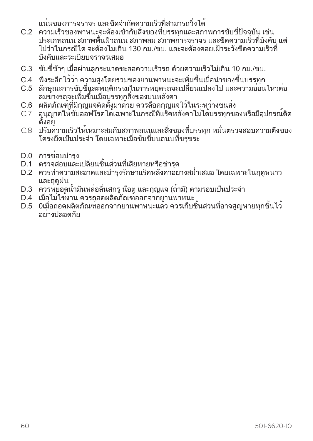แน่นของการจราจร และขีดจำ กัดความเร็วที่สามารถวิ่งได้

- C.2 ความเร็วของพาหนะจะต้องเข้ากับสิ่งของที่บรรทุกและสภาพการขับขี่ปัจจุบัน เช่น ประเภทถนน สภาพพื้นผิวถนน สภาพลม สภาพการจราจร และขีดความเร็วที่บังคับ แต่ ไม่ว่าในกรณีใด จะต้องไม่เกิน 130 กม./ชม. และจะต้องคอยเฝ้าระวังขีดความเร็วที่ บังคับและระเบียบจราจรเสมอ
- C.3 ขับขี่ช้าๆ เมื่อผ่านลูกระนาดชะลอความเร็วรถ ด้วยความเร็วไม่เกิน 10 กม./ชม.
- C.4 พึงระลึกไว้ว่า ความสูงโดยรวมของยานพาหนะจะเพิ่มขึ้นเมื่อนำ ของขึ้นบรรทุก
- C.5 ลักษณะการขับขี่และพฤติกรรมในการหยุดรถจะเปลี่ยนแปลงไป และความอ่อนไหวต่อ ลมข้างรถจะเพิ่มขึ้นเมื่อบรรทุกสิ่งของบนหลังคา
- C.6 ผลิตภัณฑ์ที่มีกุญแจติดตั้งมาด้วย ควรล็อคกุญแจไว้ในระหว่างขนส่ง
- C.7 อนุญาตให้ขับออฟโรดได้เฉพาะในกรณีที่แร็คหลังคาไม่ได้บรรทุกของหรือมีอุปกรณ์ติด ตั้งอยู่
- $C.8$  ปรับความเร็วให้เหมาะสมกับสภาพถนนและสิ่งของที่บรรทุก หมั่นตรวจสอบความตึงของ โครงยึดเป็นประจำ โดยเฉพาะเมื่อขับขี่บนถนนที่ขรุขระ
- D.0 การซ่อมบำร<sub>ุง</sub>
- D.1 ตรวจสอบและเปลี่ยนชิ้นส่วนที่เสียหายหรือชำ รุด
- D.2 ควรทำ ความสะอาดและบำ รุงรักษาแร็คหลังคาอย่างสม่ำ เสมอ โดยเฉพาะในฤดูหนาว และถดฝน
- D.3 ควรหยอดน้ำ มันหล่อลื่นสกรูน็อต และกุญแจ (ถ้ามี) ตามรอบเป็นประจำ
- D.4 เมื่อไม่ใช้งาน ควรถอดผลิตภัณฑ์ออกจากยานพาหนะ
- ี่ D.5 0เมื่อถอดผลิตภัณฑ์ออกจากยานพาหนะแล้ว ควรเก็บชิ้นส่วนที่อาจสูญหายทุกชิ้นไว้ อย่างปลอดภัย